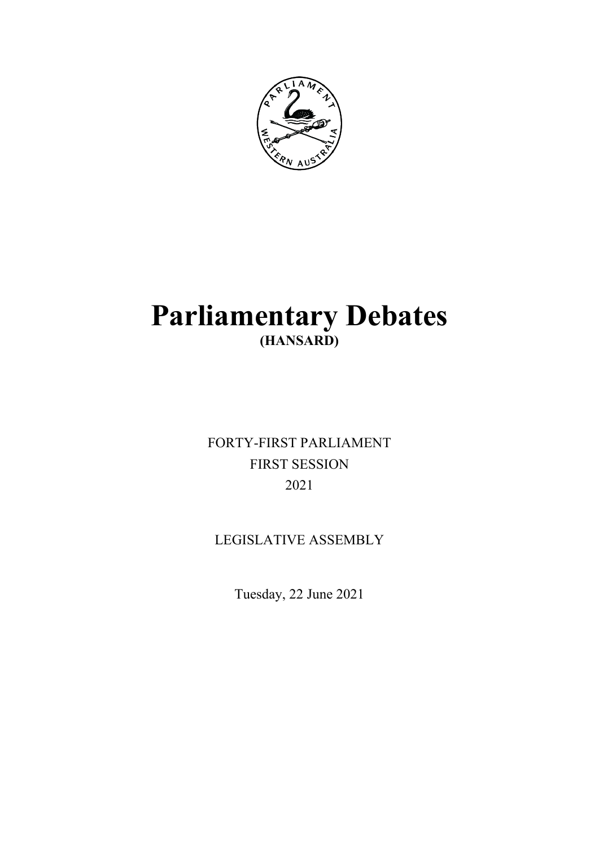

# **Parliamentary Debates (HANSARD)**

FORTY-FIRST PARLIAMENT FIRST SESSION 2021

LEGISLATIVE ASSEMBLY

Tuesday, 22 June 2021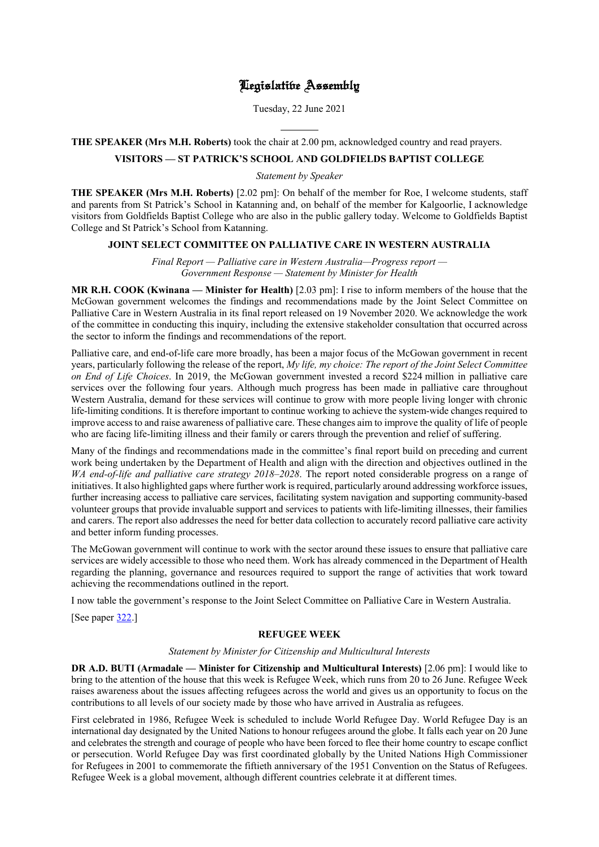# Legislative Assembly

Tuesday, 22 June 2021

**THE SPEAKER (Mrs M.H. Roberts)** took the chair at 2.00 pm, acknowledged country and read prayers.

l

# **VISITORS — ST PATRICK'S SCHOOL AND GOLDFIELDS BAPTIST COLLEGE**

*Statement by Speaker*

**THE SPEAKER (Mrs M.H. Roberts)** [2.02 pm]: On behalf of the member for Roe, I welcome students, staff and parents from St Patrick's School in Katanning and, on behalf of the member for Kalgoorlie, I acknowledge visitors from Goldfields Baptist College who are also in the public gallery today. Welcome to Goldfields Baptist College and St Patrick's School from Katanning.

# **JOINT SELECT COMMITTEE ON PALLIATIVE CARE IN WESTERN AUSTRALIA**

*Final Report — Palliative care in Western Australia—Progress report — Government Response — Statement by Minister for Health*

**MR R.H. COOK (Kwinana — Minister for Health)** [2.03 pm]: I rise to inform members of the house that the McGowan government welcomes the findings and recommendations made by the Joint Select Committee on Palliative Care in Western Australia in its final report released on 19 November 2020. We acknowledge the work of the committee in conducting this inquiry, including the extensive stakeholder consultation that occurred across the sector to inform the findings and recommendations of the report.

Palliative care, and end-of-life care more broadly, has been a major focus of the McGowan government in recent years, particularly following the release of the report, *My life, my choice: The report of the Joint Select Committee on End of Life Choices*. In 2019, the McGowan government invested a record \$224 million in palliative care services over the following four years. Although much progress has been made in palliative care throughout Western Australia, demand for these services will continue to grow with more people living longer with chronic life-limiting conditions. It is therefore important to continue working to achieve the system-wide changes required to improve access to and raise awareness of palliative care. These changes aim to improve the quality of life of people who are facing life-limiting illness and their family or carers through the prevention and relief of suffering.

Many of the findings and recommendations made in the committee's final report build on preceding and current work being undertaken by the Department of Health and align with the direction and objectives outlined in the *WA end-of-life and palliative care strategy 2018–2028*. The report noted considerable progress on a range of initiatives. It also highlighted gaps where further work is required, particularly around addressing workforce issues, further increasing access to palliative care services, facilitating system navigation and supporting community-based volunteer groups that provide invaluable support and services to patients with life-limiting illnesses, their families and carers. The report also addresses the need for better data collection to accurately record palliative care activity and better inform funding processes.

The McGowan government will continue to work with the sector around these issues to ensure that palliative care services are widely accessible to those who need them. Work has already commenced in the Department of Health regarding the planning, governance and resources required to support the range of activities that work toward achieving the recommendations outlined in the report.

I now table the government's response to the Joint Select Committee on Palliative Care in Western Australia.

[See paper [322.](https://www.parliament.wa.gov.au/publications/tabledpapers.nsf/displaypaper/4110322a7012a184b0e6678f482586fc004d849d/$file/tp+322+(2021)+-+govt+response+to+jsc+on+palliative+care.pdf)]

# **REFUGEE WEEK**

## *Statement by Minister for Citizenship and Multicultural Interests*

**DR A.D. BUTI (Armadale — Minister for Citizenship and Multicultural Interests)** [2.06 pm]: I would like to bring to the attention of the house that this week is Refugee Week, which runs from 20 to 26 June. Refugee Week raises awareness about the issues affecting refugees across the world and gives us an opportunity to focus on the contributions to all levels of our society made by those who have arrived in Australia as refugees.

First celebrated in 1986, Refugee Week is scheduled to include World Refugee Day. World Refugee Day is an international day designated by the United Nations to honour refugees around the globe. It falls each year on 20 June and celebrates the strength and courage of people who have been forced to flee their home country to escape conflict or persecution. World Refugee Day was first coordinated globally by the United Nations High Commissioner for Refugees in 2001 to commemorate the fiftieth anniversary of the 1951 Convention on the Status of Refugees. Refugee Week is a global movement, although different countries celebrate it at different times.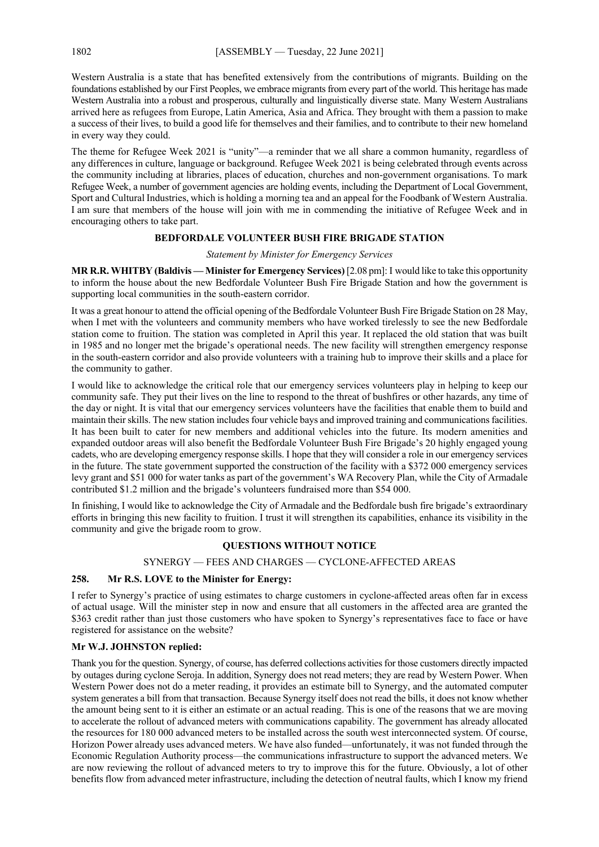Western Australia is a state that has benefited extensively from the contributions of migrants. Building on the foundations established by our First Peoples, we embrace migrants from every part of the world. This heritage has made Western Australia into a robust and prosperous, culturally and linguistically diverse state. Many Western Australians arrived here as refugees from Europe, Latin America, Asia and Africa. They brought with them a passion to make a success of their lives, to build a good life for themselves and their families, and to contribute to their new homeland in every way they could.

The theme for Refugee Week 2021 is "unity"—a reminder that we all share a common humanity, regardless of any differences in culture, language or background. Refugee Week 2021 is being celebrated through events across the community including at libraries, places of education, churches and non-government organisations. To mark Refugee Week, a number of government agencies are holding events, including the Department of Local Government, Sport and Cultural Industries, which is holding a morning tea and an appeal for the Foodbank of Western Australia. I am sure that members of the house will join with me in commending the initiative of Refugee Week and in encouraging others to take part.

# **BEDFORDALE VOLUNTEER BUSH FIRE BRIGADE STATION**

#### *Statement by Minister for Emergency Services*

**MR R.R. WHITBY (Baldivis — Minister for Emergency Services)** [2.08 pm]: I would like to take this opportunity to inform the house about the new Bedfordale Volunteer Bush Fire Brigade Station and how the government is supporting local communities in the south-eastern corridor.

It was a great honour to attend the official opening of the Bedfordale Volunteer Bush Fire Brigade Station on 28 May, when I met with the volunteers and community members who have worked tirelessly to see the new Bedfordale station come to fruition. The station was completed in April this year. It replaced the old station that was built in 1985 and no longer met the brigade's operational needs. The new facility will strengthen emergency response in the south-eastern corridor and also provide volunteers with a training hub to improve their skills and a place for the community to gather.

I would like to acknowledge the critical role that our emergency services volunteers play in helping to keep our community safe. They put their lives on the line to respond to the threat of bushfires or other hazards, any time of the day or night. It is vital that our emergency services volunteers have the facilities that enable them to build and maintain their skills. The new station includes four vehicle bays and improved training and communications facilities. It has been built to cater for new members and additional vehicles into the future. Its modern amenities and expanded outdoor areas will also benefit the Bedfordale Volunteer Bush Fire Brigade's 20 highly engaged young cadets, who are developing emergency response skills. I hope that they will consider a role in our emergency services in the future. The state government supported the construction of the facility with a \$372 000 emergency services levy grant and \$51 000 for water tanks as part of the government's WA Recovery Plan, while the City of Armadale contributed \$1.2 million and the brigade's volunteers fundraised more than \$54 000.

In finishing, I would like to acknowledge the City of Armadale and the Bedfordale bush fire brigade's extraordinary efforts in bringing this new facility to fruition. I trust it will strengthen its capabilities, enhance its visibility in the community and give the brigade room to grow.

# **QUESTIONS WITHOUT NOTICE**

# SYNERGY — FEES AND CHARGES — CYCLONE-AFFECTED AREAS

# **258. Mr R.S. LOVE to the Minister for Energy:**

I refer to Synergy's practice of using estimates to charge customers in cyclone-affected areas often far in excess of actual usage. Will the minister step in now and ensure that all customers in the affected area are granted the \$363 credit rather than just those customers who have spoken to Synergy's representatives face to face or have registered for assistance on the website?

## **Mr W.J. JOHNSTON replied:**

Thank you for the question. Synergy, of course, has deferred collections activities for those customers directly impacted by outages during cyclone Seroja. In addition, Synergy does not read meters; they are read by Western Power. When Western Power does not do a meter reading, it provides an estimate bill to Synergy, and the automated computer system generates a bill from that transaction. Because Synergy itself does not read the bills, it does not know whether the amount being sent to it is either an estimate or an actual reading. This is one of the reasons that we are moving to accelerate the rollout of advanced meters with communications capability. The government has already allocated the resources for 180 000 advanced meters to be installed across the south west interconnected system. Of course, Horizon Power already uses advanced meters. We have also funded—unfortunately, it was not funded through the Economic Regulation Authority process—the communications infrastructure to support the advanced meters. We are now reviewing the rollout of advanced meters to try to improve this for the future. Obviously, a lot of other benefits flow from advanced meter infrastructure, including the detection of neutral faults, which I know my friend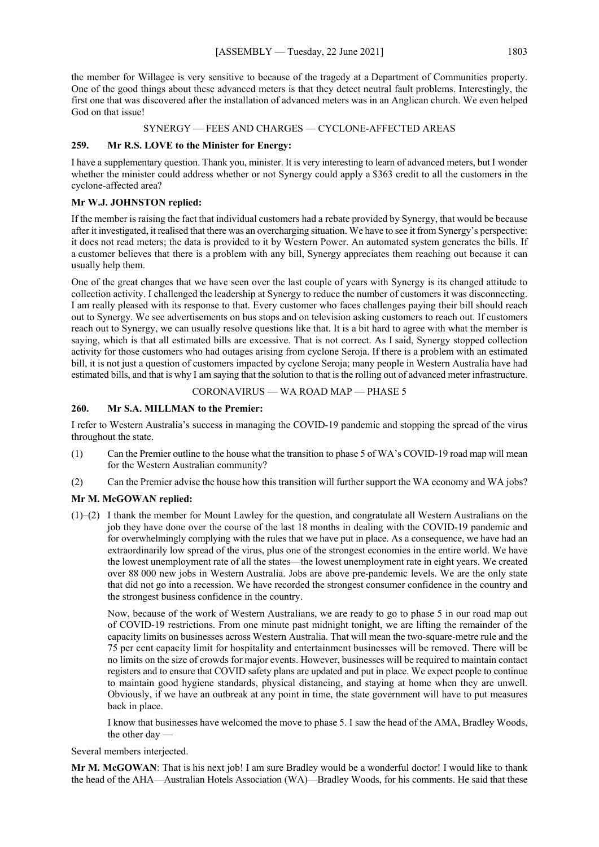the member for Willagee is very sensitive to because of the tragedy at a Department of Communities property. One of the good things about these advanced meters is that they detect neutral fault problems. Interestingly, the first one that was discovered after the installation of advanced meters was in an Anglican church. We even helped God on that issue!

SYNERGY — FEES AND CHARGES — CYCLONE-AFFECTED AREAS

# **259. Mr R.S. LOVE to the Minister for Energy:**

I have a supplementary question. Thank you, minister. It is very interesting to learn of advanced meters, but I wonder whether the minister could address whether or not Synergy could apply a \$363 credit to all the customers in the cyclone-affected area?

# **Mr W.J. JOHNSTON replied:**

If the member is raising the fact that individual customers had a rebate provided by Synergy, that would be because after it investigated, it realised that there was an overcharging situation. We have to see it from Synergy's perspective: it does not read meters; the data is provided to it by Western Power. An automated system generates the bills. If a customer believes that there is a problem with any bill, Synergy appreciates them reaching out because it can usually help them.

One of the great changes that we have seen over the last couple of years with Synergy is its changed attitude to collection activity. I challenged the leadership at Synergy to reduce the number of customers it was disconnecting. I am really pleased with its response to that. Every customer who faces challenges paying their bill should reach out to Synergy. We see advertisements on bus stops and on television asking customers to reach out. If customers reach out to Synergy, we can usually resolve questions like that. It is a bit hard to agree with what the member is saying, which is that all estimated bills are excessive. That is not correct. As I said, Synergy stopped collection activity for those customers who had outages arising from cyclone Seroja. If there is a problem with an estimated bill, it is not just a question of customers impacted by cyclone Seroja; many people in Western Australia have had estimated bills, and that is why I am saying that the solution to that is the rolling out of advanced meter infrastructure.

# CORONAVIRUS — WA ROAD MAP — PHASE 5

# **260. Mr S.A. MILLMAN to the Premier:**

I refer to Western Australia's success in managing the COVID-19 pandemic and stopping the spread of the virus throughout the state.

- (1) Can the Premier outline to the house what the transition to phase 5 of WA's COVID-19 road map will mean for the Western Australian community?
- (2) Can the Premier advise the house how this transition will further support the WA economy and WA jobs?

# **Mr M. McGOWAN replied:**

(1)–(2) I thank the member for Mount Lawley for the question, and congratulate all Western Australians on the job they have done over the course of the last 18 months in dealing with the COVID-19 pandemic and for overwhelmingly complying with the rules that we have put in place. As a consequence, we have had an extraordinarily low spread of the virus, plus one of the strongest economies in the entire world. We have the lowest unemployment rate of all the states—the lowest unemployment rate in eight years. We created over 88 000 new jobs in Western Australia. Jobs are above pre-pandemic levels. We are the only state that did not go into a recession. We have recorded the strongest consumer confidence in the country and the strongest business confidence in the country.

Now, because of the work of Western Australians, we are ready to go to phase 5 in our road map out of COVID-19 restrictions. From one minute past midnight tonight, we are lifting the remainder of the capacity limits on businesses across Western Australia. That will mean the two-square-metre rule and the 75 per cent capacity limit for hospitality and entertainment businesses will be removed. There will be no limits on the size of crowds for major events. However, businesses will be required to maintain contact registers and to ensure that COVID safety plans are updated and put in place. We expect people to continue to maintain good hygiene standards, physical distancing, and staying at home when they are unwell. Obviously, if we have an outbreak at any point in time, the state government will have to put measures back in place.

I know that businesses have welcomed the move to phase 5. I saw the head of the AMA, Bradley Woods, the other day —

Several members interjected.

**Mr M. McGOWAN**: That is his next job! I am sure Bradley would be a wonderful doctor! I would like to thank the head of the AHA—Australian Hotels Association (WA)—Bradley Woods, for his comments. He said that these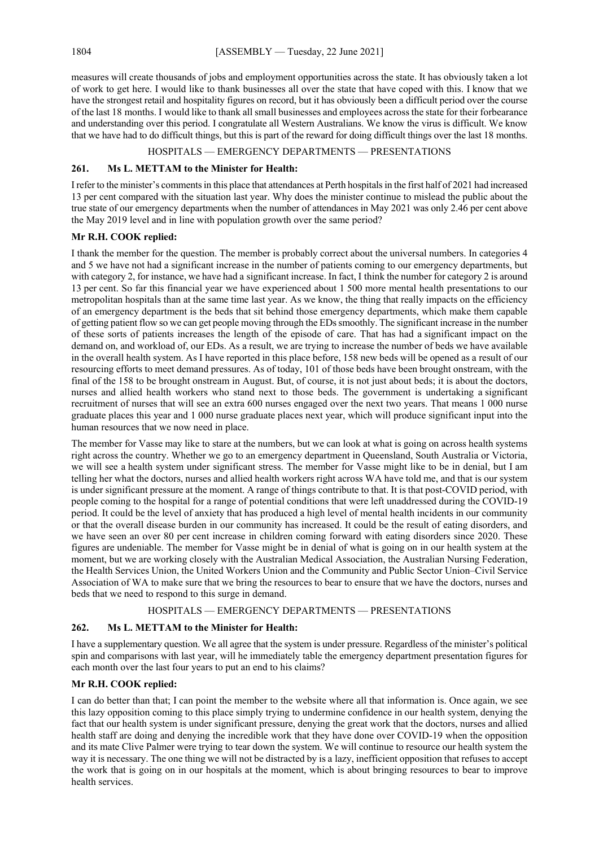measures will create thousands of jobs and employment opportunities across the state. It has obviously taken a lot of work to get here. I would like to thank businesses all over the state that have coped with this. I know that we have the strongest retail and hospitality figures on record, but it has obviously been a difficult period over the course of the last 18 months. I would like to thank all small businesses and employees across the state for their forbearance and understanding over this period. I congratulate all Western Australians. We know the virus is difficult. We know that we have had to do difficult things, but this is part of the reward for doing difficult things over the last 18 months.

# HOSPITALS — EMERGENCY DEPARTMENTS — PRESENTATIONS

# **261. Ms L. METTAM to the Minister for Health:**

I refer to the minister's comments in this place that attendances at Perth hospitals in the first half of 2021 had increased 13 per cent compared with the situation last year. Why does the minister continue to mislead the public about the true state of our emergency departments when the number of attendances in May 2021 was only 2.46 per cent above the May 2019 level and in line with population growth over the same period?

# **Mr R.H. COOK replied:**

I thank the member for the question. The member is probably correct about the universal numbers. In categories 4 and 5 we have not had a significant increase in the number of patients coming to our emergency departments, but with category 2, for instance, we have had a significant increase. In fact, I think the number for category 2 is around 13 per cent. So far this financial year we have experienced about 1 500 more mental health presentations to our metropolitan hospitals than at the same time last year. As we know, the thing that really impacts on the efficiency of an emergency department is the beds that sit behind those emergency departments, which make them capable of getting patient flow so we can get people moving through the EDs smoothly. The significant increase in the number of these sorts of patients increases the length of the episode of care. That has had a significant impact on the demand on, and workload of, our EDs. As a result, we are trying to increase the number of beds we have available in the overall health system. As I have reported in this place before, 158 new beds will be opened as a result of our resourcing efforts to meet demand pressures. As of today, 101 of those beds have been brought onstream, with the final of the 158 to be brought onstream in August. But, of course, it is not just about beds; it is about the doctors, nurses and allied health workers who stand next to those beds. The government is undertaking a significant recruitment of nurses that will see an extra 600 nurses engaged over the next two years. That means 1 000 nurse graduate places this year and 1 000 nurse graduate places next year, which will produce significant input into the human resources that we now need in place.

The member for Vasse may like to stare at the numbers, but we can look at what is going on across health systems right across the country. Whether we go to an emergency department in Queensland, South Australia or Victoria, we will see a health system under significant stress. The member for Vasse might like to be in denial, but I am telling her what the doctors, nurses and allied health workers right across WA have told me, and that is our system is under significant pressure at the moment. A range of things contribute to that. It is that post-COVID period, with people coming to the hospital for a range of potential conditions that were left unaddressed during the COVID-19 period. It could be the level of anxiety that has produced a high level of mental health incidents in our community or that the overall disease burden in our community has increased. It could be the result of eating disorders, and we have seen an over 80 per cent increase in children coming forward with eating disorders since 2020. These figures are undeniable. The member for Vasse might be in denial of what is going on in our health system at the moment, but we are working closely with the Australian Medical Association, the Australian Nursing Federation, the Health Services Union, the United Workers Union and the Community and Public Sector Union–Civil Service Association of WA to make sure that we bring the resources to bear to ensure that we have the doctors, nurses and beds that we need to respond to this surge in demand.

# HOSPITALS — EMERGENCY DEPARTMENTS — PRESENTATIONS

# **262. Ms L. METTAM to the Minister for Health:**

I have a supplementary question. We all agree that the system is under pressure. Regardless of the minister's political spin and comparisons with last year, will he immediately table the emergency department presentation figures for each month over the last four years to put an end to his claims?

# **Mr R.H. COOK replied:**

I can do better than that; I can point the member to the website where all that information is. Once again, we see this lazy opposition coming to this place simply trying to undermine confidence in our health system, denying the fact that our health system is under significant pressure, denying the great work that the doctors, nurses and allied health staff are doing and denying the incredible work that they have done over COVID-19 when the opposition and its mate Clive Palmer were trying to tear down the system. We will continue to resource our health system the way it is necessary. The one thing we will not be distracted by is a lazy, inefficient opposition that refuses to accept the work that is going on in our hospitals at the moment, which is about bringing resources to bear to improve health services.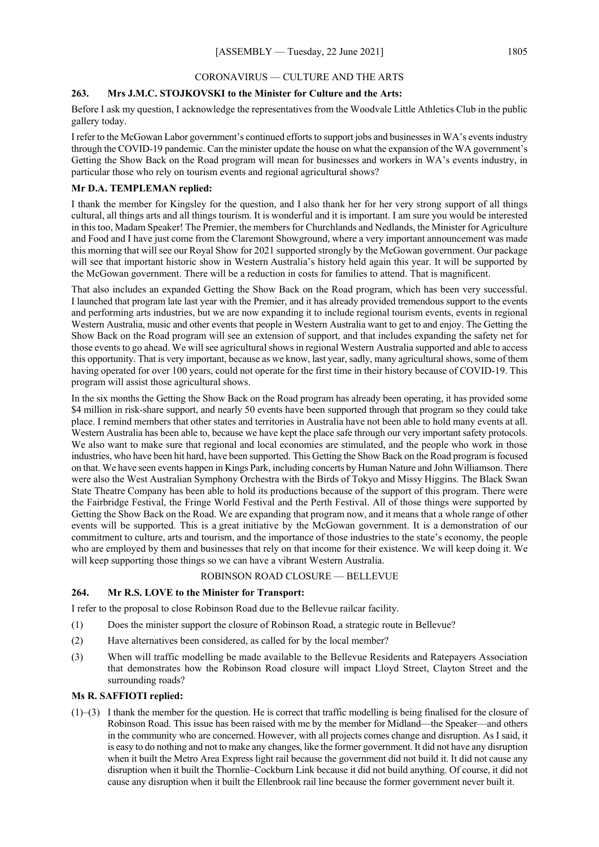# CORONAVIRUS — CULTURE AND THE ARTS

# **263. Mrs J.M.C. STOJKOVSKI to the Minister for Culture and the Arts:**

Before I ask my question, I acknowledge the representatives from the Woodvale Little Athletics Club in the public gallery today.

I refer to the McGowan Labor government's continued efforts to support jobs and businesses in WA's events industry through the COVID-19 pandemic. Can the minister update the house on what the expansion of the WA government's Getting the Show Back on the Road program will mean for businesses and workers in WA's events industry, in particular those who rely on tourism events and regional agricultural shows?

# **Mr D.A. TEMPLEMAN replied:**

I thank the member for Kingsley for the question, and I also thank her for her very strong support of all things cultural, all things arts and all things tourism. It is wonderful and it is important. I am sure you would be interested in this too, Madam Speaker! The Premier, the members for Churchlands and Nedlands, the Minister for Agriculture and Food and I have just come from the Claremont Showground, where a very important announcement was made this morning that will see our Royal Show for 2021 supported strongly by the McGowan government. Our package will see that important historic show in Western Australia's history held again this year. It will be supported by the McGowan government. There will be a reduction in costs for families to attend. That is magnificent.

That also includes an expanded Getting the Show Back on the Road program, which has been very successful. I launched that program late last year with the Premier, and it has already provided tremendous support to the events and performing arts industries, but we are now expanding it to include regional tourism events, events in regional Western Australia, music and other events that people in Western Australia want to get to and enjoy. The Getting the Show Back on the Road program will see an extension of support, and that includes expanding the safety net for those events to go ahead. We will see agricultural shows in regional Western Australia supported and able to access this opportunity. That is very important, because as we know, last year, sadly, many agricultural shows, some of them having operated for over 100 years, could not operate for the first time in their history because of COVID-19. This program will assist those agricultural shows.

In the six months the Getting the Show Back on the Road program has already been operating, it has provided some \$4 million in risk-share support, and nearly 50 events have been supported through that program so they could take place. I remind members that other states and territories in Australia have not been able to hold many events at all. Western Australia has been able to, because we have kept the place safe through our very important safety protocols. We also want to make sure that regional and local economies are stimulated, and the people who work in those industries, who have been hit hard, have been supported. This Getting the Show Back on the Road program is focused on that. We have seen events happen in Kings Park, including concerts by Human Nature and John Williamson. There were also the West Australian Symphony Orchestra with the Birds of Tokyo and Missy Higgins. The Black Swan State Theatre Company has been able to hold its productions because of the support of this program. There were the Fairbridge Festival, the Fringe World Festival and the Perth Festival. All of those things were supported by Getting the Show Back on the Road. We are expanding that program now, and it means that a whole range of other events will be supported. This is a great initiative by the McGowan government. It is a demonstration of our commitment to culture, arts and tourism, and the importance of those industries to the state's economy, the people who are employed by them and businesses that rely on that income for their existence. We will keep doing it. We will keep supporting those things so we can have a vibrant Western Australia.

## ROBINSON ROAD CLOSURE — BELLEVUE

## **264. Mr R.S. LOVE to the Minister for Transport:**

I refer to the proposal to close Robinson Road due to the Bellevue railcar facility.

- (1) Does the minister support the closure of Robinson Road, a strategic route in Bellevue?
- (2) Have alternatives been considered, as called for by the local member?
- (3) When will traffic modelling be made available to the Bellevue Residents and Ratepayers Association that demonstrates how the Robinson Road closure will impact Lloyd Street, Clayton Street and the surrounding roads?

### **Ms R. SAFFIOTI replied:**

(1)–(3) I thank the member for the question. He is correct that traffic modelling is being finalised for the closure of Robinson Road. This issue has been raised with me by the member for Midland—the Speaker—and others in the community who are concerned. However, with all projects comes change and disruption. As I said, it is easy to do nothing and not to make any changes, like the former government. It did not have any disruption when it built the Metro Area Express light rail because the government did not build it. It did not cause any disruption when it built the Thornlie–Cockburn Link because it did not build anything. Of course, it did not cause any disruption when it built the Ellenbrook rail line because the former government never built it.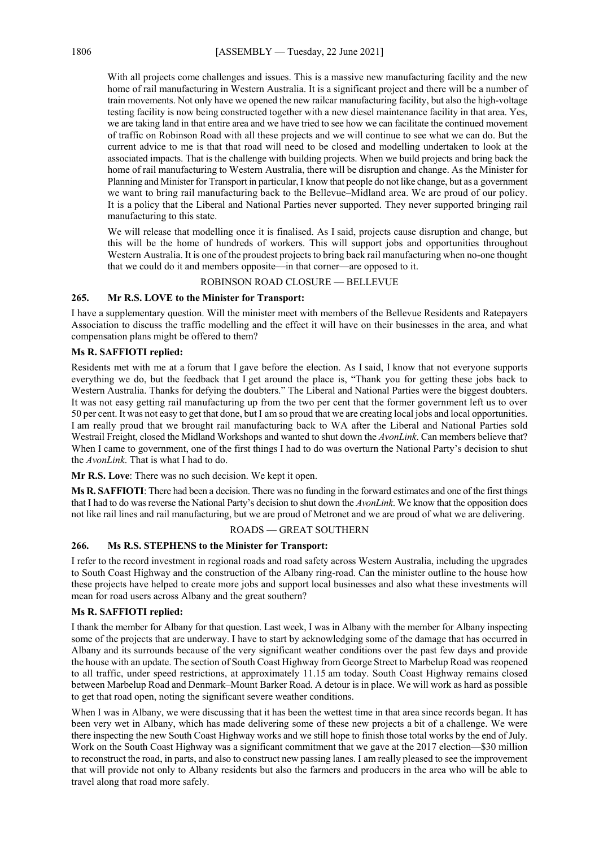With all projects come challenges and issues. This is a massive new manufacturing facility and the new home of rail manufacturing in Western Australia. It is a significant project and there will be a number of train movements. Not only have we opened the new railcar manufacturing facility, but also the high-voltage testing facility is now being constructed together with a new diesel maintenance facility in that area. Yes, we are taking land in that entire area and we have tried to see how we can facilitate the continued movement of traffic on Robinson Road with all these projects and we will continue to see what we can do. But the current advice to me is that that road will need to be closed and modelling undertaken to look at the associated impacts. That is the challenge with building projects. When we build projects and bring back the home of rail manufacturing to Western Australia, there will be disruption and change. As the Minister for Planning and Minister for Transport in particular, I know that people do not like change, but as a government we want to bring rail manufacturing back to the Bellevue–Midland area. We are proud of our policy. It is a policy that the Liberal and National Parties never supported. They never supported bringing rail manufacturing to this state.

We will release that modelling once it is finalised. As I said, projects cause disruption and change, but this will be the home of hundreds of workers. This will support jobs and opportunities throughout Western Australia. It is one of the proudest projects to bring back rail manufacturing when no-one thought that we could do it and members opposite—in that corner—are opposed to it.

ROBINSON ROAD CLOSURE — BELLEVUE

# **265. Mr R.S. LOVE to the Minister for Transport:**

I have a supplementary question. Will the minister meet with members of the Bellevue Residents and Ratepayers Association to discuss the traffic modelling and the effect it will have on their businesses in the area, and what compensation plans might be offered to them?

# **Ms R. SAFFIOTI replied:**

Residents met with me at a forum that I gave before the election. As I said, I know that not everyone supports everything we do, but the feedback that I get around the place is, "Thank you for getting these jobs back to Western Australia. Thanks for defying the doubters." The Liberal and National Parties were the biggest doubters. It was not easy getting rail manufacturing up from the two per cent that the former government left us to over 50 per cent. It was not easy to get that done, but I am so proud that we are creating local jobs and local opportunities. I am really proud that we brought rail manufacturing back to WA after the Liberal and National Parties sold Westrail Freight, closed the Midland Workshops and wanted to shut down the *AvonLink*. Can members believe that? When I came to government, one of the first things I had to do was overturn the National Party's decision to shut the *AvonLink*. That is what I had to do.

**Mr R.S. Love**: There was no such decision. We kept it open.

**Ms R. SAFFIOTI**: There had been a decision. There was no funding in the forward estimates and one of the first things that I had to do was reverse the National Party's decision to shut down the *AvonLink*. We know that the opposition does not like rail lines and rail manufacturing, but we are proud of Metronet and we are proud of what we are delivering.

ROADS — GREAT SOUTHERN

# **266. Ms R.S. STEPHENS to the Minister for Transport:**

I refer to the record investment in regional roads and road safety across Western Australia, including the upgrades to South Coast Highway and the construction of the Albany ring-road. Can the minister outline to the house how these projects have helped to create more jobs and support local businesses and also what these investments will mean for road users across Albany and the great southern?

## **Ms R. SAFFIOTI replied:**

I thank the member for Albany for that question. Last week, I was in Albany with the member for Albany inspecting some of the projects that are underway. I have to start by acknowledging some of the damage that has occurred in Albany and its surrounds because of the very significant weather conditions over the past few days and provide the house with an update. The section of South Coast Highway from George Street to Marbelup Road was reopened to all traffic, under speed restrictions, at approximately 11.15 am today. South Coast Highway remains closed between Marbelup Road and Denmark–Mount Barker Road. A detour is in place. We will work as hard as possible to get that road open, noting the significant severe weather conditions.

When I was in Albany, we were discussing that it has been the wettest time in that area since records began. It has been very wet in Albany, which has made delivering some of these new projects a bit of a challenge. We were there inspecting the new South Coast Highway works and we still hope to finish those total works by the end of July. Work on the South Coast Highway was a significant commitment that we gave at the 2017 election—\$30 million to reconstruct the road, in parts, and also to construct new passing lanes. I am really pleased to see the improvement that will provide not only to Albany residents but also the farmers and producers in the area who will be able to travel along that road more safely.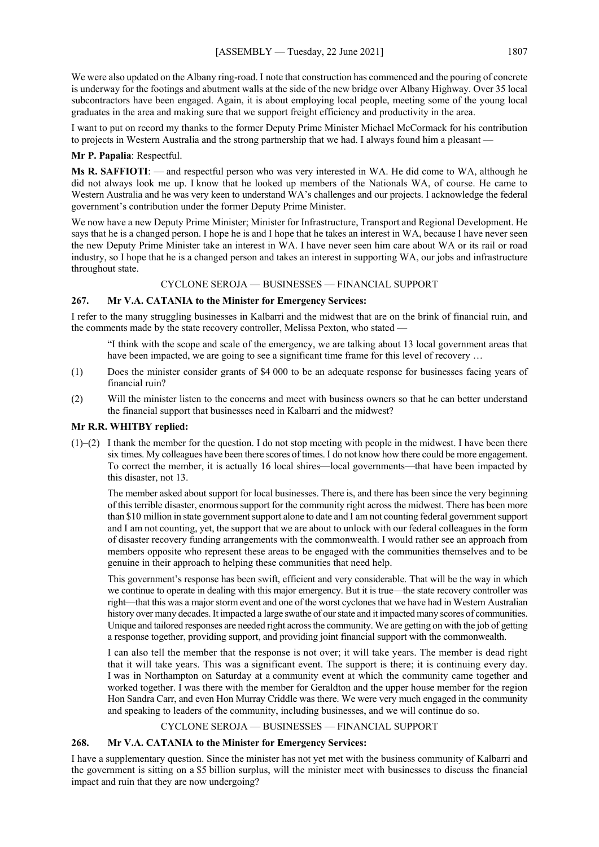We were also updated on the Albany ring-road. I note that construction has commenced and the pouring of concrete is underway for the footings and abutment walls at the side of the new bridge over Albany Highway. Over 35 local subcontractors have been engaged. Again, it is about employing local people, meeting some of the young local graduates in the area and making sure that we support freight efficiency and productivity in the area.

I want to put on record my thanks to the former Deputy Prime Minister Michael McCormack for his contribution to projects in Western Australia and the strong partnership that we had. I always found him a pleasant —

# **Mr P. Papalia**: Respectful.

**Ms R. SAFFIOTI**: — and respectful person who was very interested in WA. He did come to WA, although he did not always look me up. I know that he looked up members of the Nationals WA, of course. He came to Western Australia and he was very keen to understand WA's challenges and our projects. I acknowledge the federal government's contribution under the former Deputy Prime Minister.

We now have a new Deputy Prime Minister; Minister for Infrastructure, Transport and Regional Development. He says that he is a changed person. I hope he is and I hope that he takes an interest in WA, because I have never seen the new Deputy Prime Minister take an interest in WA. I have never seen him care about WA or its rail or road industry, so I hope that he is a changed person and takes an interest in supporting WA, our jobs and infrastructure throughout state.

## CYCLONE SEROJA — BUSINESSES — FINANCIAL SUPPORT

# **267. Mr V.A. CATANIA to the Minister for Emergency Services:**

I refer to the many struggling businesses in Kalbarri and the midwest that are on the brink of financial ruin, and the comments made by the state recovery controller, Melissa Pexton, who stated —

"I think with the scope and scale of the emergency, we are talking about 13 local government areas that have been impacted, we are going to see a significant time frame for this level of recovery ...

- (1) Does the minister consider grants of \$4 000 to be an adequate response for businesses facing years of financial ruin?
- (2) Will the minister listen to the concerns and meet with business owners so that he can better understand the financial support that businesses need in Kalbarri and the midwest?

# **Mr R.R. WHITBY replied:**

 $(1)$ –(2) I thank the member for the question. I do not stop meeting with people in the midwest. I have been there six times. My colleagues have been there scores of times. I do not know how there could be more engagement. To correct the member, it is actually 16 local shires—local governments—that have been impacted by this disaster, not 13.

The member asked about support for local businesses. There is, and there has been since the very beginning of this terrible disaster, enormous support for the community right across the midwest. There has been more than \$10 million in state government support alone to date and I am not counting federal government support and I am not counting, yet, the support that we are about to unlock with our federal colleagues in the form of disaster recovery funding arrangements with the commonwealth. I would rather see an approach from members opposite who represent these areas to be engaged with the communities themselves and to be genuine in their approach to helping these communities that need help.

This government's response has been swift, efficient and very considerable. That will be the way in which we continue to operate in dealing with this major emergency. But it is true—the state recovery controller was right—that this was a major storm event and one of the worst cyclonesthat we have had in Western Australian history over many decades. It impacted a large swathe of our state and it impacted many scores of communities. Unique and tailored responses are needed right across the community. We are getting on with the job of getting a response together, providing support, and providing joint financial support with the commonwealth.

I can also tell the member that the response is not over; it will take years. The member is dead right that it will take years. This was a significant event. The support is there; it is continuing every day. I was in Northampton on Saturday at a community event at which the community came together and worked together. I was there with the member for Geraldton and the upper house member for the region Hon Sandra Carr, and even Hon Murray Criddle was there. We were very much engaged in the community and speaking to leaders of the community, including businesses, and we will continue do so.

## CYCLONE SEROJA — BUSINESSES — FINANCIAL SUPPORT

# **268. Mr V.A. CATANIA to the Minister for Emergency Services:**

I have a supplementary question. Since the minister has not yet met with the business community of Kalbarri and the government is sitting on a \$5 billion surplus, will the minister meet with businesses to discuss the financial impact and ruin that they are now undergoing?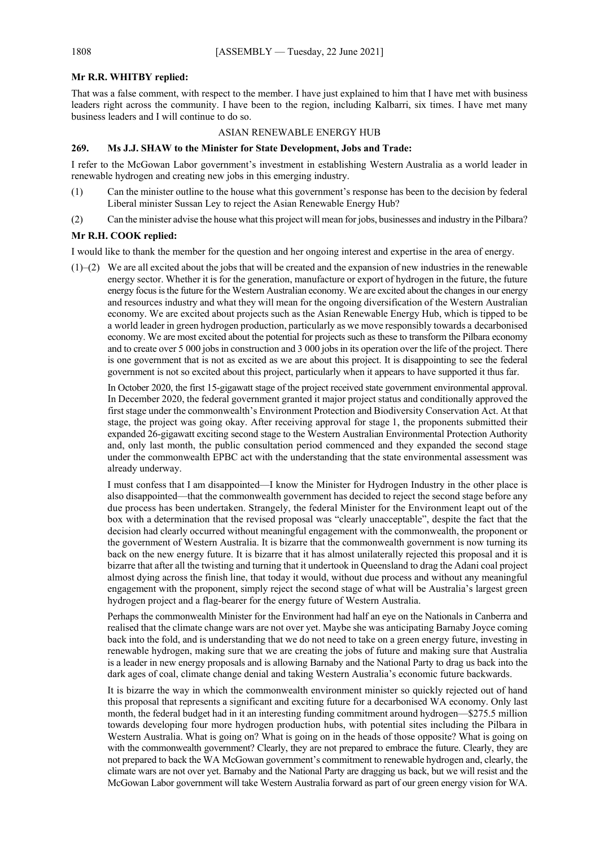### **Mr R.R. WHITBY replied:**

That was a false comment, with respect to the member. I have just explained to him that I have met with business leaders right across the community. I have been to the region, including Kalbarri, six times. I have met many business leaders and I will continue to do so.

#### ASIAN RENEWABLE ENERGY HUB

# **269. Ms J.J. SHAW to the Minister for State Development, Jobs and Trade:**

I refer to the McGowan Labor government's investment in establishing Western Australia as a world leader in renewable hydrogen and creating new jobs in this emerging industry.

- (1) Can the minister outline to the house what this government's response has been to the decision by federal Liberal minister Sussan Ley to reject the Asian Renewable Energy Hub?
- (2) Can the minister advise the house what this project will mean for jobs, businesses and industry in the Pilbara?

## **Mr R.H. COOK replied:**

I would like to thank the member for the question and her ongoing interest and expertise in the area of energy.

(1)–(2) We are all excited about the jobs that will be created and the expansion of new industries in the renewable energy sector. Whether it is for the generation, manufacture or export of hydrogen in the future, the future energy focus is the future for the Western Australian economy. We are excited about the changes in our energy and resources industry and what they will mean for the ongoing diversification of the Western Australian economy. We are excited about projects such as the Asian Renewable Energy Hub, which is tipped to be a world leader in green hydrogen production, particularly as we move responsibly towards a decarbonised economy. We are most excited about the potential for projects such as these to transform the Pilbara economy and to create over 5 000 jobs in construction and 3 000 jobs in its operation over the life of the project. There is one government that is not as excited as we are about this project. It is disappointing to see the federal government is not so excited about this project, particularly when it appears to have supported it thus far.

In October 2020, the first 15-gigawatt stage of the project received state government environmental approval. In December 2020, the federal government granted it major project status and conditionally approved the first stage under the commonwealth's Environment Protection and Biodiversity Conservation Act. At that stage, the project was going okay. After receiving approval for stage 1, the proponents submitted their expanded 26-gigawatt exciting second stage to the Western Australian Environmental Protection Authority and, only last month, the public consultation period commenced and they expanded the second stage under the commonwealth EPBC act with the understanding that the state environmental assessment was already underway.

I must confess that I am disappointed—I know the Minister for Hydrogen Industry in the other place is also disappointed—that the commonwealth government has decided to reject the second stage before any due process has been undertaken. Strangely, the federal Minister for the Environment leapt out of the box with a determination that the revised proposal was "clearly unacceptable", despite the fact that the decision had clearly occurred without meaningful engagement with the commonwealth, the proponent or the government of Western Australia. It is bizarre that the commonwealth government is now turning its back on the new energy future. It is bizarre that it has almost unilaterally rejected this proposal and it is bizarre that after all the twisting and turning that it undertook in Queensland to drag the Adani coal project almost dying across the finish line, that today it would, without due process and without any meaningful engagement with the proponent, simply reject the second stage of what will be Australia's largest green hydrogen project and a flag-bearer for the energy future of Western Australia.

Perhaps the commonwealth Minister for the Environment had half an eye on the Nationals in Canberra and realised that the climate change wars are not over yet. Maybe she was anticipating Barnaby Joyce coming back into the fold, and is understanding that we do not need to take on a green energy future, investing in renewable hydrogen, making sure that we are creating the jobs of future and making sure that Australia is a leader in new energy proposals and is allowing Barnaby and the National Party to drag us back into the dark ages of coal, climate change denial and taking Western Australia's economic future backwards.

It is bizarre the way in which the commonwealth environment minister so quickly rejected out of hand this proposal that represents a significant and exciting future for a decarbonised WA economy. Only last month, the federal budget had in it an interesting funding commitment around hydrogen—\$275.5 million towards developing four more hydrogen production hubs, with potential sites including the Pilbara in Western Australia. What is going on? What is going on in the heads of those opposite? What is going on with the commonwealth government? Clearly, they are not prepared to embrace the future. Clearly, they are not prepared to back the WA McGowan government's commitment to renewable hydrogen and, clearly, the climate wars are not over yet. Barnaby and the National Party are dragging us back, but we will resist and the McGowan Labor government will take Western Australia forward as part of our green energy vision for WA.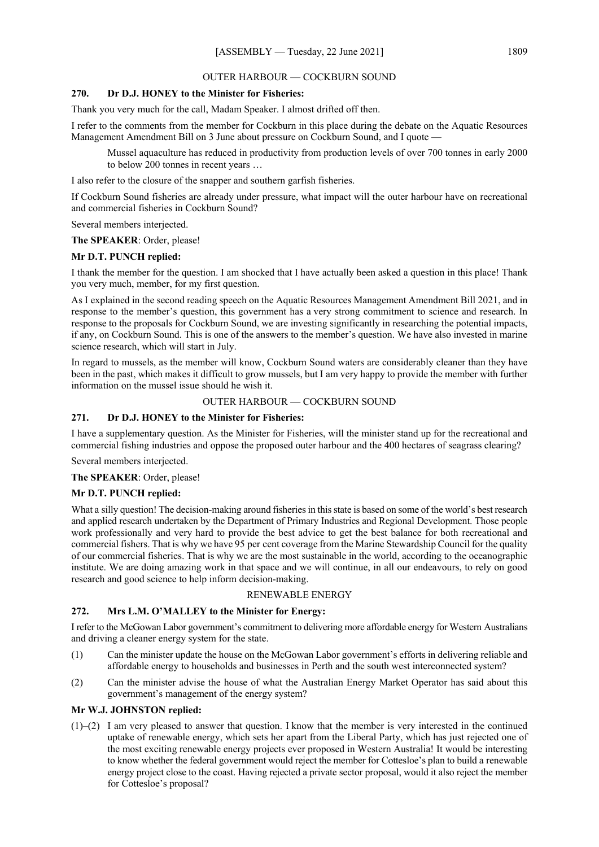# OUTER HARBOUR — COCKBURN SOUND

# **270. Dr D.J. HONEY to the Minister for Fisheries:**

Thank you very much for the call, Madam Speaker. I almost drifted off then.

I refer to the comments from the member for Cockburn in this place during the debate on the Aquatic Resources Management Amendment Bill on 3 June about pressure on Cockburn Sound, and I quote —

Mussel aquaculture has reduced in productivity from production levels of over 700 tonnes in early 2000 to below 200 tonnes in recent years …

I also refer to the closure of the snapper and southern garfish fisheries.

If Cockburn Sound fisheries are already under pressure, what impact will the outer harbour have on recreational and commercial fisheries in Cockburn Sound?

Several members interjected.

# **The SPEAKER**: Order, please!

# **Mr D.T. PUNCH replied:**

I thank the member for the question. I am shocked that I have actually been asked a question in this place! Thank you very much, member, for my first question.

As I explained in the second reading speech on the Aquatic Resources Management Amendment Bill 2021, and in response to the member's question, this government has a very strong commitment to science and research. In response to the proposals for Cockburn Sound, we are investing significantly in researching the potential impacts, if any, on Cockburn Sound. This is one of the answers to the member's question. We have also invested in marine science research, which will start in July.

In regard to mussels, as the member will know, Cockburn Sound waters are considerably cleaner than they have been in the past, which makes it difficult to grow mussels, but I am very happy to provide the member with further information on the mussel issue should he wish it.

# OUTER HARBOUR — COCKBURN SOUND

# **271. Dr D.J. HONEY to the Minister for Fisheries:**

I have a supplementary question. As the Minister for Fisheries, will the minister stand up for the recreational and commercial fishing industries and oppose the proposed outer harbour and the 400 hectares of seagrass clearing?

Several members interjected.

**The SPEAKER**: Order, please!

# **Mr D.T. PUNCH replied:**

What a silly question! The decision-making around fisheries in this state is based on some of the world's best research and applied research undertaken by the Department of Primary Industries and Regional Development. Those people work professionally and very hard to provide the best advice to get the best balance for both recreational and commercial fishers. That is why we have 95 per cent coverage from the Marine Stewardship Council for the quality of our commercial fisheries. That is why we are the most sustainable in the world, according to the oceanographic institute. We are doing amazing work in that space and we will continue, in all our endeavours, to rely on good research and good science to help inform decision-making.

## RENEWABLE ENERGY

# **272. Mrs L.M. O'MALLEY to the Minister for Energy:**

I refer to the McGowan Labor government's commitment to delivering more affordable energy for Western Australians and driving a cleaner energy system for the state.

- (1) Can the minister update the house on the McGowan Labor government's efforts in delivering reliable and affordable energy to households and businesses in Perth and the south west interconnected system?
- (2) Can the minister advise the house of what the Australian Energy Market Operator has said about this government's management of the energy system?

# **Mr W.J. JOHNSTON replied:**

(1)–(2) I am very pleased to answer that question. I know that the member is very interested in the continued uptake of renewable energy, which sets her apart from the Liberal Party, which has just rejected one of the most exciting renewable energy projects ever proposed in Western Australia! It would be interesting to know whether the federal government would reject the member for Cottesloe's plan to build a renewable energy project close to the coast. Having rejected a private sector proposal, would it also reject the member for Cottesloe's proposal?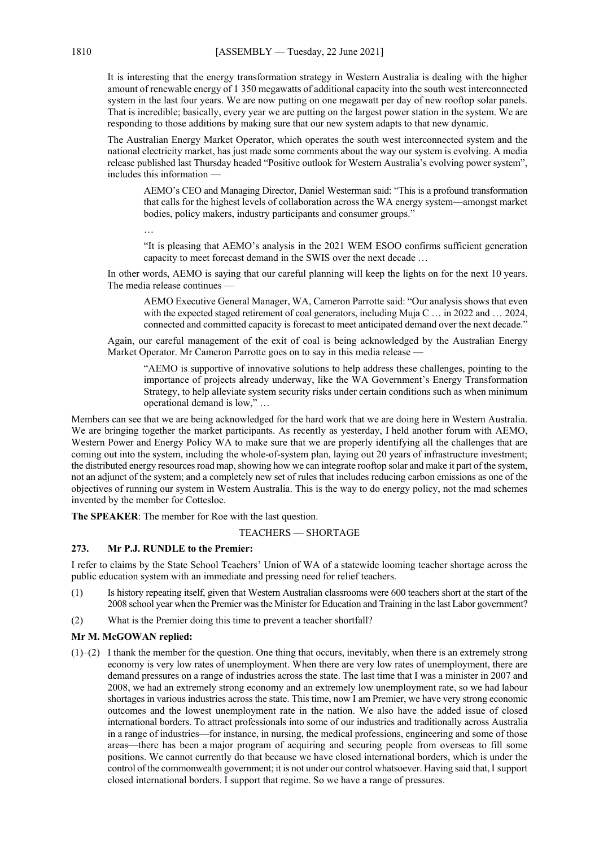It is interesting that the energy transformation strategy in Western Australia is dealing with the higher amount of renewable energy of 1 350 megawatts of additional capacity into the south west interconnected system in the last four years. We are now putting on one megawatt per day of new rooftop solar panels. That is incredible; basically, every year we are putting on the largest power station in the system. We are responding to those additions by making sure that our new system adapts to that new dynamic.

The Australian Energy Market Operator, which operates the south west interconnected system and the national electricity market, has just made some comments about the way our system is evolving. A media release published last Thursday headed "Positive outlook for Western Australia's evolving power system", includes this information —

AEMO's CEO and Managing Director, Daniel Westerman said: "This is a profound transformation that calls for the highest levels of collaboration across the WA energy system—amongst market bodies, policy makers, industry participants and consumer groups."

…

"It is pleasing that AEMO's analysis in the 2021 WEM ESOO confirms sufficient generation capacity to meet forecast demand in the SWIS over the next decade …

In other words, AEMO is saying that our careful planning will keep the lights on for the next 10 years. The media release continues —

AEMO Executive General Manager, WA, Cameron Parrotte said: "Our analysis shows that even with the expected staged retirement of coal generators, including Muja C ... in 2022 and ... 2024, connected and committed capacity is forecast to meet anticipated demand over the next decade."

Again, our careful management of the exit of coal is being acknowledged by the Australian Energy Market Operator. Mr Cameron Parrotte goes on to say in this media release –

"AEMO is supportive of innovative solutions to help address these challenges, pointing to the importance of projects already underway, like the WA Government's Energy Transformation Strategy, to help alleviate system security risks under certain conditions such as when minimum operational demand is low," …

Members can see that we are being acknowledged for the hard work that we are doing here in Western Australia. We are bringing together the market participants. As recently as yesterday, I held another forum with AEMO, Western Power and Energy Policy WA to make sure that we are properly identifying all the challenges that are coming out into the system, including the whole-of-system plan, laying out 20 years of infrastructure investment; the distributed energy resources road map, showing how we can integrate rooftop solar and make it part of the system, not an adjunct of the system; and a completely new set of rules that includes reducing carbon emissions as one of the objectives of running our system in Western Australia. This is the way to do energy policy, not the mad schemes invented by the member for Cottesloe.

**The SPEAKER**: The member for Roe with the last question.

TEACHERS — SHORTAGE

# **273. Mr P.J. RUNDLE to the Premier:**

I refer to claims by the State School Teachers' Union of WA of a statewide looming teacher shortage across the public education system with an immediate and pressing need for relief teachers.

- (1) Is history repeating itself, given that Western Australian classrooms were 600 teachers short at the start of the 2008 school year when the Premier was the Minister for Education and Training in the last Labor government?
- (2) What is the Premier doing this time to prevent a teacher shortfall?

## **Mr M. McGOWAN replied:**

 $(1)$ – $(2)$  I thank the member for the question. One thing that occurs, inevitably, when there is an extremely strong economy is very low rates of unemployment. When there are very low rates of unemployment, there are demand pressures on a range of industries across the state. The last time that I was a minister in 2007 and 2008, we had an extremely strong economy and an extremely low unemployment rate, so we had labour shortages in various industries across the state. This time, now I am Premier, we have very strong economic outcomes and the lowest unemployment rate in the nation. We also have the added issue of closed international borders. To attract professionals into some of our industries and traditionally across Australia in a range of industries—for instance, in nursing, the medical professions, engineering and some of those areas—there has been a major program of acquiring and securing people from overseas to fill some positions. We cannot currently do that because we have closed international borders, which is under the control of the commonwealth government; it is not under our control whatsoever. Having said that, I support closed international borders. I support that regime. So we have a range of pressures.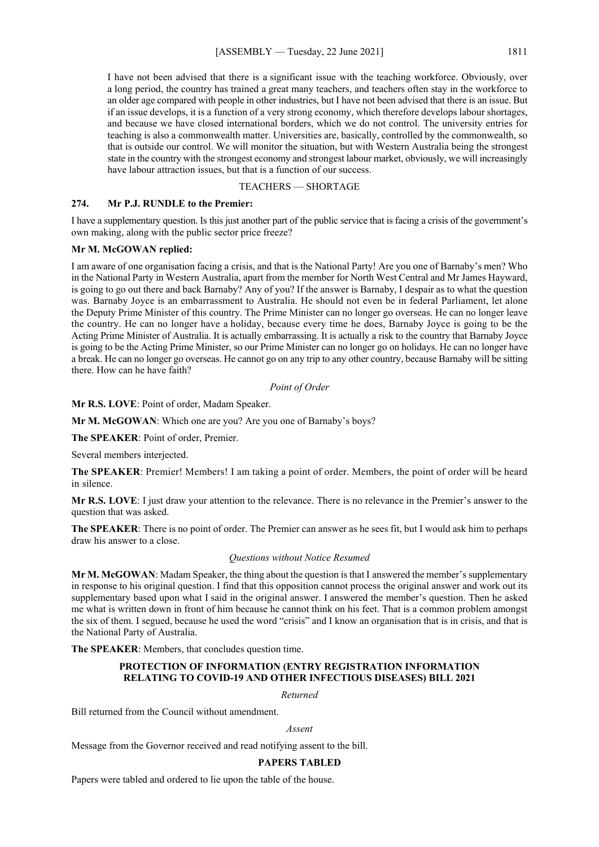I have not been advised that there is a significant issue with the teaching workforce. Obviously, over a long period, the country has trained a great many teachers, and teachers often stay in the workforce to an older age compared with people in other industries, but I have not been advised that there is an issue. But if an issue develops, it is a function of a very strong economy, which therefore develops labour shortages, and because we have closed international borders, which we do not control. The university entries for teaching is also a commonwealth matter. Universities are, basically, controlled by the commonwealth, so that is outside our control. We will monitor the situation, but with Western Australia being the strongest state in the country with the strongest economy and strongest labour market, obviously, we will increasingly have labour attraction issues, but that is a function of our success.

## TEACHERS — SHORTAGE

# **274. Mr P.J. RUNDLE to the Premier:**

I have a supplementary question. Is this just another part of the public service that is facing a crisis of the government's own making, along with the public sector price freeze?

#### **Mr M. McGOWAN replied:**

I am aware of one organisation facing a crisis, and that is the National Party! Are you one of Barnaby's men? Who in the National Party in Western Australia, apart from the member for North West Central and Mr James Hayward, is going to go out there and back Barnaby? Any of you? If the answer is Barnaby, I despair as to what the question was. Barnaby Joyce is an embarrassment to Australia. He should not even be in federal Parliament, let alone the Deputy Prime Minister of this country. The Prime Minister can no longer go overseas. He can no longer leave the country. He can no longer have a holiday, because every time he does, Barnaby Joyce is going to be the Acting Prime Minister of Australia. It is actually embarrassing. It is actually a risk to the country that Barnaby Joyce is going to be the Acting Prime Minister, so our Prime Minister can no longer go on holidays. He can no longer have a break. He can no longer go overseas. He cannot go on any trip to any other country, because Barnaby will be sitting there. How can he have faith?

#### *Point of Order*

**Mr R.S. LOVE**: Point of order, Madam Speaker.

**Mr M. McGOWAN**: Which one are you? Are you one of Barnaby's boys?

**The SPEAKER**: Point of order, Premier.

Several members interjected.

**The SPEAKER**: Premier! Members! I am taking a point of order. Members, the point of order will be heard in silence.

**Mr R.S. LOVE**: I just draw your attention to the relevance. There is no relevance in the Premier's answer to the question that was asked.

**The SPEAKER**: There is no point of order. The Premier can answer as he sees fit, but I would ask him to perhaps draw his answer to a close.

#### *Questions without Notice Resumed*

**Mr M. McGOWAN**: Madam Speaker, the thing about the question is that I answered the member's supplementary in response to his original question. I find that this opposition cannot process the original answer and work out its supplementary based upon what I said in the original answer. I answered the member's question. Then he asked me what is written down in front of him because he cannot think on his feet. That is a common problem amongst the six of them. I segued, because he used the word "crisis" and I know an organisation that is in crisis, and that is the National Party of Australia.

**The SPEAKER**: Members, that concludes question time.

# **PROTECTION OF INFORMATION (ENTRY REGISTRATION INFORMATION RELATING TO COVID-19 AND OTHER INFECTIOUS DISEASES) BILL 2021**

*Returned*

Bill returned from the Council without amendment.

#### *Assent*

Message from the Governor received and read notifying assent to the bill.

#### **PAPERS TABLED**

Papers were tabled and ordered to lie upon the table of the house.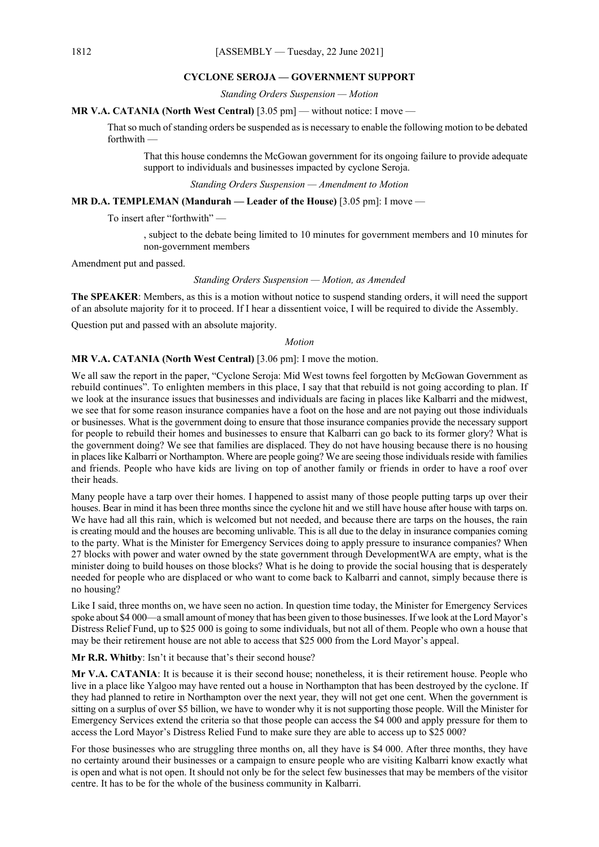#### **CYCLONE SEROJA — GOVERNMENT SUPPORT**

*Standing Orders Suspension — Motion*

**MR V.A. CATANIA (North West Central)** [3.05 pm] — without notice: I move —

That so much of standing orders be suspended as is necessary to enable the following motion to be debated forthwith —

That this house condemns the McGowan government for its ongoing failure to provide adequate support to individuals and businesses impacted by cyclone Seroja.

*Standing Orders Suspension — Amendment to Motion*

**MR D.A. TEMPLEMAN (Mandurah — Leader of the House)** [3.05 pm]: I move —

To insert after "forthwith" —

, subject to the debate being limited to 10 minutes for government members and 10 minutes for non-government members

Amendment put and passed.

## *Standing Orders Suspension — Motion, as Amended*

**The SPEAKER**: Members, as this is a motion without notice to suspend standing orders, it will need the support of an absolute majority for it to proceed. If I hear a dissentient voice, I will be required to divide the Assembly.

Question put and passed with an absolute majority.

#### *Motion*

**MR V.A. CATANIA (North West Central)** [3.06 pm]: I move the motion.

We all saw the report in the paper, "Cyclone Seroja: Mid West towns feel forgotten by McGowan Government as rebuild continues". To enlighten members in this place, I say that that rebuild is not going according to plan. If we look at the insurance issues that businesses and individuals are facing in places like Kalbarri and the midwest, we see that for some reason insurance companies have a foot on the hose and are not paying out those individuals or businesses. What is the government doing to ensure that those insurance companies provide the necessary support for people to rebuild their homes and businesses to ensure that Kalbarri can go back to its former glory? What is the government doing? We see that families are displaced. They do not have housing because there is no housing in places like Kalbarri or Northampton. Where are people going? We are seeing those individuals reside with families and friends. People who have kids are living on top of another family or friends in order to have a roof over their heads.

Many people have a tarp over their homes. I happened to assist many of those people putting tarps up over their houses. Bear in mind it has been three months since the cyclone hit and we still have house after house with tarps on. We have had all this rain, which is welcomed but not needed, and because there are tarps on the houses, the rain is creating mould and the houses are becoming unlivable. This is all due to the delay in insurance companies coming to the party. What is the Minister for Emergency Services doing to apply pressure to insurance companies? When 27 blocks with power and water owned by the state government through DevelopmentWA are empty, what is the minister doing to build houses on those blocks? What is he doing to provide the social housing that is desperately needed for people who are displaced or who want to come back to Kalbarri and cannot, simply because there is no housing?

Like I said, three months on, we have seen no action. In question time today, the Minister for Emergency Services spoke about \$4 000—a small amount of money that has been given to those businesses. If we look at the Lord Mayor's Distress Relief Fund, up to \$25 000 is going to some individuals, but not all of them. People who own a house that may be their retirement house are not able to access that \$25 000 from the Lord Mayor's appeal.

#### **Mr R.R. Whitby**: Isn't it because that's their second house?

**Mr V.A. CATANIA**: It is because it is their second house; nonetheless, it is their retirement house. People who live in a place like Yalgoo may have rented out a house in Northampton that has been destroyed by the cyclone. If they had planned to retire in Northampton over the next year, they will not get one cent. When the government is sitting on a surplus of over \$5 billion, we have to wonder why it is not supporting those people. Will the Minister for Emergency Services extend the criteria so that those people can access the \$4 000 and apply pressure for them to access the Lord Mayor's Distress Relied Fund to make sure they are able to access up to \$25 000?

For those businesses who are struggling three months on, all they have is \$4 000. After three months, they have no certainty around their businesses or a campaign to ensure people who are visiting Kalbarri know exactly what is open and what is not open. It should not only be for the select few businesses that may be members of the visitor centre. It has to be for the whole of the business community in Kalbarri.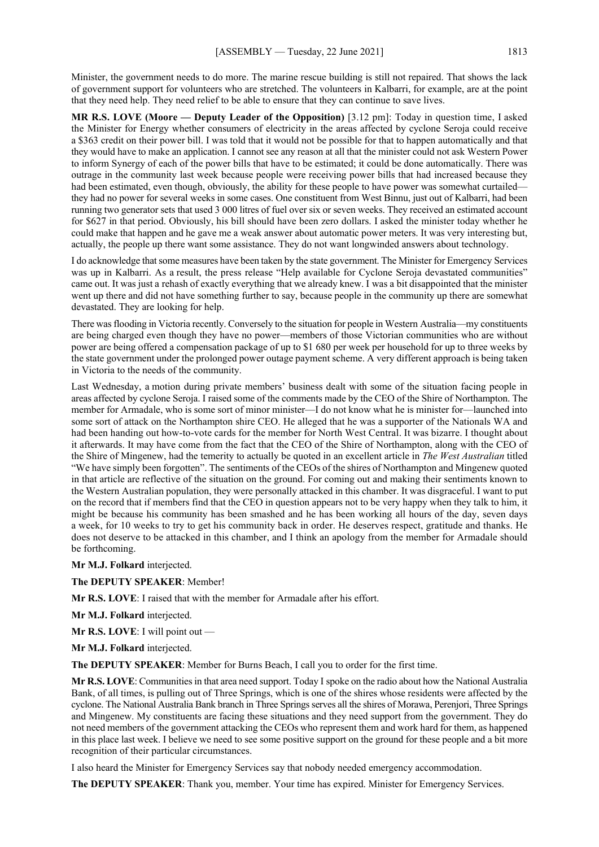Minister, the government needs to do more. The marine rescue building is still not repaired. That shows the lack of government support for volunteers who are stretched. The volunteers in Kalbarri, for example, are at the point that they need help. They need relief to be able to ensure that they can continue to save lives.

**MR R.S. LOVE (Moore — Deputy Leader of the Opposition)** [3.12 pm]: Today in question time, I asked the Minister for Energy whether consumers of electricity in the areas affected by cyclone Seroja could receive a \$363 credit on their power bill. I was told that it would not be possible for that to happen automatically and that they would have to make an application. I cannot see any reason at all that the minister could not ask Western Power to inform Synergy of each of the power bills that have to be estimated; it could be done automatically. There was outrage in the community last week because people were receiving power bills that had increased because they had been estimated, even though, obviously, the ability for these people to have power was somewhat curtailed they had no power for several weeks in some cases. One constituent from West Binnu, just out of Kalbarri, had been running two generator sets that used 3 000 litres of fuel over six or seven weeks. They received an estimated account for \$627 in that period. Obviously, his bill should have been zero dollars. I asked the minister today whether he could make that happen and he gave me a weak answer about automatic power meters. It was very interesting but, actually, the people up there want some assistance. They do not want longwinded answers about technology.

I do acknowledge that some measures have been taken by the state government. The Minister for Emergency Services was up in Kalbarri. As a result, the press release "Help available for Cyclone Seroja devastated communities" came out. It was just a rehash of exactly everything that we already knew. I was a bit disappointed that the minister went up there and did not have something further to say, because people in the community up there are somewhat devastated. They are looking for help.

There was flooding in Victoria recently. Conversely to the situation for people in Western Australia—my constituents are being charged even though they have no power—members of those Victorian communities who are without power are being offered a compensation package of up to \$1 680 per week per household for up to three weeks by the state government under the prolonged power outage payment scheme. A very different approach is being taken in Victoria to the needs of the community.

Last Wednesday, a motion during private members' business dealt with some of the situation facing people in areas affected by cyclone Seroja. I raised some of the comments made by the CEO of the Shire of Northampton. The member for Armadale, who is some sort of minor minister—I do not know what he is minister for—launched into some sort of attack on the Northampton shire CEO. He alleged that he was a supporter of the Nationals WA and had been handing out how-to-vote cards for the member for North West Central. It was bizarre. I thought about it afterwards. It may have come from the fact that the CEO of the Shire of Northampton, along with the CEO of the Shire of Mingenew, had the temerity to actually be quoted in an excellent article in *The West Australian* titled "We have simply been forgotten". The sentiments of the CEOs of the shires of Northampton and Mingenew quoted in that article are reflective of the situation on the ground. For coming out and making their sentiments known to the Western Australian population, they were personally attacked in this chamber. It was disgraceful. I want to put on the record that if members find that the CEO in question appears not to be very happy when they talk to him, it might be because his community has been smashed and he has been working all hours of the day, seven days a week, for 10 weeks to try to get his community back in order. He deserves respect, gratitude and thanks. He does not deserve to be attacked in this chamber, and I think an apology from the member for Armadale should be forthcoming.

**Mr M.J. Folkard** interjected.

**The DEPUTY SPEAKER**: Member!

**Mr R.S. LOVE**: I raised that with the member for Armadale after his effort.

**Mr M.J. Folkard** interjected.

**Mr R.S. LOVE**: I will point out —

**Mr M.J. Folkard** interjected.

**The DEPUTY SPEAKER**: Member for Burns Beach, I call you to order for the first time.

**Mr R.S. LOVE**: Communities in that area need support. Today I spoke on the radio about how the National Australia Bank, of all times, is pulling out of Three Springs, which is one of the shires whose residents were affected by the cyclone. The National Australia Bank branch in Three Springs serves all the shires of Morawa, Perenjori, Three Springs and Mingenew. My constituents are facing these situations and they need support from the government. They do not need members of the government attacking the CEOs who represent them and work hard for them, as happened in this place last week. I believe we need to see some positive support on the ground for these people and a bit more recognition of their particular circumstances.

I also heard the Minister for Emergency Services say that nobody needed emergency accommodation.

**The DEPUTY SPEAKER**: Thank you, member. Your time has expired. Minister for Emergency Services.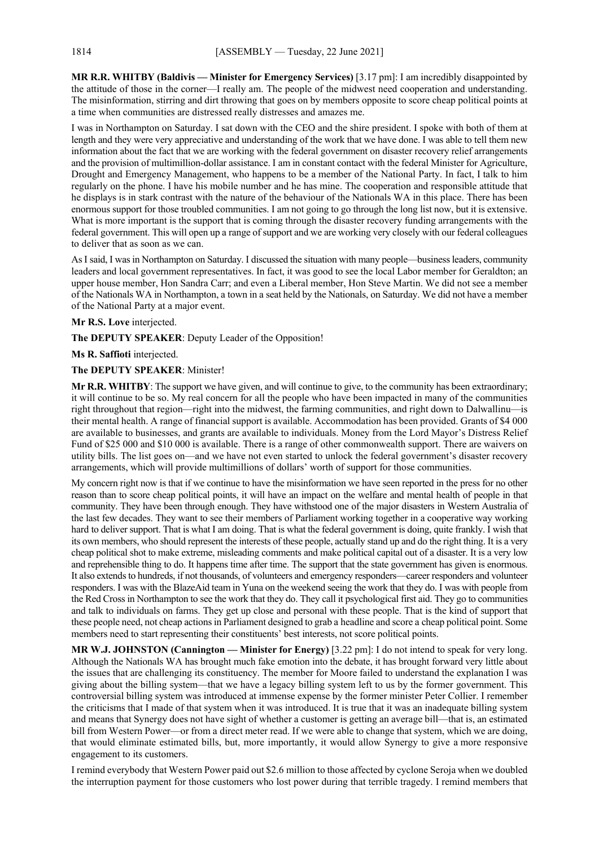**MR R.R. WHITBY (Baldivis — Minister for Emergency Services)** [3.17 pm]: I am incredibly disappointed by the attitude of those in the corner—I really am. The people of the midwest need cooperation and understanding. The misinformation, stirring and dirt throwing that goes on by members opposite to score cheap political points at a time when communities are distressed really distresses and amazes me.

I was in Northampton on Saturday. I sat down with the CEO and the shire president. I spoke with both of them at length and they were very appreciative and understanding of the work that we have done. I was able to tell them new information about the fact that we are working with the federal government on disaster recovery relief arrangements and the provision of multimillion-dollar assistance. I am in constant contact with the federal Minister for Agriculture, Drought and Emergency Management, who happens to be a member of the National Party. In fact, I talk to him regularly on the phone. I have his mobile number and he has mine. The cooperation and responsible attitude that he displays is in stark contrast with the nature of the behaviour of the Nationals WA in this place. There has been enormous support for those troubled communities. I am not going to go through the long list now, but it is extensive. What is more important is the support that is coming through the disaster recovery funding arrangements with the federal government. This will open up a range of support and we are working very closely with our federal colleagues to deliver that as soon as we can.

AsI said, I was in Northampton on Saturday. I discussed the situation with many people—business leaders, community leaders and local government representatives. In fact, it was good to see the local Labor member for Geraldton; an upper house member, Hon Sandra Carr; and even a Liberal member, Hon Steve Martin. We did not see a member of the Nationals WA in Northampton, a town in a seat held by the Nationals, on Saturday. We did not have a member of the National Party at a major event.

### **Mr R.S. Love** interjected.

**The DEPUTY SPEAKER**: Deputy Leader of the Opposition!

#### **Ms R. Saffioti** interjected.

**The DEPUTY SPEAKER**: Minister!

**Mr R.R. WHITBY**: The support we have given, and will continue to give, to the community has been extraordinary; it will continue to be so. My real concern for all the people who have been impacted in many of the communities right throughout that region—right into the midwest, the farming communities, and right down to Dalwallinu—is their mental health. A range of financial support is available. Accommodation has been provided. Grants of \$4 000 are available to businesses, and grants are available to individuals. Money from the Lord Mayor's Distress Relief Fund of \$25 000 and \$10 000 is available. There is a range of other commonwealth support. There are waivers on utility bills. The list goes on—and we have not even started to unlock the federal government's disaster recovery arrangements, which will provide multimillions of dollars' worth of support for those communities.

My concern right now is that if we continue to have the misinformation we have seen reported in the press for no other reason than to score cheap political points, it will have an impact on the welfare and mental health of people in that community. They have been through enough. They have withstood one of the major disasters in Western Australia of the last few decades. They want to see their members of Parliament working together in a cooperative way working hard to deliver support. That is what I am doing. That is what the federal government is doing, quite frankly. I wish that its own members, who should represent the interests of these people, actually stand up and do the right thing. It is a very cheap political shot to make extreme, misleading comments and make political capital out of a disaster. It is a very low and reprehensible thing to do. It happens time after time. The support that the state government has given is enormous. It also extends to hundreds, if not thousands, of volunteers and emergency responders—career responders and volunteer responders. I was with the BlazeAid team in Yuna on the weekend seeing the work that they do. I was with people from the Red Cross in Northampton to see the work that they do. They call it psychological first aid. They go to communities and talk to individuals on farms. They get up close and personal with these people. That is the kind of support that these people need, not cheap actions in Parliament designed to grab a headline and score a cheap political point. Some members need to start representing their constituents' best interests, not score political points.

**MR W.J. JOHNSTON (Cannington — Minister for Energy)** [3.22 pm]: I do not intend to speak for very long. Although the Nationals WA has brought much fake emotion into the debate, it has brought forward very little about the issues that are challenging its constituency. The member for Moore failed to understand the explanation I was giving about the billing system—that we have a legacy billing system left to us by the former government. This controversial billing system was introduced at immense expense by the former minister Peter Collier. I remember the criticisms that I made of that system when it was introduced. It is true that it was an inadequate billing system and means that Synergy does not have sight of whether a customer is getting an average bill—that is, an estimated bill from Western Power—or from a direct meter read. If we were able to change that system, which we are doing, that would eliminate estimated bills, but, more importantly, it would allow Synergy to give a more responsive engagement to its customers.

I remind everybody that Western Power paid out \$2.6 million to those affected by cyclone Seroja when we doubled the interruption payment for those customers who lost power during that terrible tragedy. I remind members that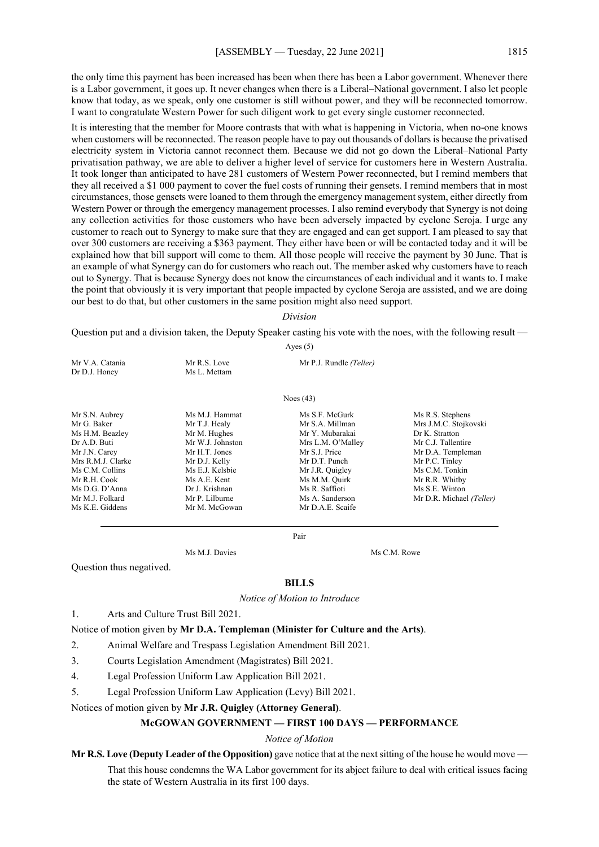the only time this payment has been increased has been when there has been a Labor government. Whenever there is a Labor government, it goes up. It never changes when there is a Liberal–National government. I also let people know that today, as we speak, only one customer is still without power, and they will be reconnected tomorrow. I want to congratulate Western Power for such diligent work to get every single customer reconnected.

It is interesting that the member for Moore contrasts that with what is happening in Victoria, when no-one knows when customers will be reconnected. The reason people have to pay out thousands of dollars is because the privatised electricity system in Victoria cannot reconnect them. Because we did not go down the Liberal–National Party privatisation pathway, we are able to deliver a higher level of service for customers here in Western Australia. It took longer than anticipated to have 281 customers of Western Power reconnected, but I remind members that they all received a \$1 000 payment to cover the fuel costs of running their gensets. I remind members that in most circumstances, those gensets were loaned to them through the emergency management system, either directly from Western Power or through the emergency management processes. I also remind everybody that Synergy is not doing any collection activities for those customers who have been adversely impacted by cyclone Seroja. I urge any customer to reach out to Synergy to make sure that they are engaged and can get support. I am pleased to say that over 300 customers are receiving a \$363 payment. They either have been or will be contacted today and it will be explained how that bill support will come to them. All those people will receive the payment by 30 June. That is an example of what Synergy can do for customers who reach out. The member asked why customers have to reach out to Synergy. That is because Synergy does not know the circumstances of each individual and it wants to. I make the point that obviously it is very important that people impacted by cyclone Seroja are assisted, and we are doing our best to do that, but other customers in the same position might also need support.

## *Division*

Question put and a division taken, the Deputy Speaker casting his vote with the noes, with the following result —

Ayes (5)

| Mr V.A. Catania   | Mr R.S. Love     | Mr P.J. Rundle (Teller) |                      |
|-------------------|------------------|-------------------------|----------------------|
| Dr D.J. Honey     | Ms L. Mettam     |                         |                      |
|                   |                  | Noes $(43)$             |                      |
| Mr S.N. Aubrey    | Ms M.J. Hammat   | Ms S.F. McGurk          | Ms R.S. Stephens     |
| Mr G. Baker       | Mr T.J. Healy    | Mr S.A. Millman         | Mrs J.M.C. Stojkovsl |
| Ms H.M. Beazley   | Mr M. Hughes     | Mr Y. Mubarakai         | Dr K. Stratton       |
| Dr A.D. Buti      | Mr W.J. Johnston | Mrs L.M. O'Malley       | Mr C.J. Tallentire   |
| Mr J.N. Carey     | Mr H.T. Jones    | Mr S.J. Price           | Mr D.A. Templeman    |
| Mrs R.M.J. Clarke | Mr D.J. Kelly    | Mr D.T. Punch           | Mr P.C. Tinley       |

Is R.S. Stephens frs J.M.C. Stojkovski<br><sub>Ir K.</sub> Stratton Ir C.J. Tallentire Ms C.M. Collins Ms E.J. Kelsbie Mr J.R. Quigley Ms C.M. Tonkin<br>Mr R.H. Cook Ms A.E. Kent Ms M.M. Quirk Mr R.R. Whitby Mr A.E. Kent Ms M.M. Quirk Mr R.R. Whitby<br>Dr J. Krishnan Ms R. Ms R. Saffioti Ms S.E. Winton Mr M.J. Folkard Mr P. Lilburne Ms A. Sanderson Mr D.R. Michael *(Teller)* 

Pair

Ms M.J. Davies Ms C.M. Rowe

Question thus negatived.

#### **BILLS**

*Notice of Motion to Introduce*

#### 1. Arts and Culture Trust Bill 2021.

Ms D.G. D'Anna Dr J. Krishnan<br>Mr M I. Folkard Mr P. Lilburne

Notice of motion given by **Mr D.A. Templeman (Minister for Culture and the Arts)**.

2. Animal Welfare and Trespass Legislation Amendment Bill 2021.

Ms K.E. Giddens Mr M. McGowan Mr D.A.E. Scaife

- 3. Courts Legislation Amendment (Magistrates) Bill 2021.
- 4. Legal Profession Uniform Law Application Bill 2021.
- 5. Legal Profession Uniform Law Application (Levy) Bill 2021.

Notices of motion given by **Mr J.R. Quigley (Attorney General)**.

## **McGOWAN GOVERNMENT — FIRST 100 DAYS — PERFORMANCE**

*Notice of Motion*

**Mr R.S. Love (Deputy Leader of the Opposition)** gave notice that at the next sitting of the house he would move — That this house condemns the WA Labor government for its abject failure to deal with critical issues facing the state of Western Australia in its first 100 days.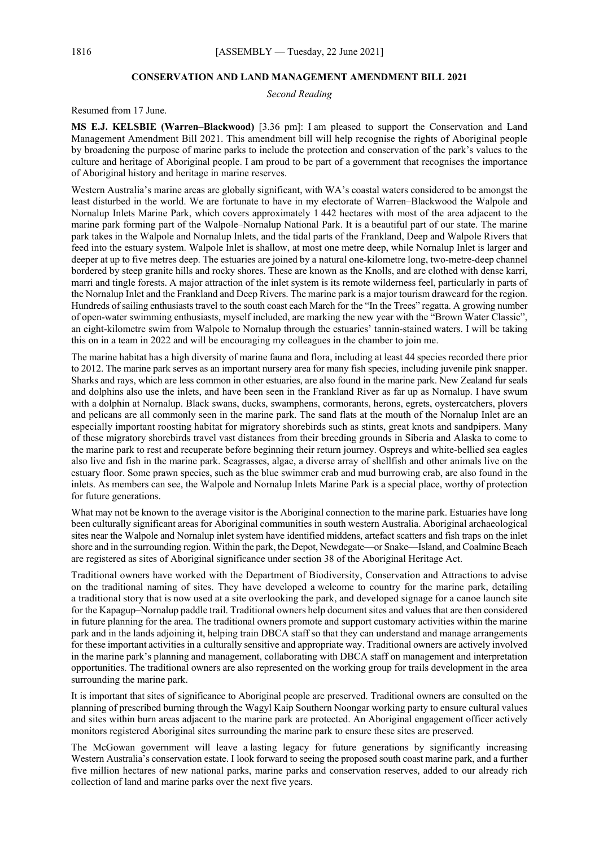# **CONSERVATION AND LAND MANAGEMENT AMENDMENT BILL 2021**

*Second Reading*

Resumed from 17 June.

**MS E.J. KELSBIE (Warren–Blackwood)** [3.36 pm]: I am pleased to support the Conservation and Land Management Amendment Bill 2021. This amendment bill will help recognise the rights of Aboriginal people by broadening the purpose of marine parks to include the protection and conservation of the park's values to the culture and heritage of Aboriginal people. I am proud to be part of a government that recognises the importance of Aboriginal history and heritage in marine reserves.

Western Australia's marine areas are globally significant, with WA's coastal waters considered to be amongst the least disturbed in the world. We are fortunate to have in my electorate of Warren–Blackwood the Walpole and Nornalup Inlets Marine Park, which covers approximately 1 442 hectares with most of the area adjacent to the marine park forming part of the Walpole–Nornalup National Park. It is a beautiful part of our state. The marine park takes in the Walpole and Nornalup Inlets, and the tidal parts of the Frankland, Deep and Walpole Rivers that feed into the estuary system. Walpole Inlet is shallow, at most one metre deep, while Nornalup Inlet is larger and deeper at up to five metres deep. The estuaries are joined by a natural one-kilometre long, two-metre-deep channel bordered by steep granite hills and rocky shores. These are known as the Knolls, and are clothed with dense karri, marri and tingle forests. A major attraction of the inlet system is its remote wilderness feel, particularly in parts of the Nornalup Inlet and the Frankland and Deep Rivers. The marine park is a major tourism drawcard for the region. Hundreds of sailing enthusiasts travel to the south coast each March for the "In the Trees" regatta. A growing number of open-water swimming enthusiasts, myself included, are marking the new year with the "Brown Water Classic", an eight-kilometre swim from Walpole to Nornalup through the estuaries' tannin-stained waters. I will be taking this on in a team in 2022 and will be encouraging my colleagues in the chamber to join me.

The marine habitat has a high diversity of marine fauna and flora, including at least 44 species recorded there prior to 2012. The marine park serves as an important nursery area for many fish species, including juvenile pink snapper. Sharks and rays, which are less common in other estuaries, are also found in the marine park. New Zealand fur seals and dolphins also use the inlets, and have been seen in the Frankland River as far up as Nornalup. I have swum with a dolphin at Nornalup. Black swans, ducks, swamphens, cormorants, herons, egrets, oystercatchers, plovers and pelicans are all commonly seen in the marine park. The sand flats at the mouth of the Nornalup Inlet are an especially important roosting habitat for migratory shorebirds such as stints, great knots and sandpipers. Many of these migratory shorebirds travel vast distances from their breeding grounds in Siberia and Alaska to come to the marine park to rest and recuperate before beginning their return journey. Ospreys and white-bellied sea eagles also live and fish in the marine park. Seagrasses, algae, a diverse array of shellfish and other animals live on the estuary floor. Some prawn species, such as the blue swimmer crab and mud burrowing crab, are also found in the inlets. As members can see, the Walpole and Nornalup Inlets Marine Park is a special place, worthy of protection for future generations.

What may not be known to the average visitor is the Aboriginal connection to the marine park. Estuaries have long been culturally significant areas for Aboriginal communities in south western Australia. Aboriginal archaeological sites near the Walpole and Nornalup inlet system have identified middens, artefact scatters and fish traps on the inlet shore and in the surrounding region. Within the park, the Depot, Newdegate—or Snake—Island, and Coalmine Beach are registered as sites of Aboriginal significance under section 38 of the Aboriginal Heritage Act.

Traditional owners have worked with the Department of Biodiversity, Conservation and Attractions to advise on the traditional naming of sites. They have developed a welcome to country for the marine park, detailing a traditional story that is now used at a site overlooking the park, and developed signage for a canoe launch site for the Kapagup–Nornalup paddle trail. Traditional owners help document sites and values that are then considered in future planning for the area. The traditional owners promote and support customary activities within the marine park and in the lands adjoining it, helping train DBCA staff so that they can understand and manage arrangements for these important activities in a culturally sensitive and appropriate way. Traditional owners are actively involved in the marine park's planning and management, collaborating with DBCA staff on management and interpretation opportunities. The traditional owners are also represented on the working group for trails development in the area surrounding the marine park.

It is important that sites of significance to Aboriginal people are preserved. Traditional owners are consulted on the planning of prescribed burning through the Wagyl Kaip Southern Noongar working party to ensure cultural values and sites within burn areas adjacent to the marine park are protected. An Aboriginal engagement officer actively monitors registered Aboriginal sites surrounding the marine park to ensure these sites are preserved.

The McGowan government will leave a lasting legacy for future generations by significantly increasing Western Australia's conservation estate. I look forward to seeing the proposed south coast marine park, and a further five million hectares of new national parks, marine parks and conservation reserves, added to our already rich collection of land and marine parks over the next five years.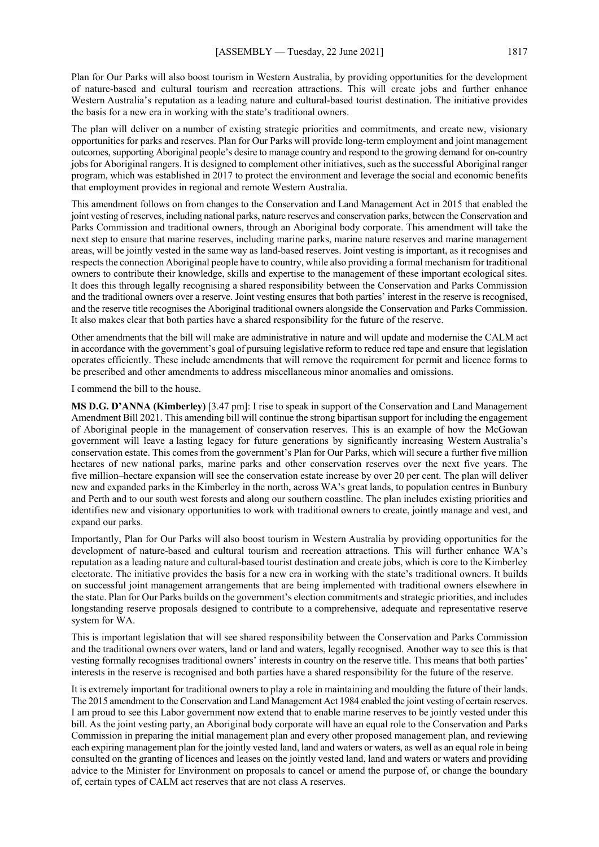Plan for Our Parks will also boost tourism in Western Australia, by providing opportunities for the development of nature-based and cultural tourism and recreation attractions. This will create jobs and further enhance Western Australia's reputation as a leading nature and cultural-based tourist destination. The initiative provides the basis for a new era in working with the state's traditional owners.

The plan will deliver on a number of existing strategic priorities and commitments, and create new, visionary opportunities for parks and reserves. Plan for Our Parks will provide long-term employment and joint management outcomes, supporting Aboriginal people's desire to manage country and respond to the growing demand for on-country jobs for Aboriginal rangers. It is designed to complement other initiatives, such as the successful Aboriginal ranger program, which was established in 2017 to protect the environment and leverage the social and economic benefits that employment provides in regional and remote Western Australia.

This amendment follows on from changes to the Conservation and Land Management Act in 2015 that enabled the joint vesting of reserves, including national parks, nature reserves and conservation parks, between the Conservation and Parks Commission and traditional owners, through an Aboriginal body corporate. This amendment will take the next step to ensure that marine reserves, including marine parks, marine nature reserves and marine management areas, will be jointly vested in the same way as land-based reserves. Joint vesting is important, as it recognises and respects the connection Aboriginal people have to country, while also providing a formal mechanism for traditional owners to contribute their knowledge, skills and expertise to the management of these important ecological sites. It does this through legally recognising a shared responsibility between the Conservation and Parks Commission and the traditional owners over a reserve. Joint vesting ensures that both parties' interest in the reserve is recognised, and the reserve title recognises the Aboriginal traditional owners alongside the Conservation and Parks Commission. It also makes clear that both parties have a shared responsibility for the future of the reserve.

Other amendments that the bill will make are administrative in nature and will update and modernise the CALM act in accordance with the government's goal of pursuing legislative reform to reduce red tape and ensure that legislation operates efficiently. These include amendments that will remove the requirement for permit and licence forms to be prescribed and other amendments to address miscellaneous minor anomalies and omissions.

I commend the bill to the house.

**MS D.G. D'ANNA (Kimberley)** [3.47 pm]: I rise to speak in support of the Conservation and Land Management Amendment Bill 2021. This amending bill will continue the strong bipartisan support for including the engagement of Aboriginal people in the management of conservation reserves. This is an example of how the McGowan government will leave a lasting legacy for future generations by significantly increasing Western Australia's conservation estate. This comes from the government's Plan for Our Parks, which will secure a further five million hectares of new national parks, marine parks and other conservation reserves over the next five years. The five million–hectare expansion will see the conservation estate increase by over 20 per cent. The plan will deliver new and expanded parks in the Kimberley in the north, across WA's great lands, to population centres in Bunbury and Perth and to our south west forests and along our southern coastline. The plan includes existing priorities and identifies new and visionary opportunities to work with traditional owners to create, jointly manage and vest, and expand our parks.

Importantly, Plan for Our Parks will also boost tourism in Western Australia by providing opportunities for the development of nature-based and cultural tourism and recreation attractions. This will further enhance WA's reputation as a leading nature and cultural-based tourist destination and create jobs, which is core to the Kimberley electorate. The initiative provides the basis for a new era in working with the state's traditional owners. It builds on successful joint management arrangements that are being implemented with traditional owners elsewhere in the state. Plan for Our Parks builds on the government's election commitments and strategic priorities, and includes longstanding reserve proposals designed to contribute to a comprehensive, adequate and representative reserve system for WA.

This is important legislation that will see shared responsibility between the Conservation and Parks Commission and the traditional owners over waters, land or land and waters, legally recognised. Another way to see this is that vesting formally recognises traditional owners' interests in country on the reserve title. This means that both parties' interests in the reserve is recognised and both parties have a shared responsibility for the future of the reserve.

It is extremely important for traditional owners to play a role in maintaining and moulding the future of their lands. The 2015 amendment to the Conservation and Land Management Act 1984 enabled the joint vesting of certain reserves. I am proud to see this Labor government now extend that to enable marine reserves to be jointly vested under this bill. As the joint vesting party, an Aboriginal body corporate will have an equal role to the Conservation and Parks Commission in preparing the initial management plan and every other proposed management plan, and reviewing each expiring management plan for the jointly vested land, land and waters or waters, as well as an equal role in being consulted on the granting of licences and leases on the jointly vested land, land and waters or waters and providing advice to the Minister for Environment on proposals to cancel or amend the purpose of, or change the boundary of, certain types of CALM act reserves that are not class A reserves.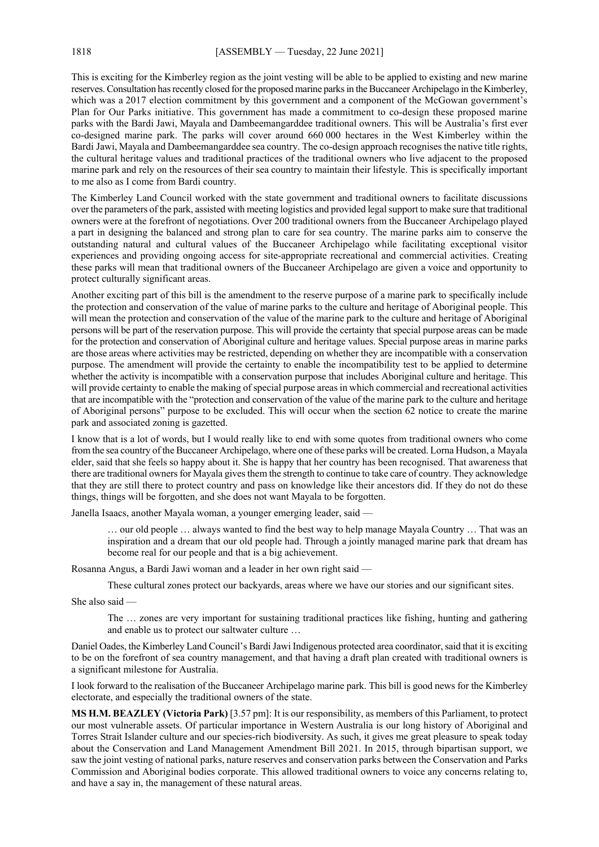This is exciting for the Kimberley region as the joint vesting will be able to be applied to existing and new marine reserves. Consultation has recently closed for the proposed marine parks in the Buccaneer Archipelago in the Kimberley, which was a 2017 election commitment by this government and a component of the McGowan government's Plan for Our Parks initiative. This government has made a commitment to co-design these proposed marine parks with the Bardi Jawi, Mayala and Dambeemangarddee traditional owners. This will be Australia's first ever co-designed marine park. The parks will cover around 660 000 hectares in the West Kimberley within the Bardi Jawi, Mayala and Dambeemangarddee sea country. The co-design approach recognises the native title rights, the cultural heritage values and traditional practices of the traditional owners who live adjacent to the proposed marine park and rely on the resources of their sea country to maintain their lifestyle. This is specifically important to me also as I come from Bardi country.

The Kimberley Land Council worked with the state government and traditional owners to facilitate discussions over the parameters of the park, assisted with meeting logistics and provided legal support to make sure that traditional owners were at the forefront of negotiations. Over 200 traditional owners from the Buccaneer Archipelago played a part in designing the balanced and strong plan to care for sea country. The marine parks aim to conserve the outstanding natural and cultural values of the Buccaneer Archipelago while facilitating exceptional visitor experiences and providing ongoing access for site-appropriate recreational and commercial activities. Creating these parks will mean that traditional owners of the Buccaneer Archipelago are given a voice and opportunity to protect culturally significant areas.

Another exciting part of this bill is the amendment to the reserve purpose of a marine park to specifically include the protection and conservation of the value of marine parks to the culture and heritage of Aboriginal people. This will mean the protection and conservation of the value of the marine park to the culture and heritage of Aboriginal persons will be part of the reservation purpose. This will provide the certainty that special purpose areas can be made for the protection and conservation of Aboriginal culture and heritage values. Special purpose areas in marine parks are those areas where activities may be restricted, depending on whether they are incompatible with a conservation purpose. The amendment will provide the certainty to enable the incompatibility test to be applied to determine whether the activity is incompatible with a conservation purpose that includes Aboriginal culture and heritage. This will provide certainty to enable the making of special purpose areas in which commercial and recreational activities that are incompatible with the "protection and conservation of the value of the marine park to the culture and heritage of Aboriginal persons" purpose to be excluded. This will occur when the section 62 notice to create the marine park and associated zoning is gazetted.

I know that is a lot of words, but I would really like to end with some quotes from traditional owners who come from the sea country of the Buccaneer Archipelago, where one of these parks will be created. Lorna Hudson, a Mayala elder, said that she feels so happy about it. She is happy that her country has been recognised. That awareness that there are traditional owners for Mayala gives them the strength to continue to take care of country. They acknowledge that they are still there to protect country and pass on knowledge like their ancestors did. If they do not do these things, things will be forgotten, and she does not want Mayala to be forgotten.

Janella Isaacs, another Mayala woman, a younger emerging leader, said —

… our old people … always wanted to find the best way to help manage Mayala Country … That was an inspiration and a dream that our old people had. Through a jointly managed marine park that dream has become real for our people and that is a big achievement.

Rosanna Angus, a Bardi Jawi woman and a leader in her own right said —

These cultural zones protect our backyards, areas where we have our stories and our significant sites.

She also said —

The … zones are very important for sustaining traditional practices like fishing, hunting and gathering and enable us to protect our saltwater culture …

Daniel Oades, the Kimberley Land Council's Bardi Jawi Indigenous protected area coordinator, said that it is exciting to be on the forefront of sea country management, and that having a draft plan created with traditional owners is a significant milestone for Australia.

I look forward to the realisation of the Buccaneer Archipelago marine park. This bill is good news for the Kimberley electorate, and especially the traditional owners of the state.

**MS H.M. BEAZLEY (Victoria Park)** [3.57 pm]: It is our responsibility, as members of this Parliament, to protect our most vulnerable assets. Of particular importance in Western Australia is our long history of Aboriginal and Torres Strait Islander culture and our species-rich biodiversity. As such, it gives me great pleasure to speak today about the Conservation and Land Management Amendment Bill 2021. In 2015, through bipartisan support, we saw the joint vesting of national parks, nature reserves and conservation parks between the Conservation and Parks Commission and Aboriginal bodies corporate. This allowed traditional owners to voice any concerns relating to, and have a say in, the management of these natural areas.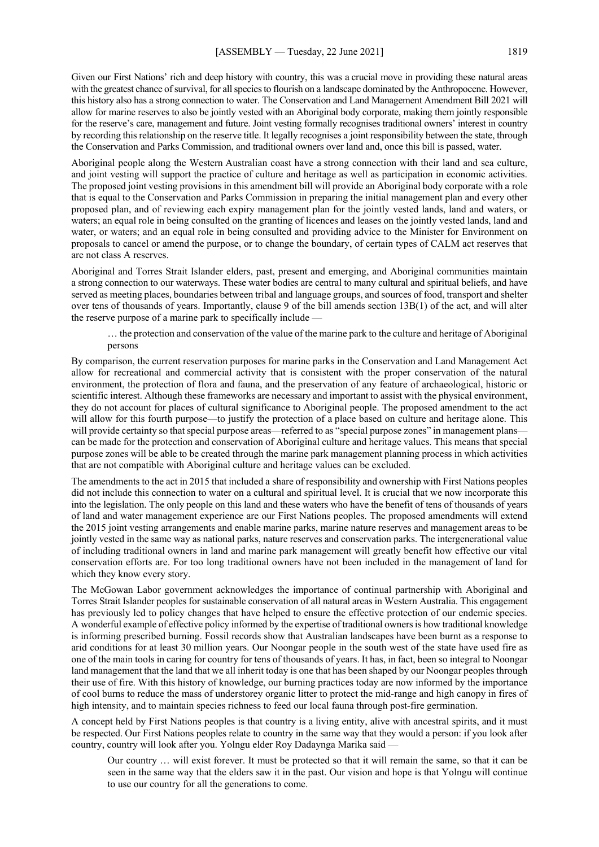Given our First Nations' rich and deep history with country, this was a crucial move in providing these natural areas with the greatest chance of survival, for all species to flourish on a landscape dominated by the Anthropocene. However, this history also has a strong connection to water. The Conservation and Land Management Amendment Bill 2021 will allow for marine reserves to also be jointly vested with an Aboriginal body corporate, making them jointly responsible for the reserve's care, management and future. Joint vesting formally recognises traditional owners' interest in country by recording this relationship on the reserve title. It legally recognises a joint responsibility between the state, through the Conservation and Parks Commission, and traditional owners over land and, once this bill is passed, water.

Aboriginal people along the Western Australian coast have a strong connection with their land and sea culture, and joint vesting will support the practice of culture and heritage as well as participation in economic activities. The proposed joint vesting provisions in this amendment bill will provide an Aboriginal body corporate with a role that is equal to the Conservation and Parks Commission in preparing the initial management plan and every other proposed plan, and of reviewing each expiry management plan for the jointly vested lands, land and waters, or waters; an equal role in being consulted on the granting of licences and leases on the jointly vested lands, land and water, or waters; and an equal role in being consulted and providing advice to the Minister for Environment on proposals to cancel or amend the purpose, or to change the boundary, of certain types of CALM act reserves that are not class A reserves.

Aboriginal and Torres Strait Islander elders, past, present and emerging, and Aboriginal communities maintain a strong connection to our waterways. These water bodies are central to many cultural and spiritual beliefs, and have served as meeting places, boundaries between tribal and language groups, and sources of food, transport and shelter over tens of thousands of years. Importantly, clause 9 of the bill amends section 13B(1) of the act, and will alter the reserve purpose of a marine park to specifically include —

… the protection and conservation of the value of the marine park to the culture and heritage of Aboriginal persons

By comparison, the current reservation purposes for marine parks in the Conservation and Land Management Act allow for recreational and commercial activity that is consistent with the proper conservation of the natural environment, the protection of flora and fauna, and the preservation of any feature of archaeological, historic or scientific interest. Although these frameworks are necessary and important to assist with the physical environment, they do not account for places of cultural significance to Aboriginal people. The proposed amendment to the act will allow for this fourth purpose—to justify the protection of a place based on culture and heritage alone. This will provide certainty so that special purpose areas—referred to as "special purpose zones" in management planscan be made for the protection and conservation of Aboriginal culture and heritage values. This means that special purpose zones will be able to be created through the marine park management planning process in which activities that are not compatible with Aboriginal culture and heritage values can be excluded.

The amendments to the act in 2015 that included a share of responsibility and ownership with First Nations peoples did not include this connection to water on a cultural and spiritual level. It is crucial that we now incorporate this into the legislation. The only people on this land and these waters who have the benefit of tens of thousands of years of land and water management experience are our First Nations peoples. The proposed amendments will extend the 2015 joint vesting arrangements and enable marine parks, marine nature reserves and management areas to be jointly vested in the same way as national parks, nature reserves and conservation parks. The intergenerational value of including traditional owners in land and marine park management will greatly benefit how effective our vital conservation efforts are. For too long traditional owners have not been included in the management of land for which they know every story.

The McGowan Labor government acknowledges the importance of continual partnership with Aboriginal and Torres Strait Islander peoples for sustainable conservation of all natural areas in Western Australia. This engagement has previously led to policy changes that have helped to ensure the effective protection of our endemic species. A wonderful example of effective policy informed by the expertise of traditional owners is how traditional knowledge is informing prescribed burning. Fossil records show that Australian landscapes have been burnt as a response to arid conditions for at least 30 million years. Our Noongar people in the south west of the state have used fire as one of the main tools in caring for country for tens of thousands of years. It has, in fact, been so integral to Noongar land management that the land that we all inherit today is one that has been shaped by our Noongar peoples through their use of fire. With this history of knowledge, our burning practices today are now informed by the importance of cool burns to reduce the mass of understorey organic litter to protect the mid-range and high canopy in fires of high intensity, and to maintain species richness to feed our local fauna through post-fire germination.

A concept held by First Nations peoples is that country is a living entity, alive with ancestral spirits, and it must be respected. Our First Nations peoples relate to country in the same way that they would a person: if you look after country, country will look after you. Yolngu elder Roy Dadaynga Marika said —

Our country … will exist forever. It must be protected so that it will remain the same, so that it can be seen in the same way that the elders saw it in the past. Our vision and hope is that Yolngu will continue to use our country for all the generations to come.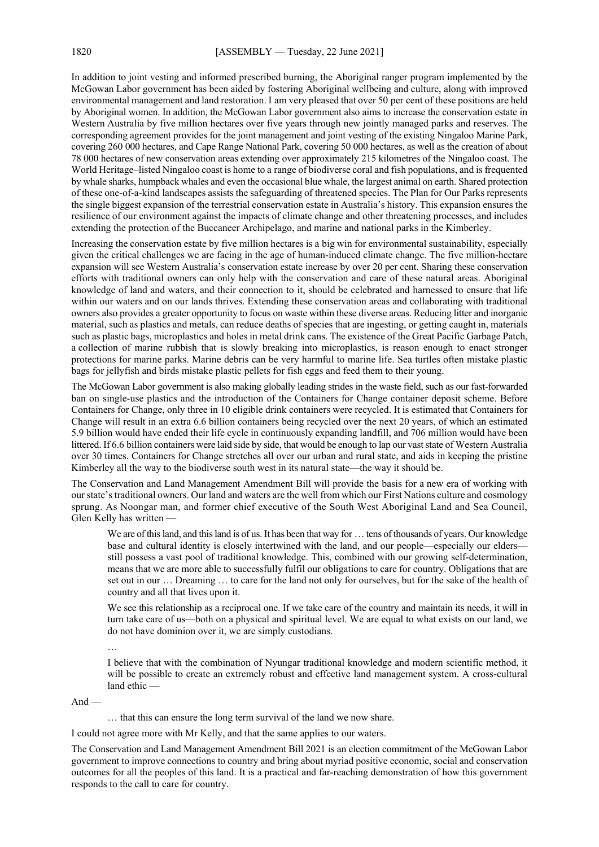In addition to joint vesting and informed prescribed burning, the Aboriginal ranger program implemented by the McGowan Labor government has been aided by fostering Aboriginal wellbeing and culture, along with improved environmental management and land restoration. I am very pleased that over 50 per cent of these positions are held by Aboriginal women. In addition, the McGowan Labor government also aims to increase the conservation estate in Western Australia by five million hectares over five years through new jointly managed parks and reserves. The corresponding agreement provides for the joint management and joint vesting of the existing Ningaloo Marine Park, covering 260 000 hectares, and Cape Range National Park, covering 50 000 hectares, as well as the creation of about 78 000 hectares of new conservation areas extending over approximately 215 kilometres of the Ningaloo coast. The World Heritage–listed Ningaloo coast is home to a range of biodiverse coral and fish populations, and is frequented by whale sharks, humpback whales and even the occasional blue whale, the largest animal on earth. Shared protection of these one-of-a-kind landscapes assists the safeguarding of threatened species. The Plan for Our Parks represents the single biggest expansion of the terrestrial conservation estate in Australia's history. This expansion ensures the resilience of our environment against the impacts of climate change and other threatening processes, and includes extending the protection of the Buccaneer Archipelago, and marine and national parks in the Kimberley.

Increasing the conservation estate by five million hectares is a big win for environmental sustainability, especially given the critical challenges we are facing in the age of human-induced climate change. The five million-hectare expansion will see Western Australia's conservation estate increase by over 20 per cent. Sharing these conservation efforts with traditional owners can only help with the conservation and care of these natural areas. Aboriginal knowledge of land and waters, and their connection to it, should be celebrated and harnessed to ensure that life within our waters and on our lands thrives. Extending these conservation areas and collaborating with traditional owners also provides a greater opportunity to focus on waste within these diverse areas. Reducing litter and inorganic material, such as plastics and metals, can reduce deaths of species that are ingesting, or getting caught in, materials such as plastic bags, microplastics and holes in metal drink cans. The existence of the Great Pacific Garbage Patch, a collection of marine rubbish that is slowly breaking into microplastics, is reason enough to enact stronger protections for marine parks. Marine debris can be very harmful to marine life. Sea turtles often mistake plastic bags for jellyfish and birds mistake plastic pellets for fish eggs and feed them to their young.

The McGowan Labor government is also making globally leading strides in the waste field, such as our fast-forwarded ban on single-use plastics and the introduction of the Containers for Change container deposit scheme. Before Containers for Change, only three in 10 eligible drink containers were recycled. It is estimated that Containers for Change will result in an extra 6.6 billion containers being recycled over the next 20 years, of which an estimated 5.9 billion would have ended their life cycle in continuously expanding landfill, and 706 million would have been littered. If 6.6 billion containers were laid side by side, that would be enough to lap our vast state of Western Australia over 30 times. Containers for Change stretches all over our urban and rural state, and aids in keeping the pristine Kimberley all the way to the biodiverse south west in its natural state—the way it should be.

The Conservation and Land Management Amendment Bill will provide the basis for a new era of working with our state's traditional owners. Our land and waters are the well from which our First Nations culture and cosmology sprung. As Noongar man, and former chief executive of the South West Aboriginal Land and Sea Council, Glen Kelly has written —

We are of this land, and this land is of us. It has been that way for ... tens of thousands of years. Our knowledge base and cultural identity is closely intertwined with the land, and our people—especially our elders still possess a vast pool of traditional knowledge. This, combined with our growing self-determination, means that we are more able to successfully fulfil our obligations to care for country. Obligations that are set out in our … Dreaming … to care for the land not only for ourselves, but for the sake of the health of country and all that lives upon it.

We see this relationship as a reciprocal one. If we take care of the country and maintain its needs, it will in turn take care of us—both on a physical and spiritual level. We are equal to what exists on our land, we do not have dominion over it, we are simply custodians.

…

I believe that with the combination of Nyungar traditional knowledge and modern scientific method, it will be possible to create an extremely robust and effective land management system. A cross-cultural land ethic —

 $And -$ 

… that this can ensure the long term survival of the land we now share.

I could not agree more with Mr Kelly, and that the same applies to our waters.

The Conservation and Land Management Amendment Bill 2021 is an election commitment of the McGowan Labor government to improve connections to country and bring about myriad positive economic, social and conservation outcomes for all the peoples of this land. It is a practical and far-reaching demonstration of how this government responds to the call to care for country.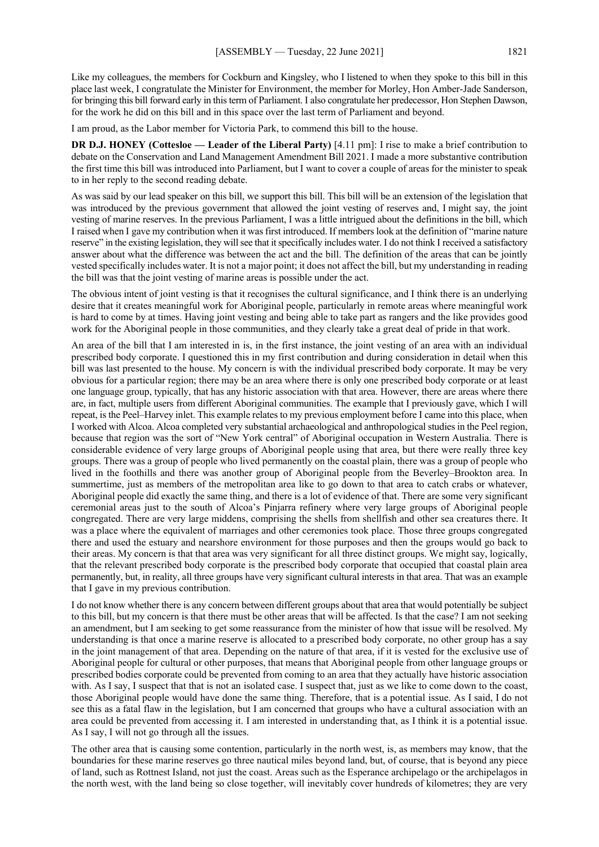Like my colleagues, the members for Cockburn and Kingsley, who I listened to when they spoke to this bill in this place last week, I congratulate the Minister for Environment, the member for Morley, Hon Amber-Jade Sanderson, for bringing this bill forward early in this term of Parliament. I also congratulate her predecessor, Hon Stephen Dawson, for the work he did on this bill and in this space over the last term of Parliament and beyond.

I am proud, as the Labor member for Victoria Park, to commend this bill to the house.

**DR D.J. HONEY (Cottesloe — Leader of the Liberal Party)** [4.11 pm]: I rise to make a brief contribution to debate on the Conservation and Land Management Amendment Bill 2021. I made a more substantive contribution the first time this bill was introduced into Parliament, but I want to cover a couple of areas for the minister to speak to in her reply to the second reading debate.

As was said by our lead speaker on this bill, we support this bill. This bill will be an extension of the legislation that was introduced by the previous government that allowed the joint vesting of reserves and, I might say, the joint vesting of marine reserves. In the previous Parliament, I was a little intrigued about the definitions in the bill, which I raised when I gave my contribution when it was first introduced. If members look at the definition of "marine nature reserve" in the existing legislation, they will see that it specifically includes water. I do not think I received a satisfactory answer about what the difference was between the act and the bill. The definition of the areas that can be jointly vested specifically includes water. It is not a major point; it does not affect the bill, but my understanding in reading the bill was that the joint vesting of marine areas is possible under the act.

The obvious intent of joint vesting is that it recognises the cultural significance, and I think there is an underlying desire that it creates meaningful work for Aboriginal people, particularly in remote areas where meaningful work is hard to come by at times. Having joint vesting and being able to take part as rangers and the like provides good work for the Aboriginal people in those communities, and they clearly take a great deal of pride in that work.

An area of the bill that I am interested in is, in the first instance, the joint vesting of an area with an individual prescribed body corporate. I questioned this in my first contribution and during consideration in detail when this bill was last presented to the house. My concern is with the individual prescribed body corporate. It may be very obvious for a particular region; there may be an area where there is only one prescribed body corporate or at least one language group, typically, that has any historic association with that area. However, there are areas where there are, in fact, multiple users from different Aboriginal communities. The example that I previously gave, which I will repeat, is the Peel–Harvey inlet. This example relates to my previous employment before I came into this place, when I worked with Alcoa. Alcoa completed very substantial archaeological and anthropological studies in the Peel region, because that region was the sort of "New York central" of Aboriginal occupation in Western Australia. There is considerable evidence of very large groups of Aboriginal people using that area, but there were really three key groups. There was a group of people who lived permanently on the coastal plain, there was a group of people who lived in the foothills and there was another group of Aboriginal people from the Beverley–Brookton area. In summertime, just as members of the metropolitan area like to go down to that area to catch crabs or whatever, Aboriginal people did exactly the same thing, and there is a lot of evidence of that. There are some very significant ceremonial areas just to the south of Alcoa's Pinjarra refinery where very large groups of Aboriginal people congregated. There are very large middens, comprising the shells from shellfish and other sea creatures there. It was a place where the equivalent of marriages and other ceremonies took place. Those three groups congregated there and used the estuary and nearshore environment for those purposes and then the groups would go back to their areas. My concern is that that area was very significant for all three distinct groups. We might say, logically, that the relevant prescribed body corporate is the prescribed body corporate that occupied that coastal plain area permanently, but, in reality, all three groups have very significant cultural interests in that area. That was an example that I gave in my previous contribution.

I do not know whether there is any concern between different groups about that area that would potentially be subject to this bill, but my concern is that there must be other areas that will be affected. Is that the case? I am not seeking an amendment, but I am seeking to get some reassurance from the minister of how that issue will be resolved. My understanding is that once a marine reserve is allocated to a prescribed body corporate, no other group has a say in the joint management of that area. Depending on the nature of that area, if it is vested for the exclusive use of Aboriginal people for cultural or other purposes, that means that Aboriginal people from other language groups or prescribed bodies corporate could be prevented from coming to an area that they actually have historic association with. As I say, I suspect that that is not an isolated case. I suspect that, just as we like to come down to the coast, those Aboriginal people would have done the same thing. Therefore, that is a potential issue. As I said, I do not see this as a fatal flaw in the legislation, but I am concerned that groups who have a cultural association with an area could be prevented from accessing it. I am interested in understanding that, as I think it is a potential issue. As I say, I will not go through all the issues.

The other area that is causing some contention, particularly in the north west, is, as members may know, that the boundaries for these marine reserves go three nautical miles beyond land, but, of course, that is beyond any piece of land, such as Rottnest Island, not just the coast. Areas such as the Esperance archipelago or the archipelagos in the north west, with the land being so close together, will inevitably cover hundreds of kilometres; they are very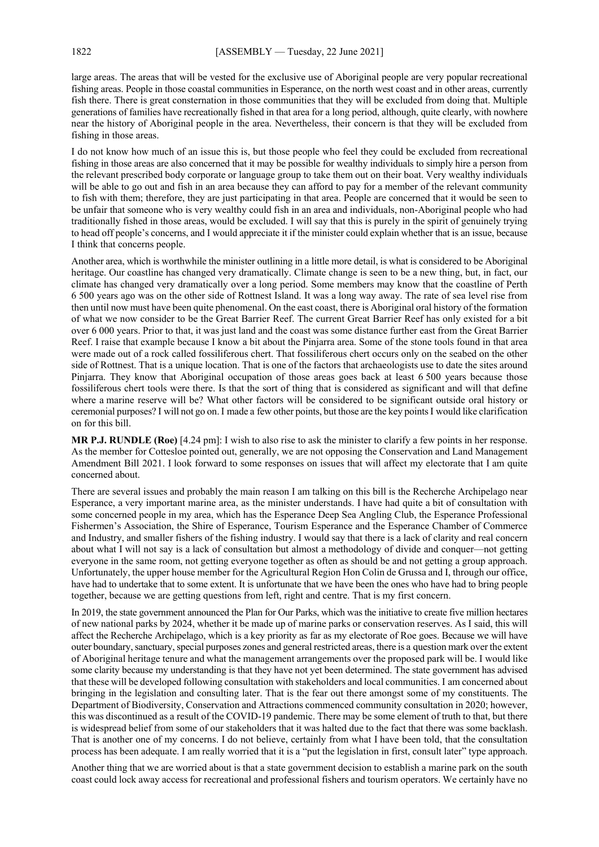large areas. The areas that will be vested for the exclusive use of Aboriginal people are very popular recreational fishing areas. People in those coastal communities in Esperance, on the north west coast and in other areas, currently fish there. There is great consternation in those communities that they will be excluded from doing that. Multiple generations of families have recreationally fished in that area for a long period, although, quite clearly, with nowhere near the history of Aboriginal people in the area. Nevertheless, their concern is that they will be excluded from fishing in those areas.

I do not know how much of an issue this is, but those people who feel they could be excluded from recreational fishing in those areas are also concerned that it may be possible for wealthy individuals to simply hire a person from the relevant prescribed body corporate or language group to take them out on their boat. Very wealthy individuals will be able to go out and fish in an area because they can afford to pay for a member of the relevant community to fish with them; therefore, they are just participating in that area. People are concerned that it would be seen to be unfair that someone who is very wealthy could fish in an area and individuals, non-Aboriginal people who had traditionally fished in those areas, would be excluded. I will say that this is purely in the spirit of genuinely trying to head off people's concerns, and I would appreciate it if the minister could explain whether that is an issue, because I think that concerns people.

Another area, which is worthwhile the minister outlining in a little more detail, is what is considered to be Aboriginal heritage. Our coastline has changed very dramatically. Climate change is seen to be a new thing, but, in fact, our climate has changed very dramatically over a long period. Some members may know that the coastline of Perth 6 500 years ago was on the other side of Rottnest Island. It was a long way away. The rate of sea level rise from then until now must have been quite phenomenal. On the east coast, there is Aboriginal oral history of the formation of what we now consider to be the Great Barrier Reef. The current Great Barrier Reef has only existed for a bit over 6 000 years. Prior to that, it was just land and the coast was some distance further east from the Great Barrier Reef. I raise that example because I know a bit about the Pinjarra area. Some of the stone tools found in that area were made out of a rock called fossiliferous chert. That fossiliferous chert occurs only on the seabed on the other side of Rottnest. That is a unique location. That is one of the factors that archaeologists use to date the sites around Pinjarra. They know that Aboriginal occupation of those areas goes back at least 6 500 years because those fossiliferous chert tools were there. Is that the sort of thing that is considered as significant and will that define where a marine reserve will be? What other factors will be considered to be significant outside oral history or ceremonial purposes? I will not go on. I made a few other points, but those are the key pointsI would like clarification on for this bill.

**MR P.J. RUNDLE (Roe)** [4.24 pm]: I wish to also rise to ask the minister to clarify a few points in her response. As the member for Cottesloe pointed out, generally, we are not opposing the Conservation and Land Management Amendment Bill 2021. I look forward to some responses on issues that will affect my electorate that I am quite concerned about.

There are several issues and probably the main reason I am talking on this bill is the Recherche Archipelago near Esperance, a very important marine area, as the minister understands. I have had quite a bit of consultation with some concerned people in my area, which has the Esperance Deep Sea Angling Club, the Esperance Professional Fishermen's Association, the Shire of Esperance, Tourism Esperance and the Esperance Chamber of Commerce and Industry, and smaller fishers of the fishing industry. I would say that there is a lack of clarity and real concern about what I will not say is a lack of consultation but almost a methodology of divide and conquer—not getting everyone in the same room, not getting everyone together as often as should be and not getting a group approach. Unfortunately, the upper house member for the Agricultural Region Hon Colin de Grussa and I, through our office, have had to undertake that to some extent. It is unfortunate that we have been the ones who have had to bring people together, because we are getting questions from left, right and centre. That is my first concern.

In 2019, the state government announced the Plan for Our Parks, which was the initiative to create five million hectares of new national parks by 2024, whether it be made up of marine parks or conservation reserves. As I said, this will affect the Recherche Archipelago, which is a key priority as far as my electorate of Roe goes. Because we will have outer boundary, sanctuary, special purposes zones and general restricted areas, there is a question mark over the extent of Aboriginal heritage tenure and what the management arrangements over the proposed park will be. I would like some clarity because my understanding is that they have not yet been determined. The state government has advised that these will be developed following consultation with stakeholders and local communities. I am concerned about bringing in the legislation and consulting later. That is the fear out there amongst some of my constituents. The Department of Biodiversity, Conservation and Attractions commenced community consultation in 2020; however, this was discontinued as a result of the COVID-19 pandemic. There may be some element of truth to that, but there is widespread belief from some of our stakeholders that it was halted due to the fact that there was some backlash. That is another one of my concerns. I do not believe, certainly from what I have been told, that the consultation process has been adequate. I am really worried that it is a "put the legislation in first, consult later" type approach.

Another thing that we are worried about is that a state government decision to establish a marine park on the south coast could lock away access for recreational and professional fishers and tourism operators. We certainly have no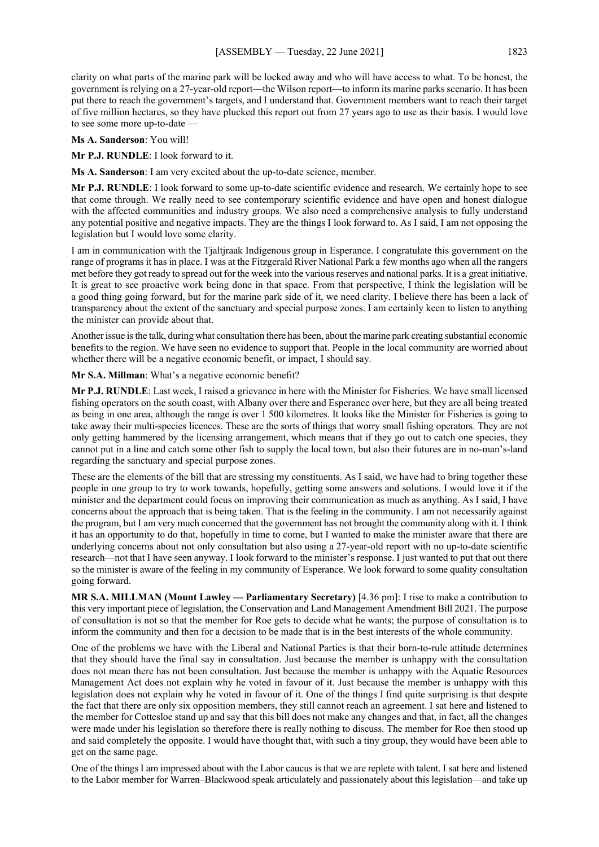clarity on what parts of the marine park will be locked away and who will have access to what. To be honest, the government is relying on a 27-year-old report—the Wilson report—to inform its marine parks scenario. It has been put there to reach the government's targets, and I understand that. Government members want to reach their target of five million hectares, so they have plucked this report out from 27 years ago to use as their basis. I would love to see some more up-to-date —

**Ms A. Sanderson**: You will!

**Mr P.J. RUNDLE**: I look forward to it.

**Ms A. Sanderson**: I am very excited about the up-to-date science, member.

**Mr P.J. RUNDLE**: I look forward to some up-to-date scientific evidence and research. We certainly hope to see that come through. We really need to see contemporary scientific evidence and have open and honest dialogue with the affected communities and industry groups. We also need a comprehensive analysis to fully understand any potential positive and negative impacts. They are the things I look forward to. As I said, I am not opposing the legislation but I would love some clarity.

I am in communication with the Tjaltjraak Indigenous group in Esperance. I congratulate this government on the range of programs it has in place. I was at the Fitzgerald River National Park a few months ago when all the rangers met before they got ready to spread out for the week into the various reserves and national parks. It is a great initiative. It is great to see proactive work being done in that space. From that perspective, I think the legislation will be a good thing going forward, but for the marine park side of it, we need clarity. I believe there has been a lack of transparency about the extent of the sanctuary and special purpose zones. I am certainly keen to listen to anything the minister can provide about that.

Another issue is the talk, during what consultation there has been, about the marine park creating substantial economic benefits to the region. We have seen no evidence to support that. People in the local community are worried about whether there will be a negative economic benefit, or impact, I should say.

**Mr S.A. Millman**: What's a negative economic benefit?

**Mr P.J. RUNDLE**: Last week, I raised a grievance in here with the Minister for Fisheries. We have small licensed fishing operators on the south coast, with Albany over there and Esperance over here, but they are all being treated as being in one area, although the range is over 1 500 kilometres. It looks like the Minister for Fisheries is going to take away their multi-species licences. These are the sorts of things that worry small fishing operators. They are not only getting hammered by the licensing arrangement, which means that if they go out to catch one species, they cannot put in a line and catch some other fish to supply the local town, but also their futures are in no-man's-land regarding the sanctuary and special purpose zones.

These are the elements of the bill that are stressing my constituents. As I said, we have had to bring together these people in one group to try to work towards, hopefully, getting some answers and solutions. I would love it if the minister and the department could focus on improving their communication as much as anything. As I said, I have concerns about the approach that is being taken. That is the feeling in the community. I am not necessarily against the program, but I am very much concerned that the government has not brought the community along with it. I think it has an opportunity to do that, hopefully in time to come, but I wanted to make the minister aware that there are underlying concerns about not only consultation but also using a 27-year-old report with no up-to-date scientific research—not that I have seen anyway. I look forward to the minister's response. I just wanted to put that out there so the minister is aware of the feeling in my community of Esperance. We look forward to some quality consultation going forward.

**MR S.A. MILLMAN (Mount Lawley — Parliamentary Secretary)** [4.36 pm]: I rise to make a contribution to this very important piece of legislation, the Conservation and Land Management Amendment Bill 2021. The purpose of consultation is not so that the member for Roe gets to decide what he wants; the purpose of consultation is to inform the community and then for a decision to be made that is in the best interests of the whole community.

One of the problems we have with the Liberal and National Parties is that their born-to-rule attitude determines that they should have the final say in consultation. Just because the member is unhappy with the consultation does not mean there has not been consultation. Just because the member is unhappy with the Aquatic Resources Management Act does not explain why he voted in favour of it. Just because the member is unhappy with this legislation does not explain why he voted in favour of it. One of the things I find quite surprising is that despite the fact that there are only six opposition members, they still cannot reach an agreement. I sat here and listened to the member for Cottesloe stand up and say that this bill does not make any changes and that, in fact, all the changes were made under his legislation so therefore there is really nothing to discuss. The member for Roe then stood up and said completely the opposite. I would have thought that, with such a tiny group, they would have been able to get on the same page.

One of the things I am impressed about with the Labor caucus is that we are replete with talent. I sat here and listened to the Labor member for Warren–Blackwood speak articulately and passionately about this legislation—and take up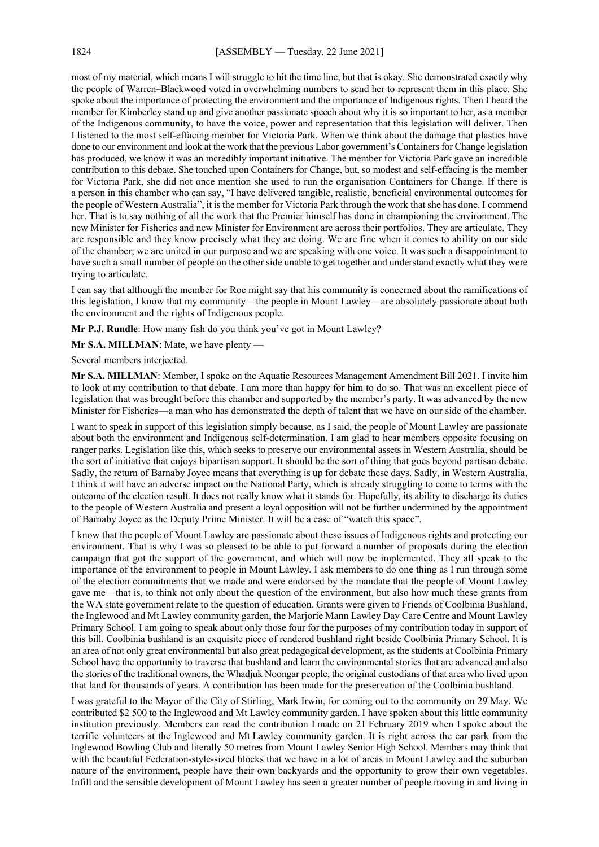most of my material, which means I will struggle to hit the time line, but that is okay. She demonstrated exactly why the people of Warren–Blackwood voted in overwhelming numbers to send her to represent them in this place. She spoke about the importance of protecting the environment and the importance of Indigenous rights. Then I heard the member for Kimberley stand up and give another passionate speech about why it is so important to her, as a member of the Indigenous community, to have the voice, power and representation that this legislation will deliver. Then I listened to the most self-effacing member for Victoria Park. When we think about the damage that plastics have done to our environment and look at the work that the previous Labor government's Containers for Change legislation has produced, we know it was an incredibly important initiative. The member for Victoria Park gave an incredible contribution to this debate. She touched upon Containers for Change, but, so modest and self-effacing is the member for Victoria Park, she did not once mention she used to run the organisation Containers for Change. If there is a person in this chamber who can say, "I have delivered tangible, realistic, beneficial environmental outcomes for the people of Western Australia", it is the member for Victoria Park through the work that she has done. I commend her. That is to say nothing of all the work that the Premier himself has done in championing the environment. The new Minister for Fisheries and new Minister for Environment are across their portfolios. They are articulate. They are responsible and they know precisely what they are doing. We are fine when it comes to ability on our side of the chamber; we are united in our purpose and we are speaking with one voice. It was such a disappointment to have such a small number of people on the other side unable to get together and understand exactly what they were trying to articulate.

I can say that although the member for Roe might say that his community is concerned about the ramifications of this legislation, I know that my community—the people in Mount Lawley—are absolutely passionate about both the environment and the rights of Indigenous people.

**Mr P.J. Rundle**: How many fish do you think you've got in Mount Lawley?

**Mr S.A. MILLMAN**: Mate, we have plenty —

Several members interjected.

**Mr S.A. MILLMAN**: Member, I spoke on the Aquatic Resources Management Amendment Bill 2021. I invite him to look at my contribution to that debate. I am more than happy for him to do so. That was an excellent piece of legislation that was brought before this chamber and supported by the member's party. It was advanced by the new Minister for Fisheries—a man who has demonstrated the depth of talent that we have on our side of the chamber.

I want to speak in support of this legislation simply because, as I said, the people of Mount Lawley are passionate about both the environment and Indigenous self-determination. I am glad to hear members opposite focusing on ranger parks. Legislation like this, which seeks to preserve our environmental assets in Western Australia, should be the sort of initiative that enjoys bipartisan support. It should be the sort of thing that goes beyond partisan debate. Sadly, the return of Barnaby Joyce means that everything is up for debate these days. Sadly, in Western Australia, I think it will have an adverse impact on the National Party, which is already struggling to come to terms with the outcome of the election result. It does not really know what it stands for. Hopefully, its ability to discharge its duties to the people of Western Australia and present a loyal opposition will not be further undermined by the appointment of Barnaby Joyce as the Deputy Prime Minister. It will be a case of "watch this space".

I know that the people of Mount Lawley are passionate about these issues of Indigenous rights and protecting our environment. That is why I was so pleased to be able to put forward a number of proposals during the election campaign that got the support of the government, and which will now be implemented. They all speak to the importance of the environment to people in Mount Lawley. I ask members to do one thing as I run through some of the election commitments that we made and were endorsed by the mandate that the people of Mount Lawley gave me—that is, to think not only about the question of the environment, but also how much these grants from the WA state government relate to the question of education. Grants were given to Friends of Coolbinia Bushland, the Inglewood and Mt Lawley community garden, the Marjorie Mann Lawley Day Care Centre and Mount Lawley Primary School. I am going to speak about only those four for the purposes of my contribution today in support of this bill. Coolbinia bushland is an exquisite piece of rendered bushland right beside Coolbinia Primary School. It is an area of not only great environmental but also great pedagogical development, as the students at Coolbinia Primary School have the opportunity to traverse that bushland and learn the environmental stories that are advanced and also the stories of the traditional owners, the Whadjuk Noongar people, the original custodians of that area who lived upon that land for thousands of years. A contribution has been made for the preservation of the Coolbinia bushland.

I was grateful to the Mayor of the City of Stirling, Mark Irwin, for coming out to the community on 29 May. We contributed \$2 500 to the Inglewood and Mt Lawley community garden. I have spoken about this little community institution previously. Members can read the contribution I made on 21 February 2019 when I spoke about the terrific volunteers at the Inglewood and Mt Lawley community garden. It is right across the car park from the Inglewood Bowling Club and literally 50 metres from Mount Lawley Senior High School. Members may think that with the beautiful Federation-style-sized blocks that we have in a lot of areas in Mount Lawley and the suburban nature of the environment, people have their own backyards and the opportunity to grow their own vegetables. Infill and the sensible development of Mount Lawley has seen a greater number of people moving in and living in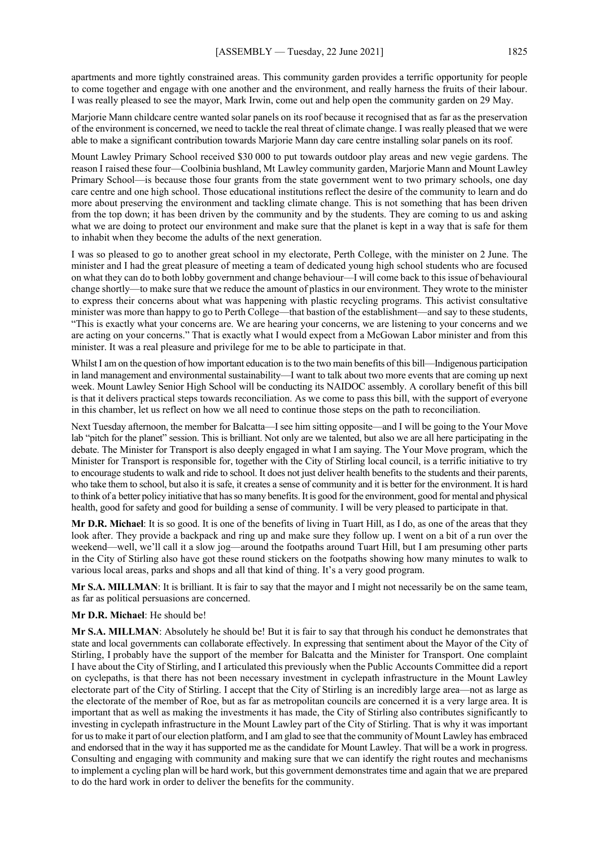apartments and more tightly constrained areas. This community garden provides a terrific opportunity for people to come together and engage with one another and the environment, and really harness the fruits of their labour. I was really pleased to see the mayor, Mark Irwin, come out and help open the community garden on 29 May.

Marjorie Mann childcare centre wanted solar panels on its roof because it recognised that as far as the preservation of the environment is concerned, we need to tackle the real threat of climate change. I was really pleased that we were able to make a significant contribution towards Marjorie Mann day care centre installing solar panels on its roof.

Mount Lawley Primary School received \$30 000 to put towards outdoor play areas and new vegie gardens. The reason I raised these four—Coolbinia bushland, Mt Lawley community garden, Marjorie Mann and Mount Lawley Primary School—is because those four grants from the state government went to two primary schools, one day care centre and one high school. Those educational institutions reflect the desire of the community to learn and do more about preserving the environment and tackling climate change. This is not something that has been driven from the top down; it has been driven by the community and by the students. They are coming to us and asking what we are doing to protect our environment and make sure that the planet is kept in a way that is safe for them to inhabit when they become the adults of the next generation.

I was so pleased to go to another great school in my electorate, Perth College, with the minister on 2 June. The minister and I had the great pleasure of meeting a team of dedicated young high school students who are focused on what they can do to both lobby government and change behaviour—I will come back to this issue of behavioural change shortly—to make sure that we reduce the amount of plastics in our environment. They wrote to the minister to express their concerns about what was happening with plastic recycling programs. This activist consultative minister was more than happy to go to Perth College—that bastion of the establishment—and say to these students, "This is exactly what your concerns are. We are hearing your concerns, we are listening to your concerns and we are acting on your concerns." That is exactly what I would expect from a McGowan Labor minister and from this minister. It was a real pleasure and privilege for me to be able to participate in that.

Whilst I am on the question of how important education is to the two main benefits of this bill—Indigenous participation in land management and environmental sustainability—I want to talk about two more events that are coming up next week. Mount Lawley Senior High School will be conducting its NAIDOC assembly. A corollary benefit of this bill is that it delivers practical steps towards reconciliation. As we come to pass this bill, with the support of everyone in this chamber, let us reflect on how we all need to continue those steps on the path to reconciliation.

Next Tuesday afternoon, the member for Balcatta—I see him sitting opposite—and I will be going to the Your Move lab "pitch for the planet" session. This is brilliant. Not only are we talented, but also we are all here participating in the debate. The Minister for Transport is also deeply engaged in what I am saying. The Your Move program, which the Minister for Transport is responsible for, together with the City of Stirling local council, is a terrific initiative to try to encourage students to walk and ride to school. It does not just deliver health benefits to the students and their parents, who take them to school, but also it is safe, it creates a sense of community and it is better for the environment. It is hard to think of a better policy initiative that has so many benefits. It is good for the environment, good for mental and physical health, good for safety and good for building a sense of community. I will be very pleased to participate in that.

**Mr D.R. Michael**: It is so good. It is one of the benefits of living in Tuart Hill, as I do, as one of the areas that they look after. They provide a backpack and ring up and make sure they follow up. I went on a bit of a run over the weekend—well, we'll call it a slow jog—around the footpaths around Tuart Hill, but I am presuming other parts in the City of Stirling also have got these round stickers on the footpaths showing how many minutes to walk to various local areas, parks and shops and all that kind of thing. It's a very good program.

**Mr S.A. MILLMAN**: It is brilliant. It is fair to say that the mayor and I might not necessarily be on the same team, as far as political persuasions are concerned.

## **Mr D.R. Michael**: He should be!

**Mr S.A. MILLMAN**: Absolutely he should be! But it is fair to say that through his conduct he demonstrates that state and local governments can collaborate effectively. In expressing that sentiment about the Mayor of the City of Stirling, I probably have the support of the member for Balcatta and the Minister for Transport. One complaint I have about the City of Stirling, and I articulated this previously when the Public Accounts Committee did a report on cyclepaths, is that there has not been necessary investment in cyclepath infrastructure in the Mount Lawley electorate part of the City of Stirling. I accept that the City of Stirling is an incredibly large area—not as large as the electorate of the member of Roe, but as far as metropolitan councils are concerned it is a very large area. It is important that as well as making the investments it has made, the City of Stirling also contributes significantly to investing in cyclepath infrastructure in the Mount Lawley part of the City of Stirling. That is why it was important for us to make it part of our election platform, and I am glad to see that the community of Mount Lawley has embraced and endorsed that in the way it has supported me as the candidate for Mount Lawley. That will be a work in progress. Consulting and engaging with community and making sure that we can identify the right routes and mechanisms to implement a cycling plan will be hard work, but this government demonstrates time and again that we are prepared to do the hard work in order to deliver the benefits for the community.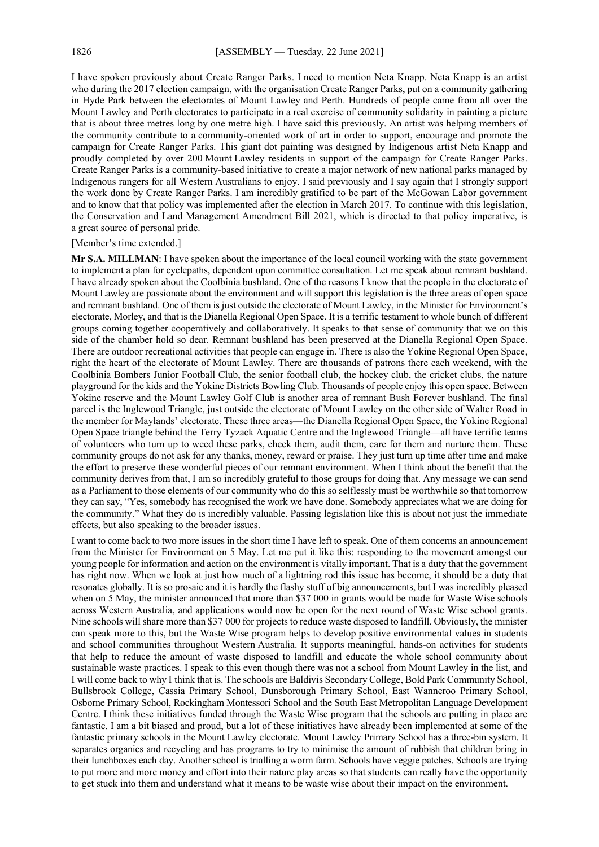I have spoken previously about Create Ranger Parks. I need to mention Neta Knapp. Neta Knapp is an artist who during the 2017 election campaign, with the organisation Create Ranger Parks, put on a community gathering in Hyde Park between the electorates of Mount Lawley and Perth. Hundreds of people came from all over the Mount Lawley and Perth electorates to participate in a real exercise of community solidarity in painting a picture that is about three metres long by one metre high. I have said this previously. An artist was helping members of the community contribute to a community-oriented work of art in order to support, encourage and promote the campaign for Create Ranger Parks. This giant dot painting was designed by Indigenous artist Neta Knapp and proudly completed by over 200 Mount Lawley residents in support of the campaign for Create Ranger Parks. Create Ranger Parks is a community-based initiative to create a major network of new national parks managed by Indigenous rangers for all Western Australians to enjoy. I said previously and I say again that I strongly support the work done by Create Ranger Parks. I am incredibly gratified to be part of the McGowan Labor government and to know that that policy was implemented after the election in March 2017. To continue with this legislation, the Conservation and Land Management Amendment Bill 2021, which is directed to that policy imperative, is a great source of personal pride.

#### [Member's time extended.]

**Mr S.A. MILLMAN**: I have spoken about the importance of the local council working with the state government to implement a plan for cyclepaths, dependent upon committee consultation. Let me speak about remnant bushland. I have already spoken about the Coolbinia bushland. One of the reasons I know that the people in the electorate of Mount Lawley are passionate about the environment and will support this legislation is the three areas of open space and remnant bushland. One of them is just outside the electorate of Mount Lawley, in the Minister for Environment's electorate, Morley, and that is the Dianella Regional Open Space. It is a terrific testament to whole bunch of different groups coming together cooperatively and collaboratively. It speaks to that sense of community that we on this side of the chamber hold so dear. Remnant bushland has been preserved at the Dianella Regional Open Space. There are outdoor recreational activities that people can engage in. There is also the Yokine Regional Open Space, right the heart of the electorate of Mount Lawley. There are thousands of patrons there each weekend, with the Coolbinia Bombers Junior Football Club, the senior football club, the hockey club, the cricket clubs, the nature playground for the kids and the Yokine Districts Bowling Club. Thousands of people enjoy this open space. Between Yokine reserve and the Mount Lawley Golf Club is another area of remnant Bush Forever bushland. The final parcel is the Inglewood Triangle, just outside the electorate of Mount Lawley on the other side of Walter Road in the member for Maylands' electorate. These three areas—the Dianella Regional Open Space, the Yokine Regional Open Space triangle behind the Terry Tyzack Aquatic Centre and the Inglewood Triangle—all have terrific teams of volunteers who turn up to weed these parks, check them, audit them, care for them and nurture them. These community groups do not ask for any thanks, money, reward or praise. They just turn up time after time and make the effort to preserve these wonderful pieces of our remnant environment. When I think about the benefit that the community derives from that, I am so incredibly grateful to those groups for doing that. Any message we can send as a Parliament to those elements of our community who do this so selflessly must be worthwhile so that tomorrow they can say, "Yes, somebody has recognised the work we have done. Somebody appreciates what we are doing for the community." What they do is incredibly valuable. Passing legislation like this is about not just the immediate effects, but also speaking to the broader issues.

I want to come back to two more issues in the short time I have left to speak. One of them concerns an announcement from the Minister for Environment on 5 May. Let me put it like this: responding to the movement amongst our young people for information and action on the environment is vitally important. That is a duty that the government has right now. When we look at just how much of a lightning rod this issue has become, it should be a duty that resonates globally. It is so prosaic and it is hardly the flashy stuff of big announcements, but I was incredibly pleased when on 5 May, the minister announced that more than \$37 000 in grants would be made for Waste Wise schools across Western Australia, and applications would now be open for the next round of Waste Wise school grants. Nine schools will share more than \$37 000 for projects to reduce waste disposed to landfill. Obviously, the minister can speak more to this, but the Waste Wise program helps to develop positive environmental values in students and school communities throughout Western Australia. It supports meaningful, hands-on activities for students that help to reduce the amount of waste disposed to landfill and educate the whole school community about sustainable waste practices. I speak to this even though there was not a school from Mount Lawley in the list, and I will come back to why I think that is. The schools are Baldivis Secondary College, Bold Park Community School, Bullsbrook College, Cassia Primary School, Dunsborough Primary School, East Wanneroo Primary School, Osborne Primary School, Rockingham Montessori School and the South East Metropolitan Language Development Centre. I think these initiatives funded through the Waste Wise program that the schools are putting in place are fantastic. I am a bit biased and proud, but a lot of these initiatives have already been implemented at some of the fantastic primary schools in the Mount Lawley electorate. Mount Lawley Primary School has a three-bin system. It separates organics and recycling and has programs to try to minimise the amount of rubbish that children bring in their lunchboxes each day. Another school is trialling a worm farm. Schools have veggie patches. Schools are trying to put more and more money and effort into their nature play areas so that students can really have the opportunity to get stuck into them and understand what it means to be waste wise about their impact on the environment.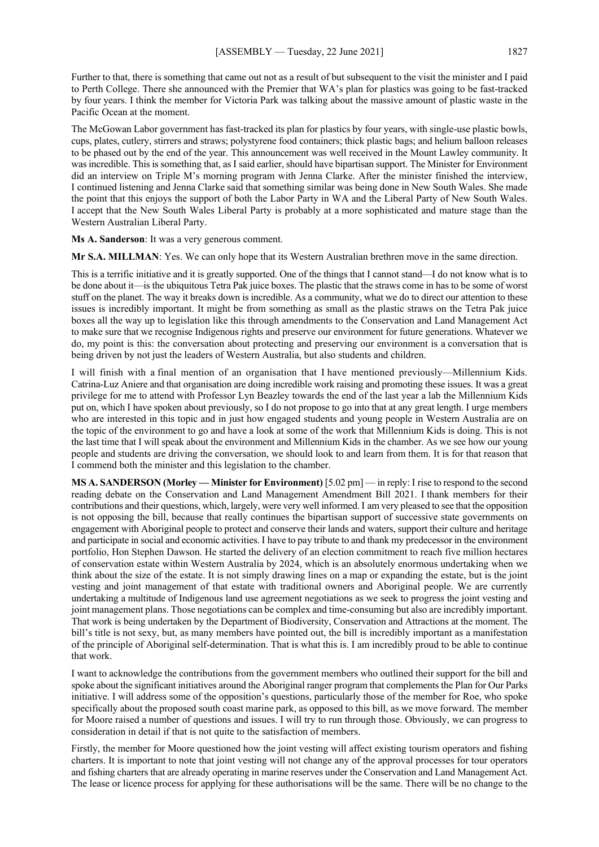Further to that, there is something that came out not as a result of but subsequent to the visit the minister and I paid to Perth College. There she announced with the Premier that WA's plan for plastics was going to be fast-tracked by four years. I think the member for Victoria Park was talking about the massive amount of plastic waste in the Pacific Ocean at the moment.

The McGowan Labor government has fast-tracked its plan for plastics by four years, with single-use plastic bowls, cups, plates, cutlery, stirrers and straws; polystyrene food containers; thick plastic bags; and helium balloon releases to be phased out by the end of the year. This announcement was well received in the Mount Lawley community. It was incredible. This is something that, as I said earlier, should have bipartisan support. The Minister for Environment did an interview on Triple M's morning program with Jenna Clarke. After the minister finished the interview, I continued listening and Jenna Clarke said that something similar was being done in New South Wales. She made the point that this enjoys the support of both the Labor Party in WA and the Liberal Party of New South Wales. I accept that the New South Wales Liberal Party is probably at a more sophisticated and mature stage than the Western Australian Liberal Party.

**Ms A. Sanderson**: It was a very generous comment.

**Mr S.A. MILLMAN**: Yes. We can only hope that its Western Australian brethren move in the same direction.

This is a terrific initiative and it is greatly supported. One of the things that I cannot stand—I do not know what is to be done about it—is the ubiquitous Tetra Pak juice boxes. The plastic that the straws come in has to be some of worst stuff on the planet. The way it breaks down is incredible. As a community, what we do to direct our attention to these issues is incredibly important. It might be from something as small as the plastic straws on the Tetra Pak juice boxes all the way up to legislation like this through amendments to the Conservation and Land Management Act to make sure that we recognise Indigenous rights and preserve our environment for future generations. Whatever we do, my point is this: the conversation about protecting and preserving our environment is a conversation that is being driven by not just the leaders of Western Australia, but also students and children.

I will finish with a final mention of an organisation that I have mentioned previously—Millennium Kids. Catrina-Luz Aniere and that organisation are doing incredible work raising and promoting these issues. It was a great privilege for me to attend with Professor Lyn Beazley towards the end of the last year a lab the Millennium Kids put on, which I have spoken about previously, so I do not propose to go into that at any great length. I urge members who are interested in this topic and in just how engaged students and young people in Western Australia are on the topic of the environment to go and have a look at some of the work that Millennium Kids is doing. This is not the last time that I will speak about the environment and Millennium Kids in the chamber. As we see how our young people and students are driving the conversation, we should look to and learn from them. It is for that reason that I commend both the minister and this legislation to the chamber.

**MS A. SANDERSON (Morley — Minister for Environment)** [5.02 pm] — in reply: I rise to respond to the second reading debate on the Conservation and Land Management Amendment Bill 2021. I thank members for their contributions and their questions, which, largely, were very well informed. I am very pleased to see that the opposition is not opposing the bill, because that really continues the bipartisan support of successive state governments on engagement with Aboriginal people to protect and conserve their lands and waters, support their culture and heritage and participate in social and economic activities. I have to pay tribute to and thank my predecessor in the environment portfolio, Hon Stephen Dawson. He started the delivery of an election commitment to reach five million hectares of conservation estate within Western Australia by 2024, which is an absolutely enormous undertaking when we think about the size of the estate. It is not simply drawing lines on a map or expanding the estate, but is the joint vesting and joint management of that estate with traditional owners and Aboriginal people. We are currently undertaking a multitude of Indigenous land use agreement negotiations as we seek to progress the joint vesting and joint management plans. Those negotiations can be complex and time-consuming but also are incredibly important. That work is being undertaken by the Department of Biodiversity, Conservation and Attractions at the moment. The bill's title is not sexy, but, as many members have pointed out, the bill is incredibly important as a manifestation of the principle of Aboriginal self-determination. That is what this is. I am incredibly proud to be able to continue that work.

I want to acknowledge the contributions from the government members who outlined their support for the bill and spoke about the significant initiatives around the Aboriginal ranger program that complements the Plan for Our Parks initiative. I will address some of the opposition's questions, particularly those of the member for Roe, who spoke specifically about the proposed south coast marine park, as opposed to this bill, as we move forward. The member for Moore raised a number of questions and issues. I will try to run through those. Obviously, we can progress to consideration in detail if that is not quite to the satisfaction of members.

Firstly, the member for Moore questioned how the joint vesting will affect existing tourism operators and fishing charters. It is important to note that joint vesting will not change any of the approval processes for tour operators and fishing charters that are already operating in marine reserves under the Conservation and Land Management Act. The lease or licence process for applying for these authorisations will be the same. There will be no change to the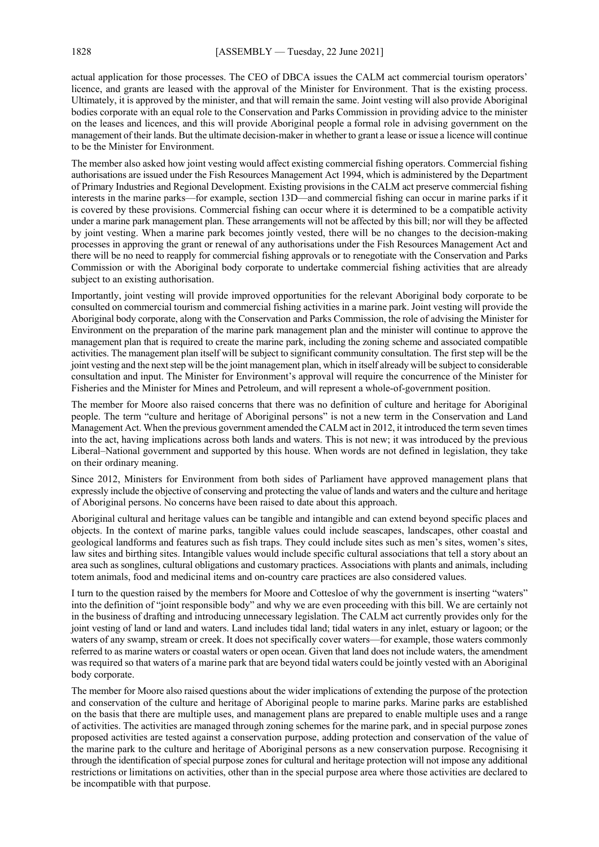actual application for those processes. The CEO of DBCA issues the CALM act commercial tourism operators' licence, and grants are leased with the approval of the Minister for Environment. That is the existing process. Ultimately, it is approved by the minister, and that will remain the same. Joint vesting will also provide Aboriginal bodies corporate with an equal role to the Conservation and Parks Commission in providing advice to the minister on the leases and licences, and this will provide Aboriginal people a formal role in advising government on the management of their lands. But the ultimate decision-maker in whether to grant a lease or issue a licence will continue to be the Minister for Environment.

The member also asked how joint vesting would affect existing commercial fishing operators. Commercial fishing authorisations are issued under the Fish Resources Management Act 1994, which is administered by the Department of Primary Industries and Regional Development. Existing provisions in the CALM act preserve commercial fishing interests in the marine parks—for example, section 13D—and commercial fishing can occur in marine parks if it is covered by these provisions. Commercial fishing can occur where it is determined to be a compatible activity under a marine park management plan. These arrangements will not be affected by this bill; nor will they be affected by joint vesting. When a marine park becomes jointly vested, there will be no changes to the decision-making processes in approving the grant or renewal of any authorisations under the Fish Resources Management Act and there will be no need to reapply for commercial fishing approvals or to renegotiate with the Conservation and Parks Commission or with the Aboriginal body corporate to undertake commercial fishing activities that are already subject to an existing authorisation.

Importantly, joint vesting will provide improved opportunities for the relevant Aboriginal body corporate to be consulted on commercial tourism and commercial fishing activities in a marine park. Joint vesting will provide the Aboriginal body corporate, along with the Conservation and Parks Commission, the role of advising the Minister for Environment on the preparation of the marine park management plan and the minister will continue to approve the management plan that is required to create the marine park, including the zoning scheme and associated compatible activities. The management plan itself will be subject to significant community consultation. The first step will be the joint vesting and the next step will be the joint management plan, which in itself already will be subject to considerable consultation and input. The Minister for Environment's approval will require the concurrence of the Minister for Fisheries and the Minister for Mines and Petroleum, and will represent a whole-of-government position.

The member for Moore also raised concerns that there was no definition of culture and heritage for Aboriginal people. The term "culture and heritage of Aboriginal persons" is not a new term in the Conservation and Land Management Act. When the previous government amended the CALM act in 2012, it introduced the term seven times into the act, having implications across both lands and waters. This is not new; it was introduced by the previous Liberal–National government and supported by this house. When words are not defined in legislation, they take on their ordinary meaning.

Since 2012, Ministers for Environment from both sides of Parliament have approved management plans that expressly include the objective of conserving and protecting the value of lands and waters and the culture and heritage of Aboriginal persons. No concerns have been raised to date about this approach.

Aboriginal cultural and heritage values can be tangible and intangible and can extend beyond specific places and objects. In the context of marine parks, tangible values could include seascapes, landscapes, other coastal and geological landforms and features such as fish traps. They could include sites such as men's sites, women's sites, law sites and birthing sites. Intangible values would include specific cultural associations that tell a story about an area such as songlines, cultural obligations and customary practices. Associations with plants and animals, including totem animals, food and medicinal items and on-country care practices are also considered values.

I turn to the question raised by the members for Moore and Cottesloe of why the government is inserting "waters" into the definition of "joint responsible body" and why we are even proceeding with this bill. We are certainly not in the business of drafting and introducing unnecessary legislation. The CALM act currently provides only for the joint vesting of land or land and waters. Land includes tidal land; tidal waters in any inlet, estuary or lagoon; or the waters of any swamp, stream or creek. It does not specifically cover waters—for example, those waters commonly referred to as marine waters or coastal waters or open ocean. Given that land does not include waters, the amendment was required so that waters of a marine park that are beyond tidal waters could be jointly vested with an Aboriginal body corporate.

The member for Moore also raised questions about the wider implications of extending the purpose of the protection and conservation of the culture and heritage of Aboriginal people to marine parks. Marine parks are established on the basis that there are multiple uses, and management plans are prepared to enable multiple uses and a range of activities. The activities are managed through zoning schemes for the marine park, and in special purpose zones proposed activities are tested against a conservation purpose, adding protection and conservation of the value of the marine park to the culture and heritage of Aboriginal persons as a new conservation purpose. Recognising it through the identification of special purpose zones for cultural and heritage protection will not impose any additional restrictions or limitations on activities, other than in the special purpose area where those activities are declared to be incompatible with that purpose.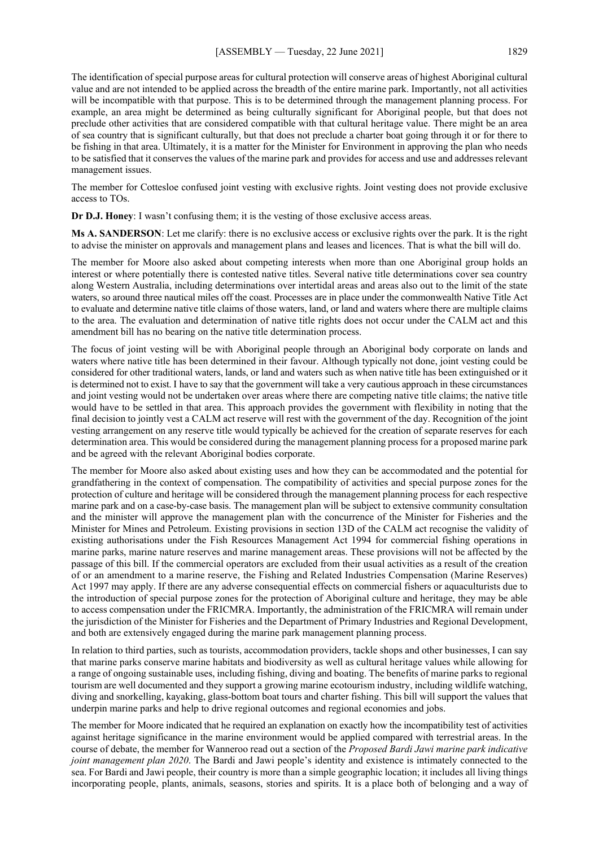The identification of special purpose areas for cultural protection will conserve areas of highest Aboriginal cultural value and are not intended to be applied across the breadth of the entire marine park. Importantly, not all activities will be incompatible with that purpose. This is to be determined through the management planning process. For example, an area might be determined as being culturally significant for Aboriginal people, but that does not preclude other activities that are considered compatible with that cultural heritage value. There might be an area of sea country that is significant culturally, but that does not preclude a charter boat going through it or for there to be fishing in that area. Ultimately, it is a matter for the Minister for Environment in approving the plan who needs to be satisfied that it conserves the values of the marine park and provides for access and use and addresses relevant management issues.

The member for Cottesloe confused joint vesting with exclusive rights. Joint vesting does not provide exclusive access to TOs.

**Dr D.J. Honey**: I wasn't confusing them; it is the vesting of those exclusive access areas.

**Ms A. SANDERSON**: Let me clarify: there is no exclusive access or exclusive rights over the park. It is the right to advise the minister on approvals and management plans and leases and licences. That is what the bill will do.

The member for Moore also asked about competing interests when more than one Aboriginal group holds an interest or where potentially there is contested native titles. Several native title determinations cover sea country along Western Australia, including determinations over intertidal areas and areas also out to the limit of the state waters, so around three nautical miles off the coast. Processes are in place under the commonwealth Native Title Act to evaluate and determine native title claims of those waters, land, or land and waters where there are multiple claims to the area. The evaluation and determination of native title rights does not occur under the CALM act and this amendment bill has no bearing on the native title determination process.

The focus of joint vesting will be with Aboriginal people through an Aboriginal body corporate on lands and waters where native title has been determined in their favour. Although typically not done, joint vesting could be considered for other traditional waters, lands, or land and waters such as when native title has been extinguished or it is determined not to exist. I have to say that the government will take a very cautious approach in these circumstances and joint vesting would not be undertaken over areas where there are competing native title claims; the native title would have to be settled in that area. This approach provides the government with flexibility in noting that the final decision to jointly vest a CALM act reserve will rest with the government of the day. Recognition of the joint vesting arrangement on any reserve title would typically be achieved for the creation of separate reserves for each determination area. This would be considered during the management planning process for a proposed marine park and be agreed with the relevant Aboriginal bodies corporate.

The member for Moore also asked about existing uses and how they can be accommodated and the potential for grandfathering in the context of compensation. The compatibility of activities and special purpose zones for the protection of culture and heritage will be considered through the management planning process for each respective marine park and on a case-by-case basis. The management plan will be subject to extensive community consultation and the minister will approve the management plan with the concurrence of the Minister for Fisheries and the Minister for Mines and Petroleum. Existing provisions in section 13D of the CALM act recognise the validity of existing authorisations under the Fish Resources Management Act 1994 for commercial fishing operations in marine parks, marine nature reserves and marine management areas. These provisions will not be affected by the passage of this bill. If the commercial operators are excluded from their usual activities as a result of the creation of or an amendment to a marine reserve, the Fishing and Related Industries Compensation (Marine Reserves) Act 1997 may apply. If there are any adverse consequential effects on commercial fishers or aquaculturists due to the introduction of special purpose zones for the protection of Aboriginal culture and heritage, they may be able to access compensation under the FRICMRA. Importantly, the administration of the FRICMRA will remain under the jurisdiction of the Minister for Fisheries and the Department of Primary Industries and Regional Development, and both are extensively engaged during the marine park management planning process.

In relation to third parties, such as tourists, accommodation providers, tackle shops and other businesses, I can say that marine parks conserve marine habitats and biodiversity as well as cultural heritage values while allowing for a range of ongoing sustainable uses, including fishing, diving and boating. The benefits of marine parks to regional tourism are well documented and they support a growing marine ecotourism industry, including wildlife watching, diving and snorkelling, kayaking, glass-bottom boat tours and charter fishing. This bill will support the values that underpin marine parks and help to drive regional outcomes and regional economies and jobs.

The member for Moore indicated that he required an explanation on exactly how the incompatibility test of activities against heritage significance in the marine environment would be applied compared with terrestrial areas. In the course of debate, the member for Wanneroo read out a section of the *Proposed Bardi Jawi marine park indicative joint management plan 2020*. The Bardi and Jawi people's identity and existence is intimately connected to the sea. For Bardi and Jawi people, their country is more than a simple geographic location; it includes all living things incorporating people, plants, animals, seasons, stories and spirits. It is a place both of belonging and a way of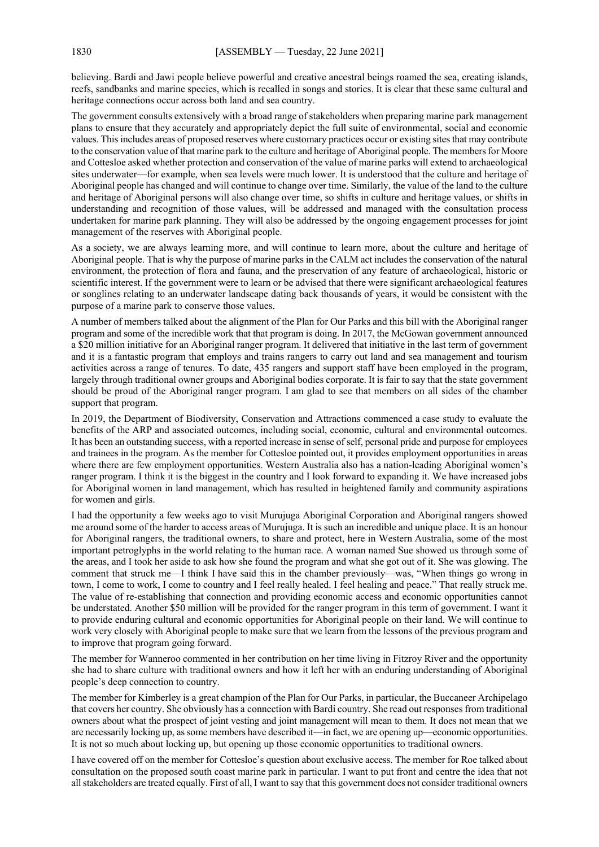believing. Bardi and Jawi people believe powerful and creative ancestral beings roamed the sea, creating islands, reefs, sandbanks and marine species, which is recalled in songs and stories. It is clear that these same cultural and heritage connections occur across both land and sea country.

The government consults extensively with a broad range of stakeholders when preparing marine park management plans to ensure that they accurately and appropriately depict the full suite of environmental, social and economic values. This includes areas of proposed reserves where customary practices occur or existing sites that may contribute to the conservation value of that marine park to the culture and heritage of Aboriginal people. The members for Moore and Cottesloe asked whether protection and conservation of the value of marine parks will extend to archaeological sites underwater—for example, when sea levels were much lower. It is understood that the culture and heritage of Aboriginal people has changed and will continue to change over time. Similarly, the value of the land to the culture and heritage of Aboriginal persons will also change over time, so shifts in culture and heritage values, or shifts in understanding and recognition of those values, will be addressed and managed with the consultation process undertaken for marine park planning. They will also be addressed by the ongoing engagement processes for joint management of the reserves with Aboriginal people.

As a society, we are always learning more, and will continue to learn more, about the culture and heritage of Aboriginal people. That is why the purpose of marine parks in the CALM act includes the conservation of the natural environment, the protection of flora and fauna, and the preservation of any feature of archaeological, historic or scientific interest. If the government were to learn or be advised that there were significant archaeological features or songlines relating to an underwater landscape dating back thousands of years, it would be consistent with the purpose of a marine park to conserve those values.

A number of members talked about the alignment of the Plan for Our Parks and this bill with the Aboriginal ranger program and some of the incredible work that that program is doing. In 2017, the McGowan government announced a \$20 million initiative for an Aboriginal ranger program. It delivered that initiative in the last term of government and it is a fantastic program that employs and trains rangers to carry out land and sea management and tourism activities across a range of tenures. To date, 435 rangers and support staff have been employed in the program, largely through traditional owner groups and Aboriginal bodies corporate. It is fair to say that the state government should be proud of the Aboriginal ranger program. I am glad to see that members on all sides of the chamber support that program.

In 2019, the Department of Biodiversity, Conservation and Attractions commenced a case study to evaluate the benefits of the ARP and associated outcomes, including social, economic, cultural and environmental outcomes. It has been an outstanding success, with a reported increase in sense of self, personal pride and purpose for employees and trainees in the program. As the member for Cottesloe pointed out, it provides employment opportunities in areas where there are few employment opportunities. Western Australia also has a nation-leading Aboriginal women's ranger program. I think it is the biggest in the country and I look forward to expanding it. We have increased jobs for Aboriginal women in land management, which has resulted in heightened family and community aspirations for women and girls.

I had the opportunity a few weeks ago to visit Murujuga Aboriginal Corporation and Aboriginal rangers showed me around some of the harder to access areas of Murujuga. It is such an incredible and unique place. It is an honour for Aboriginal rangers, the traditional owners, to share and protect, here in Western Australia, some of the most important petroglyphs in the world relating to the human race. A woman named Sue showed us through some of the areas, and I took her aside to ask how she found the program and what she got out of it. She was glowing. The comment that struck me—I think I have said this in the chamber previously—was, "When things go wrong in town, I come to work, I come to country and I feel really healed. I feel healing and peace." That really struck me. The value of re-establishing that connection and providing economic access and economic opportunities cannot be understated. Another \$50 million will be provided for the ranger program in this term of government. I want it to provide enduring cultural and economic opportunities for Aboriginal people on their land. We will continue to work very closely with Aboriginal people to make sure that we learn from the lessons of the previous program and to improve that program going forward.

The member for Wanneroo commented in her contribution on her time living in Fitzroy River and the opportunity she had to share culture with traditional owners and how it left her with an enduring understanding of Aboriginal people's deep connection to country.

The member for Kimberley is a great champion of the Plan for Our Parks, in particular, the Buccaneer Archipelago that covers her country. She obviously has a connection with Bardi country. She read out responses from traditional owners about what the prospect of joint vesting and joint management will mean to them. It does not mean that we are necessarily locking up, as some members have described it—in fact, we are opening up—economic opportunities. It is not so much about locking up, but opening up those economic opportunities to traditional owners.

I have covered off on the member for Cottesloe's question about exclusive access. The member for Roe talked about consultation on the proposed south coast marine park in particular. I want to put front and centre the idea that not all stakeholders are treated equally. First of all, I want to say that this government does not consider traditional owners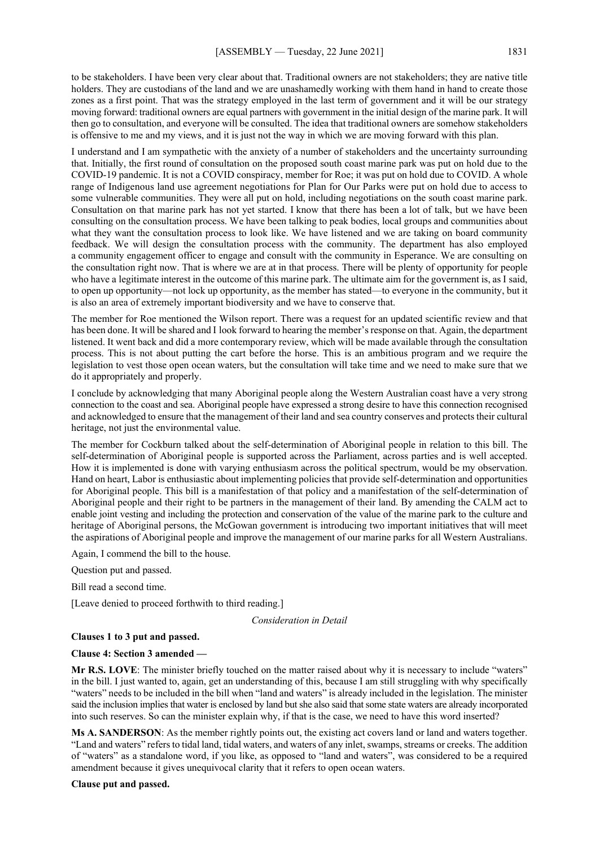to be stakeholders. I have been very clear about that. Traditional owners are not stakeholders; they are native title holders. They are custodians of the land and we are unashamedly working with them hand in hand to create those zones as a first point. That was the strategy employed in the last term of government and it will be our strategy moving forward: traditional owners are equal partners with government in the initial design of the marine park. It will then go to consultation, and everyone will be consulted. The idea that traditional owners are somehow stakeholders is offensive to me and my views, and it is just not the way in which we are moving forward with this plan.

I understand and I am sympathetic with the anxiety of a number of stakeholders and the uncertainty surrounding that. Initially, the first round of consultation on the proposed south coast marine park was put on hold due to the COVID-19 pandemic. It is not a COVID conspiracy, member for Roe; it was put on hold due to COVID. A whole range of Indigenous land use agreement negotiations for Plan for Our Parks were put on hold due to access to some vulnerable communities. They were all put on hold, including negotiations on the south coast marine park. Consultation on that marine park has not yet started. I know that there has been a lot of talk, but we have been consulting on the consultation process. We have been talking to peak bodies, local groups and communities about what they want the consultation process to look like. We have listened and we are taking on board community feedback. We will design the consultation process with the community. The department has also employed a community engagement officer to engage and consult with the community in Esperance. We are consulting on the consultation right now. That is where we are at in that process. There will be plenty of opportunity for people who have a legitimate interest in the outcome of this marine park. The ultimate aim for the government is, as I said, to open up opportunity—not lock up opportunity, as the member has stated—to everyone in the community, but it is also an area of extremely important biodiversity and we have to conserve that.

The member for Roe mentioned the Wilson report. There was a request for an updated scientific review and that has been done. It will be shared and I look forward to hearing the member's response on that. Again, the department listened. It went back and did a more contemporary review, which will be made available through the consultation process. This is not about putting the cart before the horse. This is an ambitious program and we require the legislation to vest those open ocean waters, but the consultation will take time and we need to make sure that we do it appropriately and properly.

I conclude by acknowledging that many Aboriginal people along the Western Australian coast have a very strong connection to the coast and sea. Aboriginal people have expressed a strong desire to have this connection recognised and acknowledged to ensure that the management of their land and sea country conserves and protects their cultural heritage, not just the environmental value.

The member for Cockburn talked about the self-determination of Aboriginal people in relation to this bill. The self-determination of Aboriginal people is supported across the Parliament, across parties and is well accepted. How it is implemented is done with varying enthusiasm across the political spectrum, would be my observation. Hand on heart, Labor is enthusiastic about implementing policies that provide self-determination and opportunities for Aboriginal people. This bill is a manifestation of that policy and a manifestation of the self-determination of Aboriginal people and their right to be partners in the management of their land. By amending the CALM act to enable joint vesting and including the protection and conservation of the value of the marine park to the culture and heritage of Aboriginal persons, the McGowan government is introducing two important initiatives that will meet the aspirations of Aboriginal people and improve the management of our marine parks for all Western Australians.

Again, I commend the bill to the house.

Question put and passed.

Bill read a second time.

[Leave denied to proceed forthwith to third reading.]

#### *Consideration in Detail*

# **Clauses 1 to 3 put and passed.**

#### **Clause 4: Section 3 amended —**

**Mr R.S. LOVE**: The minister briefly touched on the matter raised about why it is necessary to include "waters" in the bill. I just wanted to, again, get an understanding of this, because I am still struggling with why specifically "waters" needs to be included in the bill when "land and waters" is already included in the legislation. The minister said the inclusion implies that water is enclosed by land but she also said that some state waters are already incorporated into such reserves. So can the minister explain why, if that is the case, we need to have this word inserted?

**Ms A. SANDERSON**: As the member rightly points out, the existing act covers land or land and waters together. "Land and waters" refers to tidal land, tidal waters, and waters of any inlet, swamps, streams or creeks. The addition of "waters" as a standalone word, if you like, as opposed to "land and waters", was considered to be a required amendment because it gives unequivocal clarity that it refers to open ocean waters.

#### **Clause put and passed.**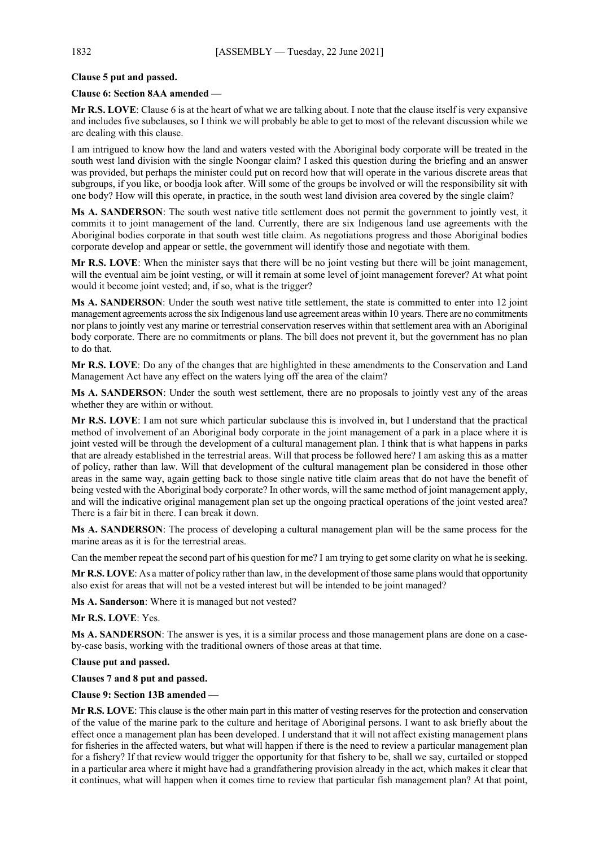# **Clause 5 put and passed.**

## **Clause 6: Section 8AA amended —**

**Mr R.S. LOVE**: Clause 6 is at the heart of what we are talking about. I note that the clause itself is very expansive and includes five subclauses, so I think we will probably be able to get to most of the relevant discussion while we are dealing with this clause.

I am intrigued to know how the land and waters vested with the Aboriginal body corporate will be treated in the south west land division with the single Noongar claim? I asked this question during the briefing and an answer was provided, but perhaps the minister could put on record how that will operate in the various discrete areas that subgroups, if you like, or boodja look after. Will some of the groups be involved or will the responsibility sit with one body? How will this operate, in practice, in the south west land division area covered by the single claim?

**Ms A. SANDERSON**: The south west native title settlement does not permit the government to jointly vest, it commits it to joint management of the land. Currently, there are six Indigenous land use agreements with the Aboriginal bodies corporate in that south west title claim. As negotiations progress and those Aboriginal bodies corporate develop and appear or settle, the government will identify those and negotiate with them.

**Mr R.S. LOVE**: When the minister says that there will be no joint vesting but there will be joint management, will the eventual aim be joint vesting, or will it remain at some level of joint management forever? At what point would it become joint vested; and, if so, what is the trigger?

**Ms A. SANDERSON**: Under the south west native title settlement, the state is committed to enter into 12 joint management agreements across the six Indigenous land use agreement areas within 10 years. There are no commitments nor plans to jointly vest any marine or terrestrial conservation reserves within that settlement area with an Aboriginal body corporate. There are no commitments or plans. The bill does not prevent it, but the government has no plan to do that.

**Mr R.S. LOVE**: Do any of the changes that are highlighted in these amendments to the Conservation and Land Management Act have any effect on the waters lying off the area of the claim?

**Ms A. SANDERSON**: Under the south west settlement, there are no proposals to jointly vest any of the areas whether they are within or without.

**Mr R.S. LOVE**: I am not sure which particular subclause this is involved in, but I understand that the practical method of involvement of an Aboriginal body corporate in the joint management of a park in a place where it is joint vested will be through the development of a cultural management plan. I think that is what happens in parks that are already established in the terrestrial areas. Will that process be followed here? I am asking this as a matter of policy, rather than law. Will that development of the cultural management plan be considered in those other areas in the same way, again getting back to those single native title claim areas that do not have the benefit of being vested with the Aboriginal body corporate? In other words, will the same method of joint management apply, and will the indicative original management plan set up the ongoing practical operations of the joint vested area? There is a fair bit in there. I can break it down.

**Ms A. SANDERSON**: The process of developing a cultural management plan will be the same process for the marine areas as it is for the terrestrial areas.

Can the member repeat the second part of his question for me? I am trying to get some clarity on what he is seeking.

**Mr R.S. LOVE**: As a matter of policy rather than law, in the development of those same plans would that opportunity also exist for areas that will not be a vested interest but will be intended to be joint managed?

**Ms A. Sanderson**: Where it is managed but not vested?

## **Mr R.S. LOVE**: Yes.

**Ms A. SANDERSON**: The answer is yes, it is a similar process and those management plans are done on a caseby-case basis, working with the traditional owners of those areas at that time.

## **Clause put and passed.**

# **Clauses 7 and 8 put and passed.**

## **Clause 9: Section 13B amended —**

**Mr R.S. LOVE**: This clause is the other main part in this matter of vesting reserves for the protection and conservation of the value of the marine park to the culture and heritage of Aboriginal persons. I want to ask briefly about the effect once a management plan has been developed. I understand that it will not affect existing management plans for fisheries in the affected waters, but what will happen if there is the need to review a particular management plan for a fishery? If that review would trigger the opportunity for that fishery to be, shall we say, curtailed or stopped in a particular area where it might have had a grandfathering provision already in the act, which makes it clear that it continues, what will happen when it comes time to review that particular fish management plan? At that point,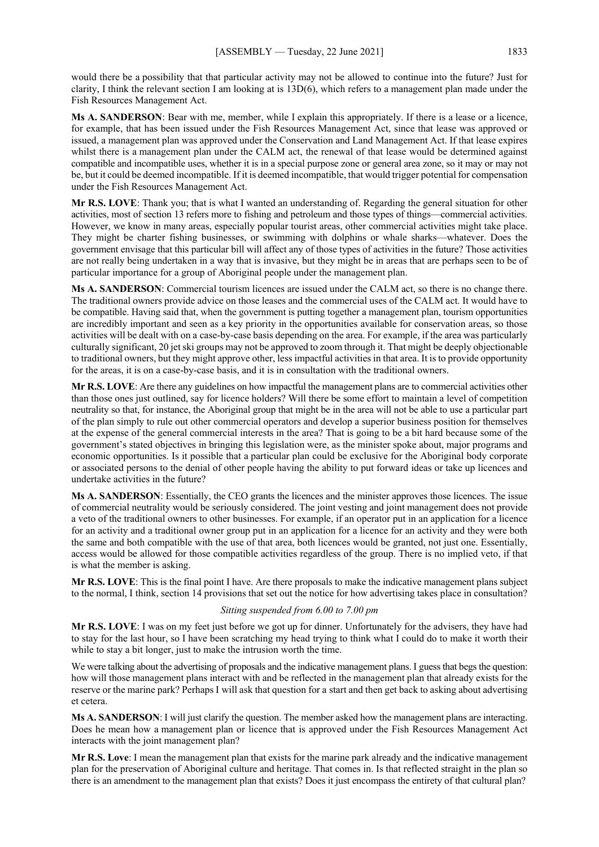would there be a possibility that that particular activity may not be allowed to continue into the future? Just for clarity, I think the relevant section I am looking at is 13D(6), which refers to a management plan made under the Fish Resources Management Act.

**Ms A. SANDERSON**: Bear with me, member, while I explain this appropriately. If there is a lease or a licence, for example, that has been issued under the Fish Resources Management Act, since that lease was approved or issued, a management plan was approved under the Conservation and Land Management Act. If that lease expires whilst there is a management plan under the CALM act, the renewal of that lease would be determined against compatible and incompatible uses, whether it is in a special purpose zone or general area zone, so it may or may not be, but it could be deemed incompatible. If it is deemed incompatible, that would trigger potential for compensation under the Fish Resources Management Act.

**Mr R.S. LOVE**: Thank you; that is what I wanted an understanding of. Regarding the general situation for other activities, most of section 13 refers more to fishing and petroleum and those types of things—commercial activities. However, we know in many areas, especially popular tourist areas, other commercial activities might take place. They might be charter fishing businesses, or swimming with dolphins or whale sharks—whatever. Does the government envisage that this particular bill will affect any of those types of activities in the future? Those activities are not really being undertaken in a way that is invasive, but they might be in areas that are perhaps seen to be of particular importance for a group of Aboriginal people under the management plan.

**Ms A. SANDERSON**: Commercial tourism licences are issued under the CALM act, so there is no change there. The traditional owners provide advice on those leases and the commercial uses of the CALM act. It would have to be compatible. Having said that, when the government is putting together a management plan, tourism opportunities are incredibly important and seen as a key priority in the opportunities available for conservation areas, so those activities will be dealt with on a case-by-case basis depending on the area. For example, if the area was particularly culturally significant, 20 jet ski groups may not be approved to zoom through it. That might be deeply objectionable to traditional owners, but they might approve other, less impactful activities in that area. It is to provide opportunity for the areas, it is on a case-by-case basis, and it is in consultation with the traditional owners.

**Mr R.S. LOVE**: Are there any guidelines on how impactful the management plans are to commercial activities other than those ones just outlined, say for licence holders? Will there be some effort to maintain a level of competition neutrality so that, for instance, the Aboriginal group that might be in the area will not be able to use a particular part of the plan simply to rule out other commercial operators and develop a superior business position for themselves at the expense of the general commercial interests in the area? That is going to be a bit hard because some of the government's stated objectives in bringing this legislation were, as the minister spoke about, major programs and economic opportunities. Is it possible that a particular plan could be exclusive for the Aboriginal body corporate or associated persons to the denial of other people having the ability to put forward ideas or take up licences and undertake activities in the future?

**Ms A. SANDERSON**: Essentially, the CEO grants the licences and the minister approves those licences. The issue of commercial neutrality would be seriously considered. The joint vesting and joint management does not provide a veto of the traditional owners to other businesses. For example, if an operator put in an application for a licence for an activity and a traditional owner group put in an application for a licence for an activity and they were both the same and both compatible with the use of that area, both licences would be granted, not just one. Essentially, access would be allowed for those compatible activities regardless of the group. There is no implied veto, if that is what the member is asking.

**Mr R.S. LOVE**: This is the final point I have. Are there proposals to make the indicative management plans subject to the normal, I think, section 14 provisions that set out the notice for how advertising takes place in consultation?

# *Sitting suspended from 6.00 to 7.00 pm*

**Mr R.S. LOVE**: I was on my feet just before we got up for dinner. Unfortunately for the advisers, they have had to stay for the last hour, so I have been scratching my head trying to think what I could do to make it worth their while to stay a bit longer, just to make the intrusion worth the time.

We were talking about the advertising of proposals and the indicative management plans. I guess that begs the question: how will those management plans interact with and be reflected in the management plan that already exists for the reserve or the marine park? Perhaps I will ask that question for a start and then get back to asking about advertising et cetera.

**Ms A. SANDERSON**: I will just clarify the question. The member asked how the management plans are interacting. Does he mean how a management plan or licence that is approved under the Fish Resources Management Act interacts with the joint management plan?

**Mr R.S. Love**: I mean the management plan that exists for the marine park already and the indicative management plan for the preservation of Aboriginal culture and heritage. That comes in. Is that reflected straight in the plan so there is an amendment to the management plan that exists? Does it just encompass the entirety of that cultural plan?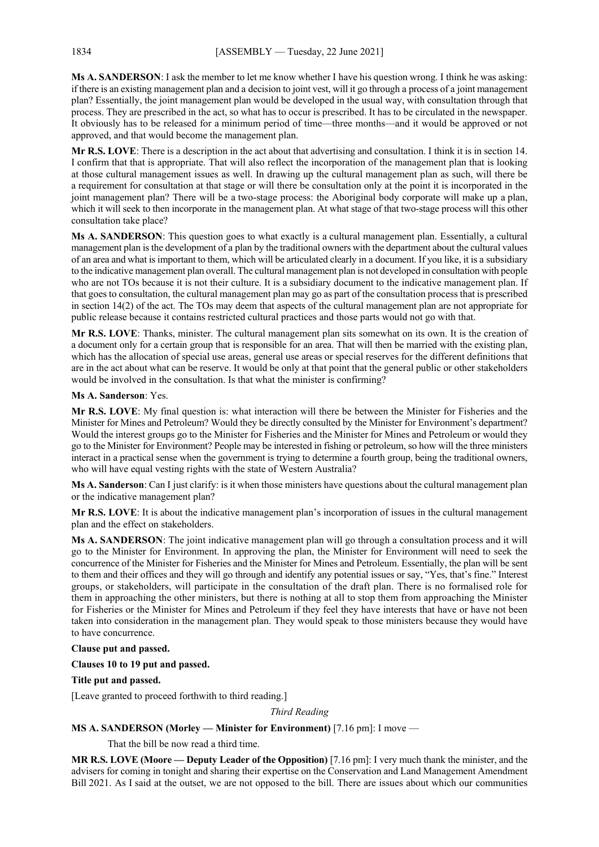**Ms A. SANDERSON**: I ask the member to let me know whether I have his question wrong. I think he was asking: if there is an existing management plan and a decision to joint vest, will it go through a process of a joint management plan? Essentially, the joint management plan would be developed in the usual way, with consultation through that process. They are prescribed in the act, so what has to occur is prescribed. It has to be circulated in the newspaper. It obviously has to be released for a minimum period of time—three months—and it would be approved or not approved, and that would become the management plan.

**Mr R.S. LOVE**: There is a description in the act about that advertising and consultation. I think it is in section 14. I confirm that that is appropriate. That will also reflect the incorporation of the management plan that is looking at those cultural management issues as well. In drawing up the cultural management plan as such, will there be a requirement for consultation at that stage or will there be consultation only at the point it is incorporated in the joint management plan? There will be a two-stage process: the Aboriginal body corporate will make up a plan, which it will seek to then incorporate in the management plan. At what stage of that two-stage process will this other consultation take place?

**Ms A. SANDERSON**: This question goes to what exactly is a cultural management plan. Essentially, a cultural management plan is the development of a plan by the traditional owners with the department about the cultural values of an area and what is important to them, which will be articulated clearly in a document. If you like, it is a subsidiary to the indicative management plan overall. The cultural management plan is not developed in consultation with people who are not TOs because it is not their culture. It is a subsidiary document to the indicative management plan. If that goes to consultation, the cultural management plan may go as part of the consultation process that is prescribed in section 14(2) of the act. The TOs may deem that aspects of the cultural management plan are not appropriate for public release because it contains restricted cultural practices and those parts would not go with that.

**Mr R.S. LOVE**: Thanks, minister. The cultural management plan sits somewhat on its own. It is the creation of a document only for a certain group that is responsible for an area. That will then be married with the existing plan, which has the allocation of special use areas, general use areas or special reserves for the different definitions that are in the act about what can be reserve. It would be only at that point that the general public or other stakeholders would be involved in the consultation. Is that what the minister is confirming?

# **Ms A. Sanderson**: Yes.

**Mr R.S. LOVE**: My final question is: what interaction will there be between the Minister for Fisheries and the Minister for Mines and Petroleum? Would they be directly consulted by the Minister for Environment's department? Would the interest groups go to the Minister for Fisheries and the Minister for Mines and Petroleum or would they go to the Minister for Environment? People may be interested in fishing or petroleum, so how will the three ministers interact in a practical sense when the government is trying to determine a fourth group, being the traditional owners, who will have equal vesting rights with the state of Western Australia?

**Ms A. Sanderson**: Can I just clarify: is it when those ministers have questions about the cultural management plan or the indicative management plan?

**Mr R.S. LOVE**: It is about the indicative management plan's incorporation of issues in the cultural management plan and the effect on stakeholders.

**Ms A. SANDERSON**: The joint indicative management plan will go through a consultation process and it will go to the Minister for Environment. In approving the plan, the Minister for Environment will need to seek the concurrence of the Minister for Fisheries and the Minister for Mines and Petroleum. Essentially, the plan will be sent to them and their offices and they will go through and identify any potential issues or say, "Yes, that's fine." Interest groups, or stakeholders, will participate in the consultation of the draft plan. There is no formalised role for them in approaching the other ministers, but there is nothing at all to stop them from approaching the Minister for Fisheries or the Minister for Mines and Petroleum if they feel they have interests that have or have not been taken into consideration in the management plan. They would speak to those ministers because they would have to have concurrence.

## **Clause put and passed.**

# **Clauses 10 to 19 put and passed.**

## **Title put and passed.**

[Leave granted to proceed forthwith to third reading.]

*Third Reading*

# **MS A. SANDERSON (Morley — Minister for Environment)** [7.16 pm]: I move —

That the bill be now read a third time.

**MR R.S. LOVE (Moore — Deputy Leader of the Opposition)** [7.16 pm]: I very much thank the minister, and the advisers for coming in tonight and sharing their expertise on the Conservation and Land Management Amendment Bill 2021. As I said at the outset, we are not opposed to the bill. There are issues about which our communities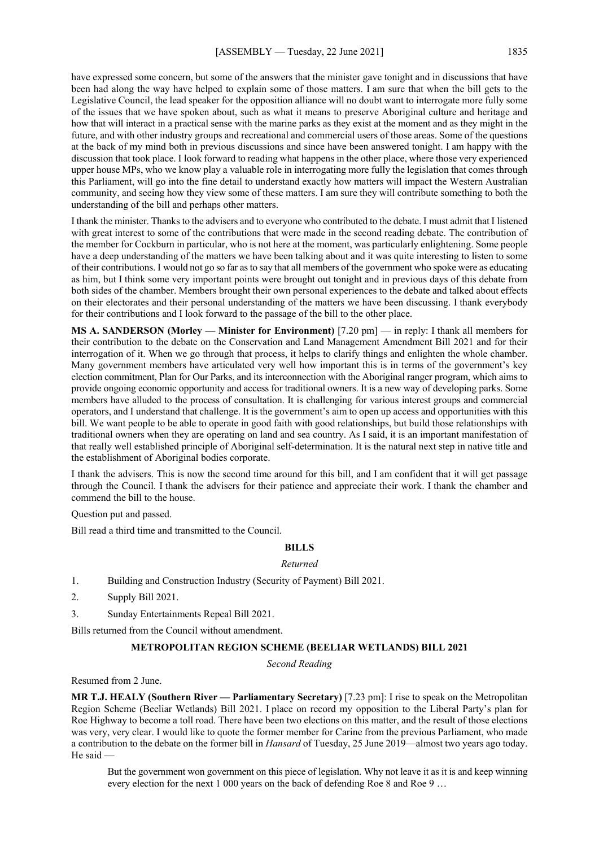have expressed some concern, but some of the answers that the minister gave tonight and in discussions that have been had along the way have helped to explain some of those matters. I am sure that when the bill gets to the Legislative Council, the lead speaker for the opposition alliance will no doubt want to interrogate more fully some of the issues that we have spoken about, such as what it means to preserve Aboriginal culture and heritage and how that will interact in a practical sense with the marine parks as they exist at the moment and as they might in the future, and with other industry groups and recreational and commercial users of those areas. Some of the questions at the back of my mind both in previous discussions and since have been answered tonight. I am happy with the discussion that took place. I look forward to reading what happens in the other place, where those very experienced upper house MPs, who we know play a valuable role in interrogating more fully the legislation that comes through this Parliament, will go into the fine detail to understand exactly how matters will impact the Western Australian community, and seeing how they view some of these matters. I am sure they will contribute something to both the understanding of the bill and perhaps other matters.

I thank the minister. Thanks to the advisers and to everyone who contributed to the debate. I must admit that I listened with great interest to some of the contributions that were made in the second reading debate. The contribution of the member for Cockburn in particular, who is not here at the moment, was particularly enlightening. Some people have a deep understanding of the matters we have been talking about and it was quite interesting to listen to some of their contributions. I would not go so far as to say that all members of the government who spoke were as educating as him, but I think some very important points were brought out tonight and in previous days of this debate from both sides of the chamber. Members brought their own personal experiences to the debate and talked about effects on their electorates and their personal understanding of the matters we have been discussing. I thank everybody for their contributions and I look forward to the passage of the bill to the other place.

**MS A. SANDERSON (Morley — Minister for Environment)** [7.20 pm] — in reply: I thank all members for their contribution to the debate on the Conservation and Land Management Amendment Bill 2021 and for their interrogation of it. When we go through that process, it helps to clarify things and enlighten the whole chamber. Many government members have articulated very well how important this is in terms of the government's key election commitment, Plan for Our Parks, and its interconnection with the Aboriginal ranger program, which aims to provide ongoing economic opportunity and access for traditional owners. It is a new way of developing parks. Some members have alluded to the process of consultation. It is challenging for various interest groups and commercial operators, and I understand that challenge. It is the government's aim to open up access and opportunities with this bill. We want people to be able to operate in good faith with good relationships, but build those relationships with traditional owners when they are operating on land and sea country. As I said, it is an important manifestation of that really well established principle of Aboriginal self-determination. It is the natural next step in native title and the establishment of Aboriginal bodies corporate.

I thank the advisers. This is now the second time around for this bill, and I am confident that it will get passage through the Council. I thank the advisers for their patience and appreciate their work. I thank the chamber and commend the bill to the house.

Question put and passed.

Bill read a third time and transmitted to the Council.

# **BILLS**

#### *Returned*

- 1. Building and Construction Industry (Security of Payment) Bill 2021.
- 2. Supply Bill 2021.
- 3. Sunday Entertainments Repeal Bill 2021.

Bills returned from the Council without amendment.

# **METROPOLITAN REGION SCHEME (BEELIAR WETLANDS) BILL 2021**

*Second Reading*

Resumed from 2 June.

**MR T.J. HEALY (Southern River — Parliamentary Secretary)** [7.23 pm]: I rise to speak on the Metropolitan Region Scheme (Beeliar Wetlands) Bill 2021. I place on record my opposition to the Liberal Party's plan for Roe Highway to become a toll road. There have been two elections on this matter, and the result of those elections was very, very clear. I would like to quote the former member for Carine from the previous Parliament, who made a contribution to the debate on the former bill in *Hansard* of Tuesday, 25 June 2019—almost two years ago today. He said

But the government won government on this piece of legislation. Why not leave it as it is and keep winning every election for the next 1 000 years on the back of defending Roe 8 and Roe 9 …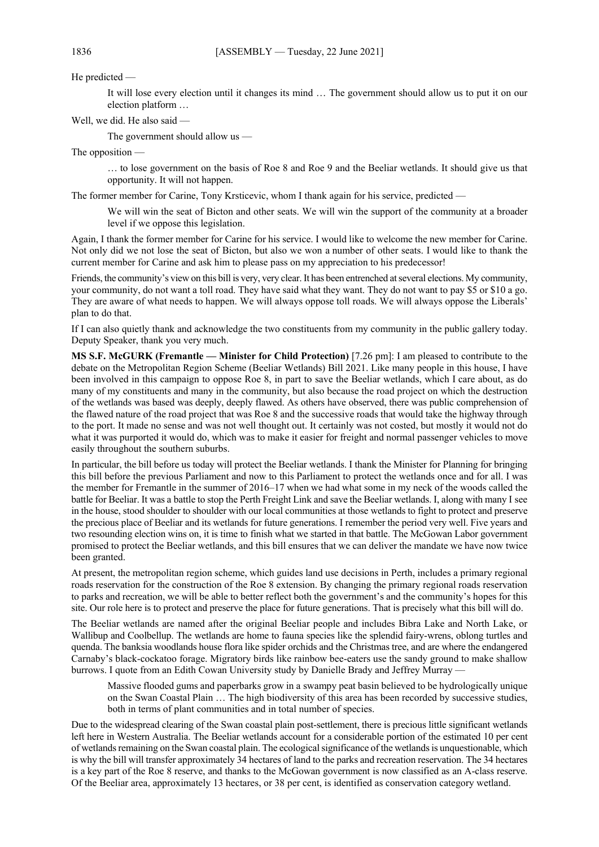He predicted —

It will lose every election until it changes its mind … The government should allow us to put it on our election platform …

Well, we did. He also said —

The government should allow us —

The opposition —

… to lose government on the basis of Roe 8 and Roe 9 and the Beeliar wetlands. It should give us that opportunity. It will not happen.

The former member for Carine, Tony Krsticevic, whom I thank again for his service, predicted —

We will win the seat of Bicton and other seats. We will win the support of the community at a broader level if we oppose this legislation.

Again, I thank the former member for Carine for his service. I would like to welcome the new member for Carine. Not only did we not lose the seat of Bicton, but also we won a number of other seats. I would like to thank the current member for Carine and ask him to please pass on my appreciation to his predecessor!

Friends, the community's view on this bill is very, very clear. It has been entrenched at several elections. My community, your community, do not want a toll road. They have said what they want. They do not want to pay \$5 or \$10 a go. They are aware of what needs to happen. We will always oppose toll roads. We will always oppose the Liberals' plan to do that.

If I can also quietly thank and acknowledge the two constituents from my community in the public gallery today. Deputy Speaker, thank you very much.

**MS S.F. McGURK (Fremantle — Minister for Child Protection)** [7.26 pm]: I am pleased to contribute to the debate on the Metropolitan Region Scheme (Beeliar Wetlands) Bill 2021. Like many people in this house, I have been involved in this campaign to oppose Roe 8, in part to save the Beeliar wetlands, which I care about, as do many of my constituents and many in the community, but also because the road project on which the destruction of the wetlands was based was deeply, deeply flawed. As others have observed, there was public comprehension of the flawed nature of the road project that was Roe 8 and the successive roads that would take the highway through to the port. It made no sense and was not well thought out. It certainly was not costed, but mostly it would not do what it was purported it would do, which was to make it easier for freight and normal passenger vehicles to move easily throughout the southern suburbs.

In particular, the bill before us today will protect the Beeliar wetlands. I thank the Minister for Planning for bringing this bill before the previous Parliament and now to this Parliament to protect the wetlands once and for all. I was the member for Fremantle in the summer of 2016–17 when we had what some in my neck of the woods called the battle for Beeliar. It was a battle to stop the Perth Freight Link and save the Beeliar wetlands. I, along with many I see in the house, stood shoulder to shoulder with our local communities at those wetlands to fight to protect and preserve the precious place of Beeliar and its wetlands for future generations. I remember the period very well. Five years and two resounding election wins on, it is time to finish what we started in that battle. The McGowan Labor government promised to protect the Beeliar wetlands, and this bill ensures that we can deliver the mandate we have now twice been granted.

At present, the metropolitan region scheme, which guides land use decisions in Perth, includes a primary regional roads reservation for the construction of the Roe 8 extension. By changing the primary regional roads reservation to parks and recreation, we will be able to better reflect both the government's and the community's hopes for this site. Our role here is to protect and preserve the place for future generations. That is precisely what this bill will do.

The Beeliar wetlands are named after the original Beeliar people and includes Bibra Lake and North Lake, or Wallibup and Coolbellup. The wetlands are home to fauna species like the splendid fairy-wrens, oblong turtles and quenda. The banksia woodlands house flora like spider orchids and the Christmas tree, and are where the endangered Carnaby's black-cockatoo forage. Migratory birds like rainbow bee-eaters use the sandy ground to make shallow burrows. I quote from an Edith Cowan University study by Danielle Brady and Jeffrey Murray -

Massive flooded gums and paperbarks grow in a swampy peat basin believed to be hydrologically unique on the Swan Coastal Plain … The high biodiversity of this area has been recorded by successive studies, both in terms of plant communities and in total number of species.

Due to the widespread clearing of the Swan coastal plain post-settlement, there is precious little significant wetlands left here in Western Australia. The Beeliar wetlands account for a considerable portion of the estimated 10 per cent of wetlands remaining on the Swan coastal plain. The ecological significance of the wetlands is unquestionable, which is why the bill will transfer approximately 34 hectares of land to the parks and recreation reservation. The 34 hectares is a key part of the Roe 8 reserve, and thanks to the McGowan government is now classified as an A-class reserve. Of the Beeliar area, approximately 13 hectares, or 38 per cent, is identified as conservation category wetland.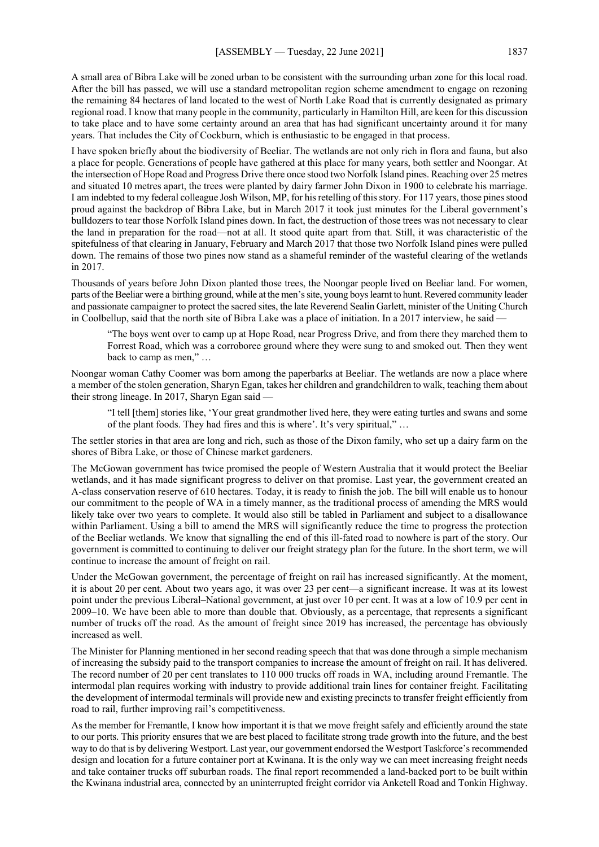A small area of Bibra Lake will be zoned urban to be consistent with the surrounding urban zone for this local road. After the bill has passed, we will use a standard metropolitan region scheme amendment to engage on rezoning the remaining 84 hectares of land located to the west of North Lake Road that is currently designated as primary regional road. I know that many people in the community, particularly in Hamilton Hill, are keen for this discussion to take place and to have some certainty around an area that has had significant uncertainty around it for many years. That includes the City of Cockburn, which is enthusiastic to be engaged in that process.

I have spoken briefly about the biodiversity of Beeliar. The wetlands are not only rich in flora and fauna, but also a place for people. Generations of people have gathered at this place for many years, both settler and Noongar. At the intersection of Hope Road and Progress Drive there once stood two Norfolk Island pines. Reaching over 25 metres and situated 10 metres apart, the trees were planted by dairy farmer John Dixon in 1900 to celebrate his marriage. I am indebted to my federal colleague Josh Wilson, MP, for his retelling of this story. For 117 years, those pines stood proud against the backdrop of Bibra Lake, but in March 2017 it took just minutes for the Liberal government's bulldozers to tear those Norfolk Island pines down. In fact, the destruction of those trees was not necessary to clear the land in preparation for the road—not at all. It stood quite apart from that. Still, it was characteristic of the spitefulness of that clearing in January, February and March 2017 that those two Norfolk Island pines were pulled down. The remains of those two pines now stand as a shameful reminder of the wasteful clearing of the wetlands in 2017.

Thousands of years before John Dixon planted those trees, the Noongar people lived on Beeliar land. For women, parts of the Beeliar were a birthing ground, while at the men's site, young boys learnt to hunt. Revered community leader and passionate campaigner to protect the sacred sites, the late Reverend Sealin Garlett, minister of the Uniting Church in Coolbellup, said that the north site of Bibra Lake was a place of initiation. In a 2017 interview, he said —

"The boys went over to camp up at Hope Road, near Progress Drive, and from there they marched them to Forrest Road, which was a corroboree ground where they were sung to and smoked out. Then they went back to camp as men," …

Noongar woman Cathy Coomer was born among the paperbarks at Beeliar. The wetlands are now a place where a member of the stolen generation, Sharyn Egan, takes her children and grandchildren to walk, teaching them about their strong lineage. In 2017, Sharyn Egan said —

"I tell [them] stories like, 'Your great grandmother lived here, they were eating turtles and swans and some of the plant foods. They had fires and this is where'. It's very spiritual," …

The settler stories in that area are long and rich, such as those of the Dixon family, who set up a dairy farm on the shores of Bibra Lake, or those of Chinese market gardeners.

The McGowan government has twice promised the people of Western Australia that it would protect the Beeliar wetlands, and it has made significant progress to deliver on that promise. Last year, the government created an A-class conservation reserve of 610 hectares. Today, it is ready to finish the job. The bill will enable us to honour our commitment to the people of WA in a timely manner, as the traditional process of amending the MRS would likely take over two years to complete. It would also still be tabled in Parliament and subject to a disallowance within Parliament. Using a bill to amend the MRS will significantly reduce the time to progress the protection of the Beeliar wetlands. We know that signalling the end of this ill-fated road to nowhere is part of the story. Our government is committed to continuing to deliver our freight strategy plan for the future. In the short term, we will continue to increase the amount of freight on rail.

Under the McGowan government, the percentage of freight on rail has increased significantly. At the moment, it is about 20 per cent. About two years ago, it was over 23 per cent—a significant increase. It was at its lowest point under the previous Liberal–National government, at just over 10 per cent. It was at a low of 10.9 per cent in 2009–10. We have been able to more than double that. Obviously, as a percentage, that represents a significant number of trucks off the road. As the amount of freight since 2019 has increased, the percentage has obviously increased as well.

The Minister for Planning mentioned in her second reading speech that that was done through a simple mechanism of increasing the subsidy paid to the transport companies to increase the amount of freight on rail. It has delivered. The record number of 20 per cent translates to 110 000 trucks off roads in WA, including around Fremantle. The intermodal plan requires working with industry to provide additional train lines for container freight. Facilitating the development of intermodal terminals will provide new and existing precincts to transfer freight efficiently from road to rail, further improving rail's competitiveness.

As the member for Fremantle, I know how important it is that we move freight safely and efficiently around the state to our ports. This priority ensures that we are best placed to facilitate strong trade growth into the future, and the best way to do that is by delivering Westport. Last year, our government endorsed the Westport Taskforce's recommended design and location for a future container port at Kwinana. It is the only way we can meet increasing freight needs and take container trucks off suburban roads. The final report recommended a land-backed port to be built within the Kwinana industrial area, connected by an uninterrupted freight corridor via Anketell Road and Tonkin Highway.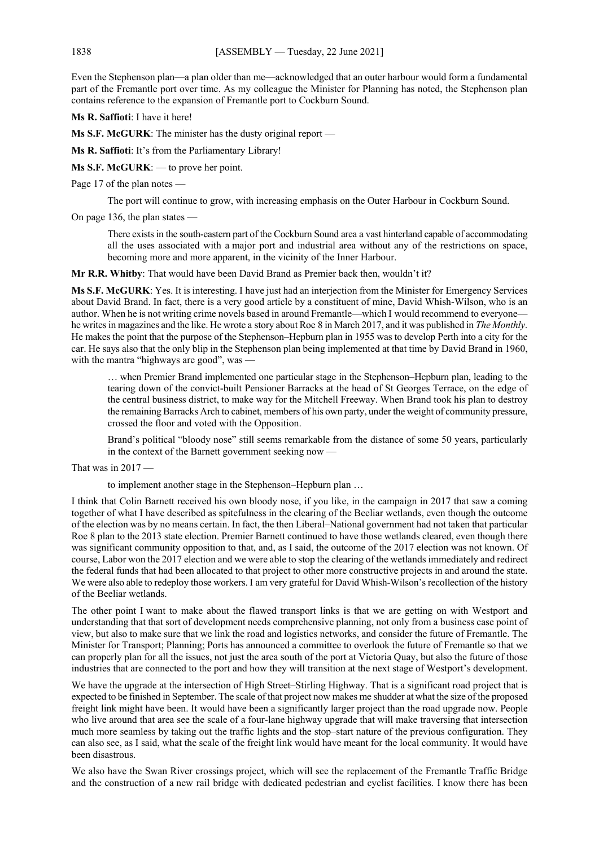Even the Stephenson plan—a plan older than me—acknowledged that an outer harbour would form a fundamental part of the Fremantle port over time. As my colleague the Minister for Planning has noted, the Stephenson plan contains reference to the expansion of Fremantle port to Cockburn Sound.

**Ms R. Saffioti**: I have it here!

**Ms S.F. McGURK**: The minister has the dusty original report —

**Ms R. Saffioti**: It's from the Parliamentary Library!

**Ms S.F. McGURK**: — to prove her point.

Page 17 of the plan notes —

The port will continue to grow, with increasing emphasis on the Outer Harbour in Cockburn Sound.

On page 136, the plan states —

There exists in the south-eastern part of the Cockburn Sound area a vast hinterland capable of accommodating all the uses associated with a major port and industrial area without any of the restrictions on space, becoming more and more apparent, in the vicinity of the Inner Harbour.

**Mr R.R. Whitby**: That would have been David Brand as Premier back then, wouldn't it?

**Ms S.F. McGURK**: Yes. It is interesting. I have just had an interjection from the Minister for Emergency Services about David Brand. In fact, there is a very good article by a constituent of mine, David Whish-Wilson, who is an author. When he is not writing crime novels based in around Fremantle—which I would recommend to everyone he writes in magazines and the like. He wrote a story about Roe 8 in March 2017, and it was published in *The Monthly*. He makes the point that the purpose of the Stephenson–Hepburn plan in 1955 was to develop Perth into a city for the car. He says also that the only blip in the Stephenson plan being implemented at that time by David Brand in 1960, with the mantra "highways are good", was

… when Premier Brand implemented one particular stage in the Stephenson–Hepburn plan, leading to the tearing down of the convict-built Pensioner Barracks at the head of St Georges Terrace, on the edge of the central business district, to make way for the Mitchell Freeway. When Brand took his plan to destroy the remaining Barracks Arch to cabinet, members of his own party, under the weight of community pressure, crossed the floor and voted with the Opposition.

Brand's political "bloody nose" still seems remarkable from the distance of some 50 years, particularly in the context of the Barnett government seeking now —

That was in 2017 —

to implement another stage in the Stephenson–Hepburn plan …

I think that Colin Barnett received his own bloody nose, if you like, in the campaign in 2017 that saw a coming together of what I have described as spitefulness in the clearing of the Beeliar wetlands, even though the outcome of the election was by no means certain. In fact, the then Liberal–National government had not taken that particular Roe 8 plan to the 2013 state election. Premier Barnett continued to have those wetlands cleared, even though there was significant community opposition to that, and, as I said, the outcome of the 2017 election was not known. Of course, Labor won the 2017 election and we were able to stop the clearing of the wetlands immediately and redirect the federal funds that had been allocated to that project to other more constructive projects in and around the state. We were also able to redeploy those workers. I am very grateful for David Whish-Wilson's recollection of the history of the Beeliar wetlands.

The other point I want to make about the flawed transport links is that we are getting on with Westport and understanding that that sort of development needs comprehensive planning, not only from a business case point of view, but also to make sure that we link the road and logistics networks, and consider the future of Fremantle. The Minister for Transport; Planning; Ports has announced a committee to overlook the future of Fremantle so that we can properly plan for all the issues, not just the area south of the port at Victoria Quay, but also the future of those industries that are connected to the port and how they will transition at the next stage of Westport's development.

We have the upgrade at the intersection of High Street–Stirling Highway. That is a significant road project that is expected to be finished in September. The scale of that project now makes me shudder at what the size of the proposed freight link might have been. It would have been a significantly larger project than the road upgrade now. People who live around that area see the scale of a four-lane highway upgrade that will make traversing that intersection much more seamless by taking out the traffic lights and the stop–start nature of the previous configuration. They can also see, as I said, what the scale of the freight link would have meant for the local community. It would have been disastrous.

We also have the Swan River crossings project, which will see the replacement of the Fremantle Traffic Bridge and the construction of a new rail bridge with dedicated pedestrian and cyclist facilities. I know there has been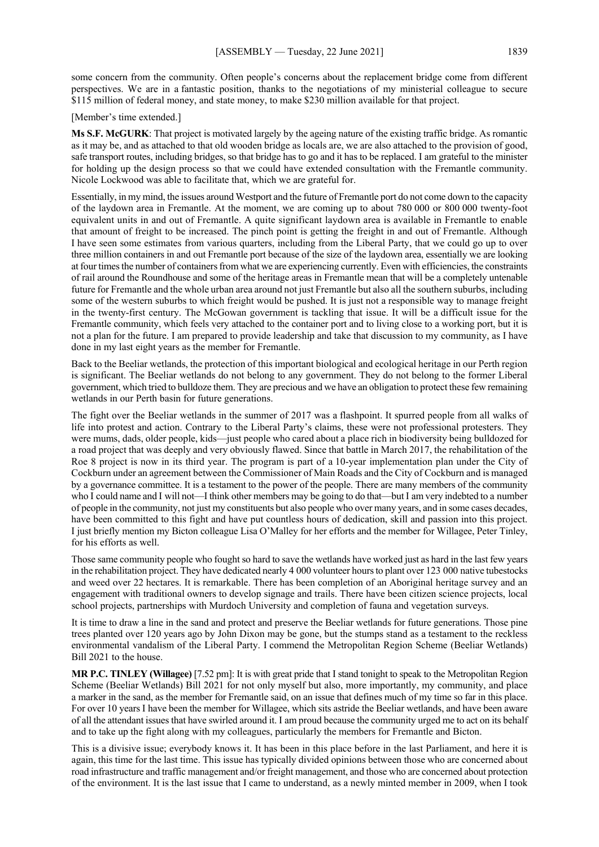some concern from the community. Often people's concerns about the replacement bridge come from different perspectives. We are in a fantastic position, thanks to the negotiations of my ministerial colleague to secure \$115 million of federal money, and state money, to make \$230 million available for that project.

[Member's time extended.]

**Ms S.F. McGURK**: That project is motivated largely by the ageing nature of the existing traffic bridge. As romantic as it may be, and as attached to that old wooden bridge as locals are, we are also attached to the provision of good, safe transport routes, including bridges, so that bridge has to go and it has to be replaced. I am grateful to the minister for holding up the design process so that we could have extended consultation with the Fremantle community. Nicole Lockwood was able to facilitate that, which we are grateful for.

Essentially, in my mind, the issues around Westport and the future of Fremantle port do not come down to the capacity of the laydown area in Fremantle. At the moment, we are coming up to about 780 000 or 800 000 twenty-foot equivalent units in and out of Fremantle. A quite significant laydown area is available in Fremantle to enable that amount of freight to be increased. The pinch point is getting the freight in and out of Fremantle. Although I have seen some estimates from various quarters, including from the Liberal Party, that we could go up to over three million containers in and out Fremantle port because of the size of the laydown area, essentially we are looking at four times the number of containers from what we are experiencing currently. Even with efficiencies, the constraints of rail around the Roundhouse and some of the heritage areas in Fremantle mean that will be a completely untenable future for Fremantle and the whole urban area around not just Fremantle but also all the southern suburbs, including some of the western suburbs to which freight would be pushed. It is just not a responsible way to manage freight in the twenty-first century. The McGowan government is tackling that issue. It will be a difficult issue for the Fremantle community, which feels very attached to the container port and to living close to a working port, but it is not a plan for the future. I am prepared to provide leadership and take that discussion to my community, as I have done in my last eight years as the member for Fremantle.

Back to the Beeliar wetlands, the protection of this important biological and ecological heritage in our Perth region is significant. The Beeliar wetlands do not belong to any government. They do not belong to the former Liberal government, which tried to bulldoze them. They are precious and we have an obligation to protect these few remaining wetlands in our Perth basin for future generations.

The fight over the Beeliar wetlands in the summer of 2017 was a flashpoint. It spurred people from all walks of life into protest and action. Contrary to the Liberal Party's claims, these were not professional protesters. They were mums, dads, older people, kids—just people who cared about a place rich in biodiversity being bulldozed for a road project that was deeply and very obviously flawed. Since that battle in March 2017, the rehabilitation of the Roe 8 project is now in its third year. The program is part of a 10-year implementation plan under the City of Cockburn under an agreement between the Commissioner of Main Roads and the City of Cockburn and is managed by a governance committee. It is a testament to the power of the people. There are many members of the community who I could name and I will not—I think other members may be going to do that—but I am very indebted to a number of people in the community, not just my constituents but also people who over many years, and in some cases decades, have been committed to this fight and have put countless hours of dedication, skill and passion into this project. I just briefly mention my Bicton colleague Lisa O'Malley for her efforts and the member for Willagee, Peter Tinley, for his efforts as well.

Those same community people who fought so hard to save the wetlands have worked just as hard in the last few years in the rehabilitation project. They have dedicated nearly 4 000 volunteer hours to plant over 123 000 native tubestocks and weed over 22 hectares. It is remarkable. There has been completion of an Aboriginal heritage survey and an engagement with traditional owners to develop signage and trails. There have been citizen science projects, local school projects, partnerships with Murdoch University and completion of fauna and vegetation surveys.

It is time to draw a line in the sand and protect and preserve the Beeliar wetlands for future generations. Those pine trees planted over 120 years ago by John Dixon may be gone, but the stumps stand as a testament to the reckless environmental vandalism of the Liberal Party. I commend the Metropolitan Region Scheme (Beeliar Wetlands) Bill 2021 to the house.

**MR P.C. TINLEY (Willagee)** [7.52 pm]: It is with great pride that I stand tonight to speak to the Metropolitan Region Scheme (Beeliar Wetlands) Bill 2021 for not only myself but also, more importantly, my community, and place a marker in the sand, as the member for Fremantle said, on an issue that defines much of my time so far in this place. For over 10 years I have been the member for Willagee, which sits astride the Beeliar wetlands, and have been aware of all the attendant issues that have swirled around it. I am proud because the community urged me to act on its behalf and to take up the fight along with my colleagues, particularly the members for Fremantle and Bicton.

This is a divisive issue; everybody knows it. It has been in this place before in the last Parliament, and here it is again, this time for the last time. This issue has typically divided opinions between those who are concerned about road infrastructure and traffic management and/or freight management, and those who are concerned about protection of the environment. It is the last issue that I came to understand, as a newly minted member in 2009, when I took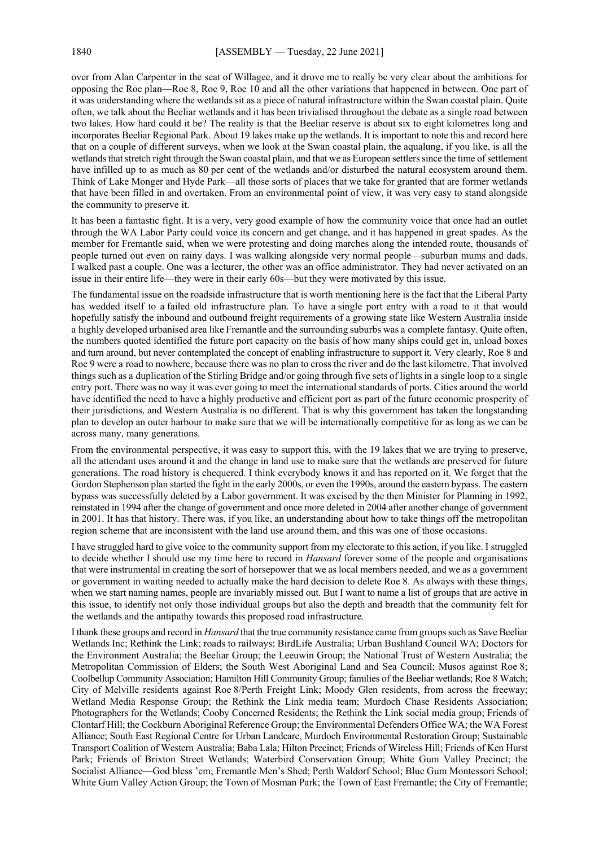over from Alan Carpenter in the seat of Willagee, and it drove me to really be very clear about the ambitions for opposing the Roe plan—Roe 8, Roe 9, Roe 10 and all the other variations that happened in between. One part of it was understanding where the wetlands sit as a piece of natural infrastructure within the Swan coastal plain. Quite often, we talk about the Beeliar wetlands and it has been trivialised throughout the debate as a single road between two lakes. How hard could it be? The reality is that the Beeliar reserve is about six to eight kilometres long and incorporates Beeliar Regional Park. About 19 lakes make up the wetlands. It is important to note this and record here that on a couple of different surveys, when we look at the Swan coastal plain, the aqualung, if you like, is all the wetlands that stretch right through the Swan coastal plain, and that we as European settlers since the time of settlement have infilled up to as much as 80 per cent of the wetlands and/or disturbed the natural ecosystem around them. Think of Lake Monger and Hyde Park—all those sorts of places that we take for granted that are former wetlands that have been filled in and overtaken. From an environmental point of view, it was very easy to stand alongside the community to preserve it.

It has been a fantastic fight. It is a very, very good example of how the community voice that once had an outlet through the WA Labor Party could voice its concern and get change, and it has happened in great spades. As the member for Fremantle said, when we were protesting and doing marches along the intended route, thousands of people turned out even on rainy days. I was walking alongside very normal people—suburban mums and dads. I walked past a couple. One was a lecturer, the other was an office administrator. They had never activated on an issue in their entire life—they were in their early 60s—but they were motivated by this issue.

The fundamental issue on the roadside infrastructure that is worth mentioning here is the fact that the Liberal Party has wedded itself to a failed old infrastructure plan. To have a single port entry with a road to it that would hopefully satisfy the inbound and outbound freight requirements of a growing state like Western Australia inside a highly developed urbanised area like Fremantle and the surrounding suburbs was a complete fantasy. Quite often, the numbers quoted identified the future port capacity on the basis of how many ships could get in, unload boxes and turn around, but never contemplated the concept of enabling infrastructure to support it. Very clearly, Roe 8 and Roe 9 were a road to nowhere, because there was no plan to cross the river and do the last kilometre. That involved things such as a duplication of the Stirling Bridge and/or going through five sets of lights in a single loop to a single entry port. There was no way it was ever going to meet the international standards of ports. Cities around the world have identified the need to have a highly productive and efficient port as part of the future economic prosperity of their jurisdictions, and Western Australia is no different. That is why this government has taken the longstanding plan to develop an outer harbour to make sure that we will be internationally competitive for as long as we can be across many, many generations.

From the environmental perspective, it was easy to support this, with the 19 lakes that we are trying to preserve, all the attendant uses around it and the change in land use to make sure that the wetlands are preserved for future generations. The road history is chequered. I think everybody knows it and has reported on it. We forget that the Gordon Stephenson plan started the fight in the early 2000s, or even the 1990s, around the eastern bypass. The eastern bypass was successfully deleted by a Labor government. It was excised by the then Minister for Planning in 1992, reinstated in 1994 after the change of government and once more deleted in 2004 after another change of government in 2001. It has that history. There was, if you like, an understanding about how to take things off the metropolitan region scheme that are inconsistent with the land use around them, and this was one of those occasions.

I have struggled hard to give voice to the community support from my electorate to this action, if you like. I struggled to decide whether I should use my time here to record in *Hansard* forever some of the people and organisations that were instrumental in creating the sort of horsepower that we as local members needed, and we as a government or government in waiting needed to actually make the hard decision to delete Roe 8. As always with these things, when we start naming names, people are invariably missed out. But I want to name a list of groups that are active in this issue, to identify not only those individual groups but also the depth and breadth that the community felt for the wetlands and the antipathy towards this proposed road infrastructure.

I thank these groups and record in *Hansard* that the true community resistance came from groups such as Save Beeliar Wetlands Inc; Rethink the Link; roads to railways; BirdLife Australia; Urban Bushland Council WA; Doctors for the Environment Australia; the Beeliar Group; the Leeuwin Group; the National Trust of Western Australia; the Metropolitan Commission of Elders; the South West Aboriginal Land and Sea Council; Musos against Roe 8; Coolbellup Community Association; Hamilton Hill Community Group; families of the Beeliar wetlands; Roe 8 Watch; City of Melville residents against Roe 8/Perth Freight Link; Moody Glen residents, from across the freeway; Wetland Media Response Group; the Rethink the Link media team; Murdoch Chase Residents Association; Photographers for the Wetlands; Cooby Concerned Residents; the Rethink the Link social media group; Friends of Clontarf Hill; the Cockburn Aboriginal Reference Group; the Environmental Defenders Office WA; the WA Forest Alliance; South East Regional Centre for Urban Landcare, Murdoch Environmental Restoration Group; Sustainable Transport Coalition of Western Australia; Baba Lala; Hilton Precinct; Friends of Wireless Hill; Friends of Ken Hurst Park; Friends of Brixton Street Wetlands; Waterbird Conservation Group; White Gum Valley Precinct; the Socialist Alliance—God bless 'em; Fremantle Men's Shed; Perth Waldorf School; Blue Gum Montessori School; White Gum Valley Action Group; the Town of Mosman Park; the Town of East Fremantle; the City of Fremantle;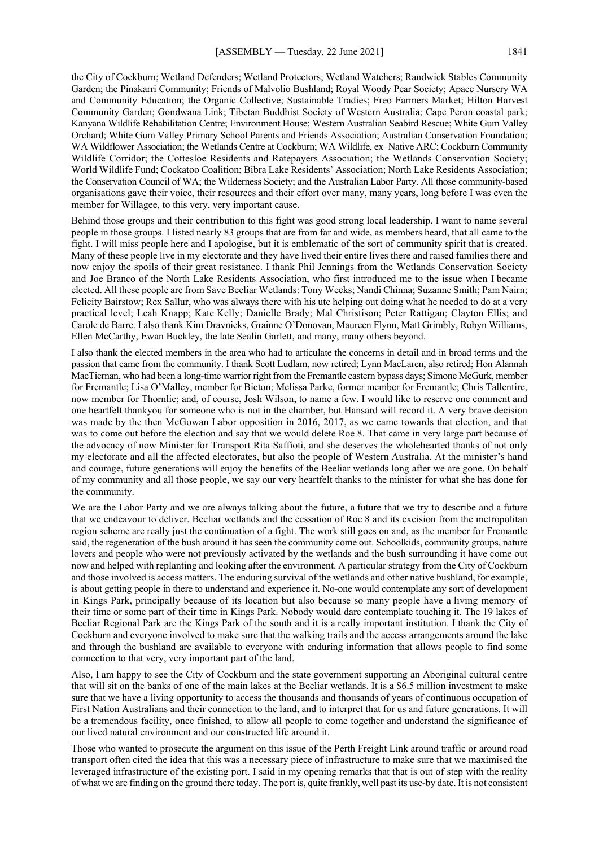the City of Cockburn; Wetland Defenders; Wetland Protectors; Wetland Watchers; Randwick Stables Community Garden; the Pinakarri Community; Friends of Malvolio Bushland; Royal Woody Pear Society; Apace Nursery WA and Community Education; the Organic Collective; Sustainable Tradies; Freo Farmers Market; Hilton Harvest Community Garden; Gondwana Link; Tibetan Buddhist Society of Western Australia; Cape Peron coastal park; Kanyana Wildlife Rehabilitation Centre; Environment House; Western Australian Seabird Rescue; White Gum Valley Orchard; White Gum Valley Primary School Parents and Friends Association; Australian Conservation Foundation; WA Wildflower Association; the Wetlands Centre at Cockburn; WA Wildlife, ex–Native ARC; Cockburn Community Wildlife Corridor; the Cottesloe Residents and Ratepayers Association; the Wetlands Conservation Society; World Wildlife Fund; Cockatoo Coalition; Bibra Lake Residents' Association; North Lake Residents Association; the Conservation Council of WA; the Wilderness Society; and the Australian Labor Party. All those community-based organisations gave their voice, their resources and their effort over many, many years, long before I was even the member for Willagee, to this very, very important cause.

Behind those groups and their contribution to this fight was good strong local leadership. I want to name several people in those groups. I listed nearly 83 groups that are from far and wide, as members heard, that all came to the fight. I will miss people here and I apologise, but it is emblematic of the sort of community spirit that is created. Many of these people live in my electorate and they have lived their entire lives there and raised families there and now enjoy the spoils of their great resistance. I thank Phil Jennings from the Wetlands Conservation Society and Joe Branco of the North Lake Residents Association, who first introduced me to the issue when I became elected. All these people are from Save Beeliar Wetlands: Tony Weeks; Nandi Chinna; Suzanne Smith; Pam Nairn; Felicity Bairstow; Rex Sallur, who was always there with his ute helping out doing what he needed to do at a very practical level; Leah Knapp; Kate Kelly; Danielle Brady; Mal Christison; Peter Rattigan; Clayton Ellis; and Carole de Barre. I also thank Kim Dravnieks, Grainne O'Donovan, Maureen Flynn, Matt Grimbly, Robyn Williams, Ellen McCarthy, Ewan Buckley, the late Sealin Garlett, and many, many others beyond.

I also thank the elected members in the area who had to articulate the concerns in detail and in broad terms and the passion that came from the community. I thank Scott Ludlam, now retired; Lynn MacLaren, also retired; Hon Alannah MacTiernan, who had been a long-time warrior right from the Fremantle eastern bypass days; Simone McGurk, member for Fremantle; Lisa O'Malley, member for Bicton; Melissa Parke, former member for Fremantle; Chris Tallentire, now member for Thornlie; and, of course, Josh Wilson, to name a few. I would like to reserve one comment and one heartfelt thankyou for someone who is not in the chamber, but Hansard will record it. A very brave decision was made by the then McGowan Labor opposition in 2016, 2017, as we came towards that election, and that was to come out before the election and say that we would delete Roe 8. That came in very large part because of the advocacy of now Minister for Transport Rita Saffioti, and she deserves the wholehearted thanks of not only my electorate and all the affected electorates, but also the people of Western Australia. At the minister's hand and courage, future generations will enjoy the benefits of the Beeliar wetlands long after we are gone. On behalf of my community and all those people, we say our very heartfelt thanks to the minister for what she has done for the community.

We are the Labor Party and we are always talking about the future, a future that we try to describe and a future that we endeavour to deliver. Beeliar wetlands and the cessation of Roe 8 and its excision from the metropolitan region scheme are really just the continuation of a fight. The work still goes on and, as the member for Fremantle said, the regeneration of the bush around it has seen the community come out. Schoolkids, community groups, nature lovers and people who were not previously activated by the wetlands and the bush surrounding it have come out now and helped with replanting and looking after the environment. A particular strategy from the City of Cockburn and those involved is access matters. The enduring survival of the wetlands and other native bushland, for example, is about getting people in there to understand and experience it. No-one would contemplate any sort of development in Kings Park, principally because of its location but also because so many people have a living memory of their time or some part of their time in Kings Park. Nobody would dare contemplate touching it. The 19 lakes of Beeliar Regional Park are the Kings Park of the south and it is a really important institution. I thank the City of Cockburn and everyone involved to make sure that the walking trails and the access arrangements around the lake and through the bushland are available to everyone with enduring information that allows people to find some connection to that very, very important part of the land.

Also, I am happy to see the City of Cockburn and the state government supporting an Aboriginal cultural centre that will sit on the banks of one of the main lakes at the Beeliar wetlands. It is a \$6.5 million investment to make sure that we have a living opportunity to access the thousands and thousands of years of continuous occupation of First Nation Australians and their connection to the land, and to interpret that for us and future generations. It will be a tremendous facility, once finished, to allow all people to come together and understand the significance of our lived natural environment and our constructed life around it.

Those who wanted to prosecute the argument on this issue of the Perth Freight Link around traffic or around road transport often cited the idea that this was a necessary piece of infrastructure to make sure that we maximised the leveraged infrastructure of the existing port. I said in my opening remarks that that is out of step with the reality of what we are finding on the ground there today. The port is, quite frankly, well past its use-by date. It is not consistent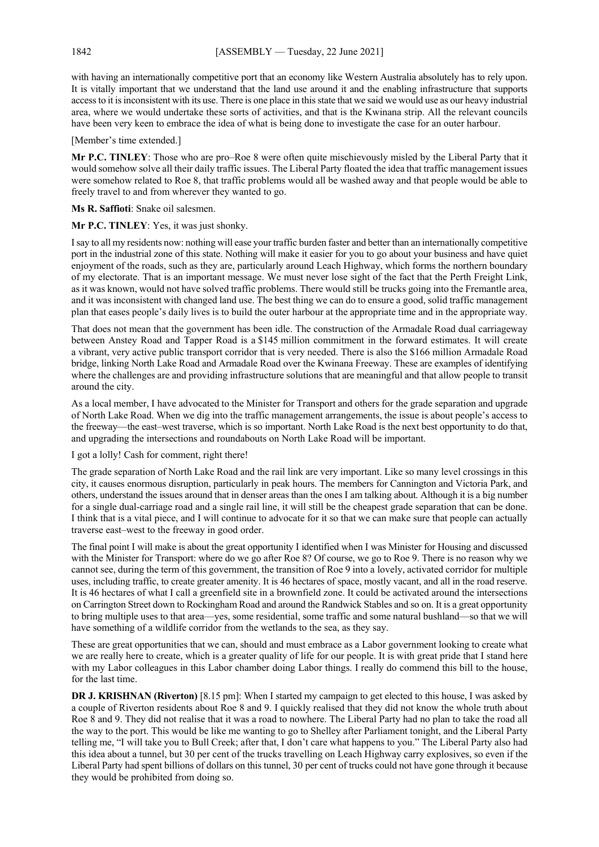with having an internationally competitive port that an economy like Western Australia absolutely has to rely upon. It is vitally important that we understand that the land use around it and the enabling infrastructure that supports access to it is inconsistent with its use. There is one place in this state that we said we would use as our heavy industrial area, where we would undertake these sorts of activities, and that is the Kwinana strip. All the relevant councils have been very keen to embrace the idea of what is being done to investigate the case for an outer harbour.

[Member's time extended.]

**Mr P.C. TINLEY**: Those who are pro–Roe 8 were often quite mischievously misled by the Liberal Party that it would somehow solve all their daily traffic issues. The Liberal Party floated the idea that traffic management issues were somehow related to Roe 8, that traffic problems would all be washed away and that people would be able to freely travel to and from wherever they wanted to go.

**Ms R. Saffioti**: Snake oil salesmen.

**Mr P.C. TINLEY**: Yes, it was just shonky.

I say to all my residents now: nothing will ease your traffic burden faster and better than an internationally competitive port in the industrial zone of this state. Nothing will make it easier for you to go about your business and have quiet enjoyment of the roads, such as they are, particularly around Leach Highway, which forms the northern boundary of my electorate. That is an important message. We must never lose sight of the fact that the Perth Freight Link, as it was known, would not have solved traffic problems. There would still be trucks going into the Fremantle area, and it was inconsistent with changed land use. The best thing we can do to ensure a good, solid traffic management plan that eases people's daily lives is to build the outer harbour at the appropriate time and in the appropriate way.

That does not mean that the government has been idle. The construction of the Armadale Road dual carriageway between Anstey Road and Tapper Road is a \$145 million commitment in the forward estimates. It will create a vibrant, very active public transport corridor that is very needed. There is also the \$166 million Armadale Road bridge, linking North Lake Road and Armadale Road over the Kwinana Freeway. These are examples of identifying where the challenges are and providing infrastructure solutions that are meaningful and that allow people to transit around the city.

As a local member, I have advocated to the Minister for Transport and others for the grade separation and upgrade of North Lake Road. When we dig into the traffic management arrangements, the issue is about people's access to the freeway—the east–west traverse, which is so important. North Lake Road is the next best opportunity to do that, and upgrading the intersections and roundabouts on North Lake Road will be important.

I got a lolly! Cash for comment, right there!

The grade separation of North Lake Road and the rail link are very important. Like so many level crossings in this city, it causes enormous disruption, particularly in peak hours. The members for Cannington and Victoria Park, and others, understand the issues around that in denser areas than the ones I am talking about. Although it is a big number for a single dual-carriage road and a single rail line, it will still be the cheapest grade separation that can be done. I think that is a vital piece, and I will continue to advocate for it so that we can make sure that people can actually traverse east–west to the freeway in good order.

The final point I will make is about the great opportunity I identified when I was Minister for Housing and discussed with the Minister for Transport: where do we go after Roe 8? Of course, we go to Roe 9. There is no reason why we cannot see, during the term of this government, the transition of Roe 9 into a lovely, activated corridor for multiple uses, including traffic, to create greater amenity. It is 46 hectares of space, mostly vacant, and all in the road reserve. It is 46 hectares of what I call a greenfield site in a brownfield zone. It could be activated around the intersections on Carrington Street down to Rockingham Road and around the Randwick Stables and so on. It is a great opportunity to bring multiple uses to that area—yes, some residential, some traffic and some natural bushland—so that we will have something of a wildlife corridor from the wetlands to the sea, as they say.

These are great opportunities that we can, should and must embrace as a Labor government looking to create what we are really here to create, which is a greater quality of life for our people. It is with great pride that I stand here with my Labor colleagues in this Labor chamber doing Labor things. I really do commend this bill to the house, for the last time.

**DR J. KRISHNAN (Riverton)** [8.15 pm]: When I started my campaign to get elected to this house, I was asked by a couple of Riverton residents about Roe 8 and 9. I quickly realised that they did not know the whole truth about Roe 8 and 9. They did not realise that it was a road to nowhere. The Liberal Party had no plan to take the road all the way to the port. This would be like me wanting to go to Shelley after Parliament tonight, and the Liberal Party telling me, "I will take you to Bull Creek; after that, I don't care what happens to you." The Liberal Party also had this idea about a tunnel, but 30 per cent of the trucks travelling on Leach Highway carry explosives, so even if the Liberal Party had spent billions of dollars on this tunnel, 30 per cent of trucks could not have gone through it because they would be prohibited from doing so.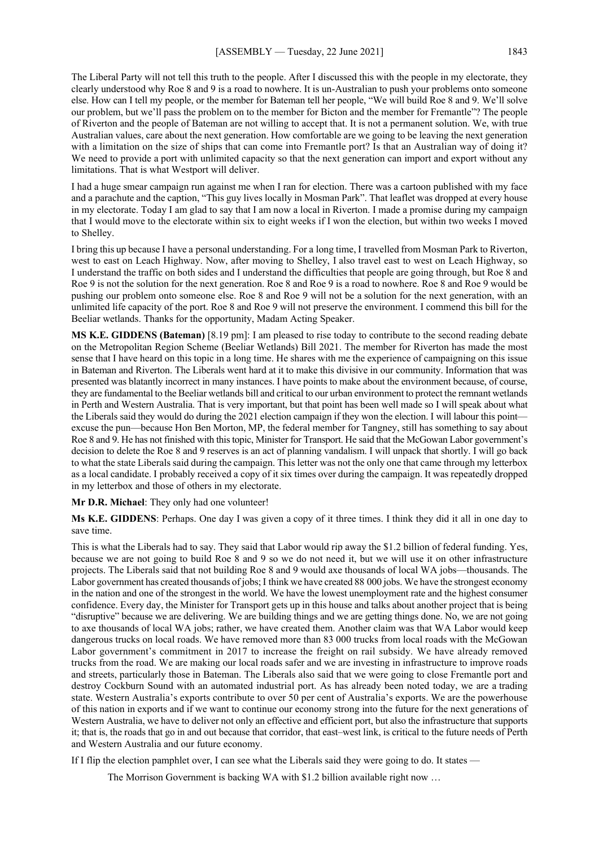The Liberal Party will not tell this truth to the people. After I discussed this with the people in my electorate, they clearly understood why Roe 8 and 9 is a road to nowhere. It is un-Australian to push your problems onto someone else. How can I tell my people, or the member for Bateman tell her people, "We will build Roe 8 and 9. We'll solve our problem, but we'll pass the problem on to the member for Bicton and the member for Fremantle"? The people of Riverton and the people of Bateman are not willing to accept that. It is not a permanent solution. We, with true Australian values, care about the next generation. How comfortable are we going to be leaving the next generation with a limitation on the size of ships that can come into Fremantle port? Is that an Australian way of doing it? We need to provide a port with unlimited capacity so that the next generation can import and export without any limitations. That is what Westport will deliver.

I had a huge smear campaign run against me when I ran for election. There was a cartoon published with my face and a parachute and the caption, "This guy lives locally in Mosman Park". That leaflet was dropped at every house in my electorate. Today I am glad to say that I am now a local in Riverton. I made a promise during my campaign that I would move to the electorate within six to eight weeks if I won the election, but within two weeks I moved to Shelley.

I bring this up because I have a personal understanding. For a long time, I travelled from Mosman Park to Riverton, west to east on Leach Highway. Now, after moving to Shelley, I also travel east to west on Leach Highway, so I understand the traffic on both sides and I understand the difficulties that people are going through, but Roe 8 and Roe 9 is not the solution for the next generation. Roe 8 and Roe 9 is a road to nowhere. Roe 8 and Roe 9 would be pushing our problem onto someone else. Roe 8 and Roe 9 will not be a solution for the next generation, with an unlimited life capacity of the port. Roe 8 and Roe 9 will not preserve the environment. I commend this bill for the Beeliar wetlands. Thanks for the opportunity, Madam Acting Speaker.

**MS K.E. GIDDENS (Bateman)** [8.19 pm]: I am pleased to rise today to contribute to the second reading debate on the Metropolitan Region Scheme (Beeliar Wetlands) Bill 2021. The member for Riverton has made the most sense that I have heard on this topic in a long time. He shares with me the experience of campaigning on this issue in Bateman and Riverton. The Liberals went hard at it to make this divisive in our community. Information that was presented was blatantly incorrect in many instances. I have points to make about the environment because, of course, they are fundamental to the Beeliar wetlands bill and critical to our urban environment to protect the remnant wetlands in Perth and Western Australia. That is very important, but that point has been well made so I will speak about what the Liberals said they would do during the 2021 election campaign if they won the election. I will labour this point excuse the pun—because Hon Ben Morton, MP, the federal member for Tangney, still has something to say about Roe 8 and 9. He has not finished with this topic, Minister for Transport. He said that the McGowan Labor government's decision to delete the Roe 8 and 9 reserves is an act of planning vandalism. I will unpack that shortly. I will go back to what the state Liberals said during the campaign. This letter was not the only one that came through my letterbox as a local candidate. I probably received a copy of it six times over during the campaign. It was repeatedly dropped in my letterbox and those of others in my electorate.

**Mr D.R. Michael**: They only had one volunteer!

**Ms K.E. GIDDENS**: Perhaps. One day I was given a copy of it three times. I think they did it all in one day to save time.

This is what the Liberals had to say. They said that Labor would rip away the \$1.2 billion of federal funding. Yes, because we are not going to build Roe 8 and 9 so we do not need it, but we will use it on other infrastructure projects. The Liberals said that not building Roe 8 and 9 would axe thousands of local WA jobs—thousands. The Labor government has created thousands of jobs; I think we have created 88 000 jobs. We have the strongest economy in the nation and one of the strongest in the world. We have the lowest unemployment rate and the highest consumer confidence. Every day, the Minister for Transport gets up in this house and talks about another project that is being "disruptive" because we are delivering. We are building things and we are getting things done. No, we are not going to axe thousands of local WA jobs; rather, we have created them. Another claim was that WA Labor would keep dangerous trucks on local roads. We have removed more than 83 000 trucks from local roads with the McGowan Labor government's commitment in 2017 to increase the freight on rail subsidy. We have already removed trucks from the road. We are making our local roads safer and we are investing in infrastructure to improve roads and streets, particularly those in Bateman. The Liberals also said that we were going to close Fremantle port and destroy Cockburn Sound with an automated industrial port. As has already been noted today, we are a trading state. Western Australia's exports contribute to over 50 per cent of Australia's exports. We are the powerhouse of this nation in exports and if we want to continue our economy strong into the future for the next generations of Western Australia, we have to deliver not only an effective and efficient port, but also the infrastructure that supports it; that is, the roads that go in and out because that corridor, that east–west link, is critical to the future needs of Perth and Western Australia and our future economy.

If I flip the election pamphlet over, I can see what the Liberals said they were going to do. It states —

The Morrison Government is backing WA with \$1.2 billion available right now …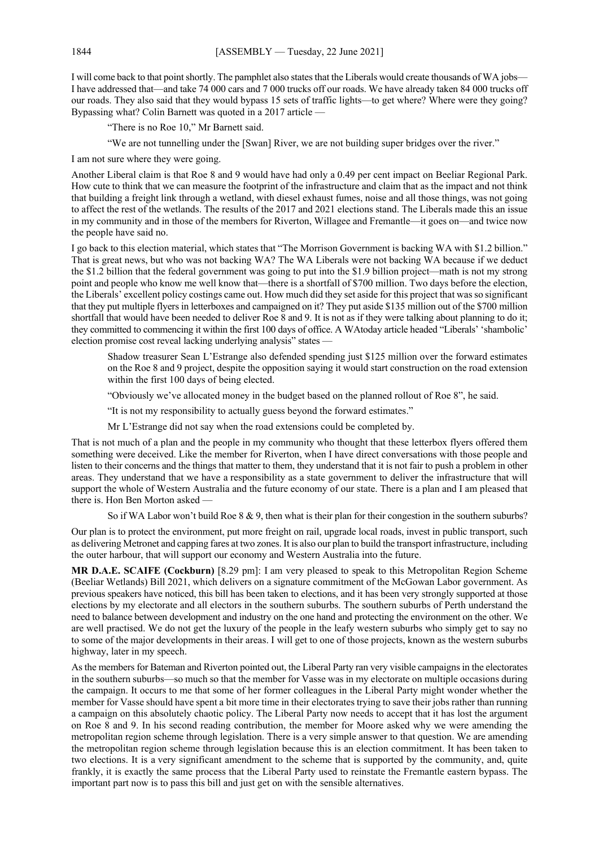I will come back to that point shortly. The pamphlet also states that the Liberals would create thousands of WA jobs— I have addressed that—and take 74 000 cars and 7 000 trucks off our roads. We have already taken 84 000 trucks off our roads. They also said that they would bypass 15 sets of traffic lights—to get where? Where were they going? Bypassing what? Colin Barnett was quoted in a 2017 article —

"There is no Roe 10," Mr Barnett said.

"We are not tunnelling under the [Swan] River, we are not building super bridges over the river."

I am not sure where they were going.

Another Liberal claim is that Roe 8 and 9 would have had only a 0.49 per cent impact on Beeliar Regional Park. How cute to think that we can measure the footprint of the infrastructure and claim that as the impact and not think that building a freight link through a wetland, with diesel exhaust fumes, noise and all those things, was not going to affect the rest of the wetlands. The results of the 2017 and 2021 elections stand. The Liberals made this an issue in my community and in those of the members for Riverton, Willagee and Fremantle—it goes on—and twice now the people have said no.

I go back to this election material, which states that "The Morrison Government is backing WA with \$1.2 billion." That is great news, but who was not backing WA? The WA Liberals were not backing WA because if we deduct the \$1.2 billion that the federal government was going to put into the \$1.9 billion project—math is not my strong point and people who know me well know that—there is a shortfall of \$700 million. Two days before the election, the Liberals' excellent policy costings came out. How much did they set aside for this project that was so significant that they put multiple flyers in letterboxes and campaigned on it? They put aside \$135 million out of the \$700 million shortfall that would have been needed to deliver Roe 8 and 9. It is not as if they were talking about planning to do it; they committed to commencing it within the first 100 days of office. A WAtoday article headed "Liberals' 'shambolic' election promise cost reveal lacking underlying analysis" states —

Shadow treasurer Sean L'Estrange also defended spending just \$125 million over the forward estimates on the Roe 8 and 9 project, despite the opposition saying it would start construction on the road extension within the first 100 days of being elected.

"Obviously we've allocated money in the budget based on the planned rollout of Roe 8", he said.

"It is not my responsibility to actually guess beyond the forward estimates."

Mr L'Estrange did not say when the road extensions could be completed by.

That is not much of a plan and the people in my community who thought that these letterbox flyers offered them something were deceived. Like the member for Riverton, when I have direct conversations with those people and listen to their concerns and the things that matter to them, they understand that it is not fair to push a problem in other areas. They understand that we have a responsibility as a state government to deliver the infrastructure that will support the whole of Western Australia and the future economy of our state. There is a plan and I am pleased that there is. Hon Ben Morton asked —

So if WA Labor won't build Roe 8 & 9, then what is their plan for their congestion in the southern suburbs?

Our plan is to protect the environment, put more freight on rail, upgrade local roads, invest in public transport, such as delivering Metronet and capping fares at two zones. It is also our plan to build the transport infrastructure, including the outer harbour, that will support our economy and Western Australia into the future.

**MR D.A.E. SCAIFE (Cockburn)** [8.29 pm]: I am very pleased to speak to this Metropolitan Region Scheme (Beeliar Wetlands) Bill 2021, which delivers on a signature commitment of the McGowan Labor government. As previous speakers have noticed, this bill has been taken to elections, and it has been very strongly supported at those elections by my electorate and all electors in the southern suburbs. The southern suburbs of Perth understand the need to balance between development and industry on the one hand and protecting the environment on the other. We are well practised. We do not get the luxury of the people in the leafy western suburbs who simply get to say no to some of the major developments in their areas. I will get to one of those projects, known as the western suburbs highway, later in my speech.

As the members for Bateman and Riverton pointed out, the Liberal Party ran very visible campaigns in the electorates in the southern suburbs—so much so that the member for Vasse was in my electorate on multiple occasions during the campaign. It occurs to me that some of her former colleagues in the Liberal Party might wonder whether the member for Vasse should have spent a bit more time in their electorates trying to save their jobs rather than running a campaign on this absolutely chaotic policy. The Liberal Party now needs to accept that it has lost the argument on Roe 8 and 9. In his second reading contribution, the member for Moore asked why we were amending the metropolitan region scheme through legislation. There is a very simple answer to that question. We are amending the metropolitan region scheme through legislation because this is an election commitment. It has been taken to two elections. It is a very significant amendment to the scheme that is supported by the community, and, quite frankly, it is exactly the same process that the Liberal Party used to reinstate the Fremantle eastern bypass. The important part now is to pass this bill and just get on with the sensible alternatives.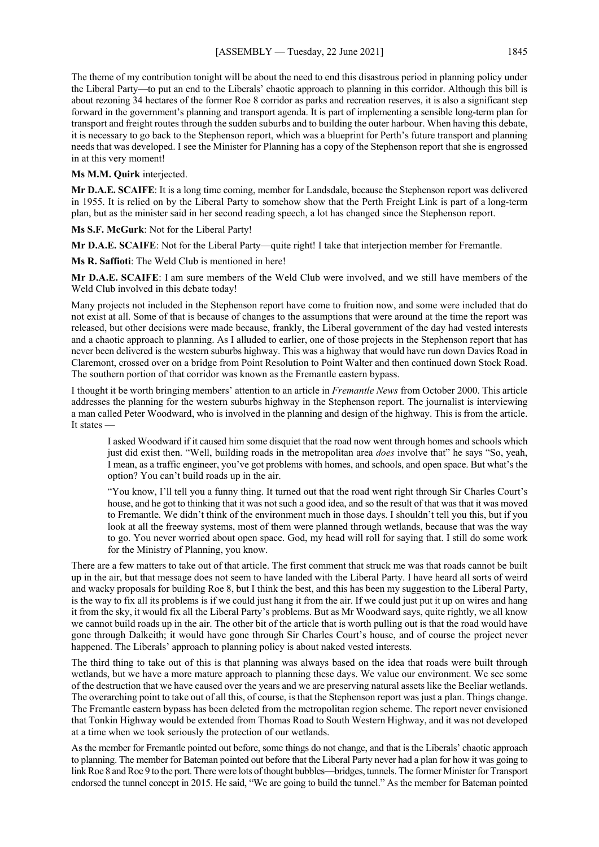The theme of my contribution tonight will be about the need to end this disastrous period in planning policy under the Liberal Party—to put an end to the Liberals' chaotic approach to planning in this corridor. Although this bill is about rezoning 34 hectares of the former Roe 8 corridor as parks and recreation reserves, it is also a significant step forward in the government's planning and transport agenda. It is part of implementing a sensible long-term plan for transport and freight routes through the sudden suburbs and to building the outer harbour. When having this debate, it is necessary to go back to the Stephenson report, which was a blueprint for Perth's future transport and planning needs that was developed. I see the Minister for Planning has a copy of the Stephenson report that she is engrossed in at this very moment!

### **Ms M.M. Quirk** interjected.

**Mr D.A.E. SCAIFE**: It is a long time coming, member for Landsdale, because the Stephenson report was delivered in 1955. It is relied on by the Liberal Party to somehow show that the Perth Freight Link is part of a long-term plan, but as the minister said in her second reading speech, a lot has changed since the Stephenson report.

**Ms S.F. McGurk**: Not for the Liberal Party!

**Mr D.A.E. SCAIFE**: Not for the Liberal Party—quite right! I take that interjection member for Fremantle.

**Ms R. Saffioti**: The Weld Club is mentioned in here!

**Mr D.A.E. SCAIFE**: I am sure members of the Weld Club were involved, and we still have members of the Weld Club involved in this debate today!

Many projects not included in the Stephenson report have come to fruition now, and some were included that do not exist at all. Some of that is because of changes to the assumptions that were around at the time the report was released, but other decisions were made because, frankly, the Liberal government of the day had vested interests and a chaotic approach to planning. As I alluded to earlier, one of those projects in the Stephenson report that has never been delivered is the western suburbs highway. This was a highway that would have run down Davies Road in Claremont, crossed over on a bridge from Point Resolution to Point Walter and then continued down Stock Road. The southern portion of that corridor was known as the Fremantle eastern bypass.

I thought it be worth bringing members' attention to an article in *Fremantle News* from October 2000. This article addresses the planning for the western suburbs highway in the Stephenson report. The journalist is interviewing a man called Peter Woodward, who is involved in the planning and design of the highway. This is from the article. It states —

I asked Woodward if it caused him some disquiet that the road now went through homes and schools which just did exist then. "Well, building roads in the metropolitan area *does* involve that" he says "So, yeah, I mean, as a traffic engineer, you've got problems with homes, and schools, and open space. But what's the option? You can't build roads up in the air.

"You know, I'll tell you a funny thing. It turned out that the road went right through Sir Charles Court's house, and he got to thinking that it was not such a good idea, and so the result of that was that it was moved to Fremantle. We didn't think of the environment much in those days. I shouldn't tell you this, but if you look at all the freeway systems, most of them were planned through wetlands, because that was the way to go. You never worried about open space. God, my head will roll for saying that. I still do some work for the Ministry of Planning, you know.

There are a few matters to take out of that article. The first comment that struck me was that roads cannot be built up in the air, but that message does not seem to have landed with the Liberal Party. I have heard all sorts of weird and wacky proposals for building Roe 8, but I think the best, and this has been my suggestion to the Liberal Party, is the way to fix all its problems is if we could just hang it from the air. If we could just put it up on wires and hang it from the sky, it would fix all the Liberal Party's problems. But as Mr Woodward says, quite rightly, we all know we cannot build roads up in the air. The other bit of the article that is worth pulling out is that the road would have gone through Dalkeith; it would have gone through Sir Charles Court's house, and of course the project never happened. The Liberals' approach to planning policy is about naked vested interests.

The third thing to take out of this is that planning was always based on the idea that roads were built through wetlands, but we have a more mature approach to planning these days. We value our environment. We see some of the destruction that we have caused over the years and we are preserving natural assets like the Beeliar wetlands. The overarching point to take out of all this, of course, is that the Stephenson report was just a plan. Things change. The Fremantle eastern bypass has been deleted from the metropolitan region scheme. The report never envisioned that Tonkin Highway would be extended from Thomas Road to South Western Highway, and it was not developed at a time when we took seriously the protection of our wetlands.

As the member for Fremantle pointed out before, some things do not change, and that is the Liberals' chaotic approach to planning. The member for Bateman pointed out before that the Liberal Party never had a plan for how it was going to link Roe 8 and Roe 9 to the port. There were lots of thought bubbles—bridges, tunnels. The former Minister for Transport endorsed the tunnel concept in 2015. He said, "We are going to build the tunnel." As the member for Bateman pointed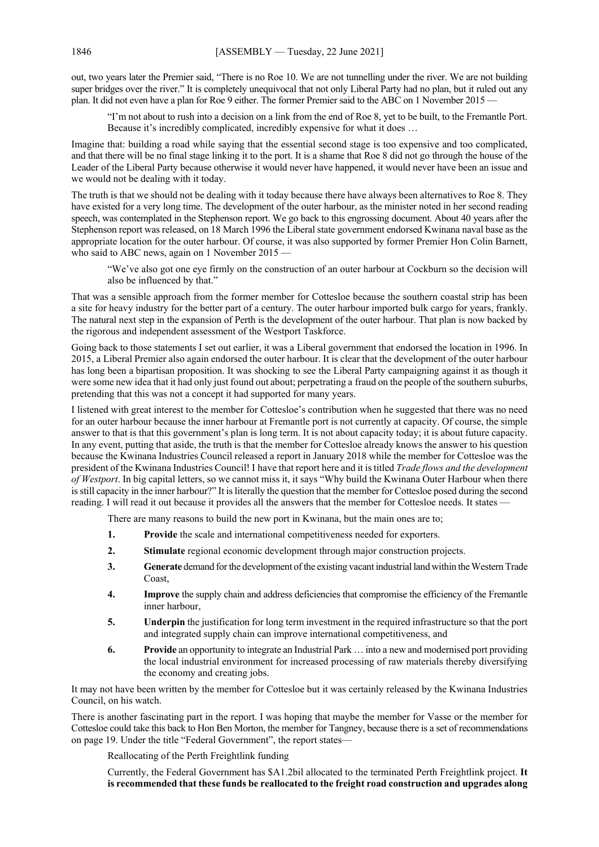out, two years later the Premier said, "There is no Roe 10. We are not tunnelling under the river. We are not building super bridges over the river." It is completely unequivocal that not only Liberal Party had no plan, but it ruled out any plan. It did not even have a plan for Roe 9 either. The former Premier said to the ABC on 1 November 2015 —

"I'm not about to rush into a decision on a link from the end of Roe 8, yet to be built, to the Fremantle Port. Because it's incredibly complicated, incredibly expensive for what it does …

Imagine that: building a road while saying that the essential second stage is too expensive and too complicated, and that there will be no final stage linking it to the port. It is a shame that Roe 8 did not go through the house of the Leader of the Liberal Party because otherwise it would never have happened, it would never have been an issue and we would not be dealing with it today.

The truth is that we should not be dealing with it today because there have always been alternatives to Roe 8. They have existed for a very long time. The development of the outer harbour, as the minister noted in her second reading speech, was contemplated in the Stephenson report. We go back to this engrossing document. About 40 years after the Stephenson report was released, on 18 March 1996 the Liberal state government endorsed Kwinana naval base as the appropriate location for the outer harbour. Of course, it was also supported by former Premier Hon Colin Barnett, who said to ABC news, again on 1 November 2015 —

"We've also got one eye firmly on the construction of an outer harbour at Cockburn so the decision will also be influenced by that."

That was a sensible approach from the former member for Cottesloe because the southern coastal strip has been a site for heavy industry for the better part of a century. The outer harbour imported bulk cargo for years, frankly. The natural next step in the expansion of Perth is the development of the outer harbour. That plan is now backed by the rigorous and independent assessment of the Westport Taskforce.

Going back to those statements I set out earlier, it was a Liberal government that endorsed the location in 1996. In 2015, a Liberal Premier also again endorsed the outer harbour. It is clear that the development of the outer harbour has long been a bipartisan proposition. It was shocking to see the Liberal Party campaigning against it as though it were some new idea that it had only just found out about; perpetrating a fraud on the people of the southern suburbs, pretending that this was not a concept it had supported for many years.

I listened with great interest to the member for Cottesloe's contribution when he suggested that there was no need for an outer harbour because the inner harbour at Fremantle port is not currently at capacity. Of course, the simple answer to that is that this government's plan is long term. It is not about capacity today; it is about future capacity. In any event, putting that aside, the truth is that the member for Cottesloe already knows the answer to his question because the Kwinana Industries Council released a report in January 2018 while the member for Cottesloe was the president of the Kwinana Industries Council! I have that report here and it is titled *Trade flows and the development of Westport*. In big capital letters, so we cannot miss it, it says "Why build the Kwinana Outer Harbour when there is still capacity in the inner harbour?" It is literally the question that the member for Cottesloe posed during the second reading. I will read it out because it provides all the answers that the member for Cottesloe needs. It states —

There are many reasons to build the new port in Kwinana, but the main ones are to;

- **1. Provide** the scale and international competitiveness needed for exporters.
- **2. Stimulate** regional economic development through major construction projects.
- **3. Generate** demand for the development of the existing vacant industrial land within the Western Trade Coast,
- **4. Improve** the supply chain and address deficiencies that compromise the efficiency of the Fremantle inner harbour,
- **5. Underpin** the justification for long term investment in the required infrastructure so that the port and integrated supply chain can improve international competitiveness, and
- **6. Provide** an opportunity to integrate an Industrial Park … into a new and modernised port providing the local industrial environment for increased processing of raw materials thereby diversifying the economy and creating jobs.

It may not have been written by the member for Cottesloe but it was certainly released by the Kwinana Industries Council, on his watch.

There is another fascinating part in the report. I was hoping that maybe the member for Vasse or the member for Cottesloe could take this back to Hon Ben Morton, the member for Tangney, because there is a set of recommendations on page 19. Under the title "Federal Government", the report states—

Reallocating of the Perth Freightlink funding

Currently, the Federal Government has \$A1.2bil allocated to the terminated Perth Freightlink project. **It is recommended that these funds be reallocated to the freight road construction and upgrades along**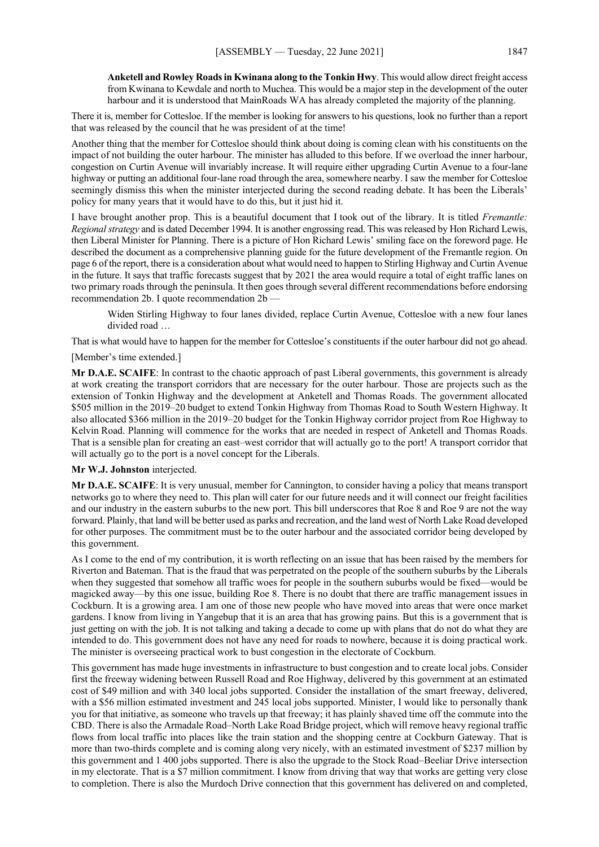**Anketell and Rowley Roads in Kwinana along to the Tonkin Hwy**. This would allow direct freight access from Kwinana to Kewdale and north to Muchea. This would be a major step in the development of the outer harbour and it is understood that MainRoads WA has already completed the majority of the planning.

There it is, member for Cottesloe. If the member is looking for answers to his questions, look no further than a report that was released by the council that he was president of at the time!

Another thing that the member for Cottesloe should think about doing is coming clean with his constituents on the impact of not building the outer harbour. The minister has alluded to this before. If we overload the inner harbour, congestion on Curtin Avenue will invariably increase. It will require either upgrading Curtin Avenue to a four-lane highway or putting an additional four-lane road through the area, somewhere nearby. I saw the member for Cottesloe seemingly dismiss this when the minister interjected during the second reading debate. It has been the Liberals' policy for many years that it would have to do this, but it just hid it.

I have brought another prop. This is a beautiful document that I took out of the library. It is titled *Fremantle: Regional strategy* and is dated December 1994. It is another engrossing read. This was released by Hon Richard Lewis, then Liberal Minister for Planning. There is a picture of Hon Richard Lewis' smiling face on the foreword page. He described the document as a comprehensive planning guide for the future development of the Fremantle region. On page 6 of the report, there is a consideration about what would need to happen to Stirling Highway and Curtin Avenue in the future. It says that traffic forecasts suggest that by 2021 the area would require a total of eight traffic lanes on two primary roads through the peninsula. It then goes through several different recommendations before endorsing recommendation 2b. I quote recommendation 2b —

Widen Stirling Highway to four lanes divided, replace Curtin Avenue, Cottesloe with a new four lanes divided road …

That is what would have to happen for the member for Cottesloe's constituents if the outer harbour did not go ahead.

# [Member's time extended.]

**Mr D.A.E. SCAIFE**: In contrast to the chaotic approach of past Liberal governments, this government is already at work creating the transport corridors that are necessary for the outer harbour. Those are projects such as the extension of Tonkin Highway and the development at Anketell and Thomas Roads. The government allocated \$505 million in the 2019–20 budget to extend Tonkin Highway from Thomas Road to South Western Highway. It also allocated \$366 million in the 2019–20 budget for the Tonkin Highway corridor project from Roe Highway to Kelvin Road. Planning will commence for the works that are needed in respect of Anketell and Thomas Roads. That is a sensible plan for creating an east–west corridor that will actually go to the port! A transport corridor that will actually go to the port is a novel concept for the Liberals.

## **Mr W.J. Johnston** interjected.

**Mr D.A.E. SCAIFE**: It is very unusual, member for Cannington, to consider having a policy that means transport networks go to where they need to. This plan will cater for our future needs and it will connect our freight facilities and our industry in the eastern suburbs to the new port. This bill underscores that Roe 8 and Roe 9 are not the way forward. Plainly, that land will be better used as parks and recreation, and the land west of North Lake Road developed for other purposes. The commitment must be to the outer harbour and the associated corridor being developed by this government.

As I come to the end of my contribution, it is worth reflecting on an issue that has been raised by the members for Riverton and Bateman. That is the fraud that was perpetrated on the people of the southern suburbs by the Liberals when they suggested that somehow all traffic woes for people in the southern suburbs would be fixed—would be magicked away—by this one issue, building Roe 8. There is no doubt that there are traffic management issues in Cockburn. It is a growing area. I am one of those new people who have moved into areas that were once market gardens. I know from living in Yangebup that it is an area that has growing pains. But this is a government that is just getting on with the job. It is not talking and taking a decade to come up with plans that do not do what they are intended to do. This government does not have any need for roads to nowhere, because it is doing practical work. The minister is overseeing practical work to bust congestion in the electorate of Cockburn.

This government has made huge investments in infrastructure to bust congestion and to create local jobs. Consider first the freeway widening between Russell Road and Roe Highway, delivered by this government at an estimated cost of \$49 million and with 340 local jobs supported. Consider the installation of the smart freeway, delivered, with a \$56 million estimated investment and 245 local jobs supported. Minister, I would like to personally thank you for that initiative, as someone who travels up that freeway; it has plainly shaved time off the commute into the CBD. There is also the Armadale Road–North Lake Road Bridge project, which will remove heavy regional traffic flows from local traffic into places like the train station and the shopping centre at Cockburn Gateway. That is more than two-thirds complete and is coming along very nicely, with an estimated investment of \$237 million by this government and 1 400 jobs supported. There is also the upgrade to the Stock Road–Beeliar Drive intersection in my electorate. That is a \$7 million commitment. I know from driving that way that works are getting very close to completion. There is also the Murdoch Drive connection that this government has delivered on and completed,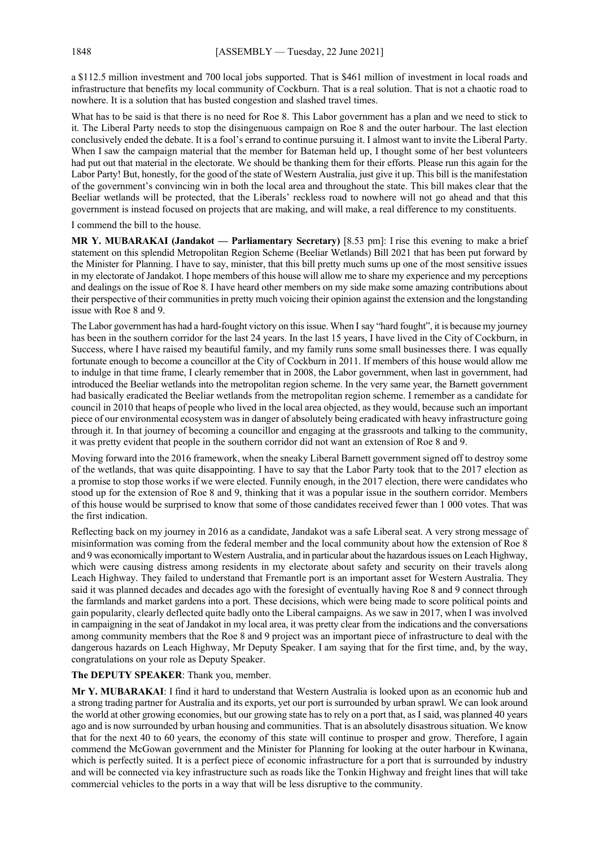a \$112.5 million investment and 700 local jobs supported. That is \$461 million of investment in local roads and infrastructure that benefits my local community of Cockburn. That is a real solution. That is not a chaotic road to nowhere. It is a solution that has busted congestion and slashed travel times.

What has to be said is that there is no need for Roe 8. This Labor government has a plan and we need to stick to it. The Liberal Party needs to stop the disingenuous campaign on Roe 8 and the outer harbour. The last election conclusively ended the debate. It is a fool's errand to continue pursuing it. I almost want to invite the Liberal Party. When I saw the campaign material that the member for Bateman held up, I thought some of her best volunteers had put out that material in the electorate. We should be thanking them for their efforts. Please run this again for the Labor Party! But, honestly, for the good of the state of Western Australia, just give it up. This bill is the manifestation of the government's convincing win in both the local area and throughout the state. This bill makes clear that the Beeliar wetlands will be protected, that the Liberals' reckless road to nowhere will not go ahead and that this government is instead focused on projects that are making, and will make, a real difference to my constituents.

I commend the bill to the house.

**MR Y. MUBARAKAI (Jandakot — Parliamentary Secretary)** [8.53 pm]: I rise this evening to make a brief statement on this splendid Metropolitan Region Scheme (Beeliar Wetlands) Bill 2021 that has been put forward by the Minister for Planning. I have to say, minister, that this bill pretty much sums up one of the most sensitive issues in my electorate of Jandakot. I hope members of this house will allow me to share my experience and my perceptions and dealings on the issue of Roe 8. I have heard other members on my side make some amazing contributions about their perspective of their communities in pretty much voicing their opinion against the extension and the longstanding issue with Roe 8 and 9.

The Labor government has had a hard-fought victory on this issue. When I say "hard fought", it is because my journey has been in the southern corridor for the last 24 years. In the last 15 years, I have lived in the City of Cockburn, in Success, where I have raised my beautiful family, and my family runs some small businesses there. I was equally fortunate enough to become a councillor at the City of Cockburn in 2011. If members of this house would allow me to indulge in that time frame, I clearly remember that in 2008, the Labor government, when last in government, had introduced the Beeliar wetlands into the metropolitan region scheme. In the very same year, the Barnett government had basically eradicated the Beeliar wetlands from the metropolitan region scheme. I remember as a candidate for council in 2010 that heaps of people who lived in the local area objected, as they would, because such an important piece of our environmental ecosystem was in danger of absolutely being eradicated with heavy infrastructure going through it. In that journey of becoming a councillor and engaging at the grassroots and talking to the community, it was pretty evident that people in the southern corridor did not want an extension of Roe 8 and 9.

Moving forward into the 2016 framework, when the sneaky Liberal Barnett government signed off to destroy some of the wetlands, that was quite disappointing. I have to say that the Labor Party took that to the 2017 election as a promise to stop those works if we were elected. Funnily enough, in the 2017 election, there were candidates who stood up for the extension of Roe 8 and 9, thinking that it was a popular issue in the southern corridor. Members of this house would be surprised to know that some of those candidates received fewer than 1 000 votes. That was the first indication.

Reflecting back on my journey in 2016 as a candidate, Jandakot was a safe Liberal seat. A very strong message of misinformation was coming from the federal member and the local community about how the extension of Roe 8 and 9 was economically important to Western Australia, and in particular about the hazardous issues on Leach Highway, which were causing distress among residents in my electorate about safety and security on their travels along Leach Highway. They failed to understand that Fremantle port is an important asset for Western Australia. They said it was planned decades and decades ago with the foresight of eventually having Roe 8 and 9 connect through the farmlands and market gardens into a port. These decisions, which were being made to score political points and gain popularity, clearly deflected quite badly onto the Liberal campaigns. As we saw in 2017, when I was involved in campaigning in the seat of Jandakot in my local area, it was pretty clear from the indications and the conversations among community members that the Roe 8 and 9 project was an important piece of infrastructure to deal with the dangerous hazards on Leach Highway, Mr Deputy Speaker. I am saying that for the first time, and, by the way, congratulations on your role as Deputy Speaker.

## **The DEPUTY SPEAKER**: Thank you, member.

**Mr Y. MUBARAKAI**: I find it hard to understand that Western Australia is looked upon as an economic hub and a strong trading partner for Australia and its exports, yet our port is surrounded by urban sprawl. We can look around the world at other growing economies, but our growing state has to rely on a port that, as I said, was planned 40 years ago and is now surrounded by urban housing and communities. That is an absolutely disastrous situation. We know that for the next 40 to 60 years, the economy of this state will continue to prosper and grow. Therefore, I again commend the McGowan government and the Minister for Planning for looking at the outer harbour in Kwinana, which is perfectly suited. It is a perfect piece of economic infrastructure for a port that is surrounded by industry and will be connected via key infrastructure such as roads like the Tonkin Highway and freight lines that will take commercial vehicles to the ports in a way that will be less disruptive to the community.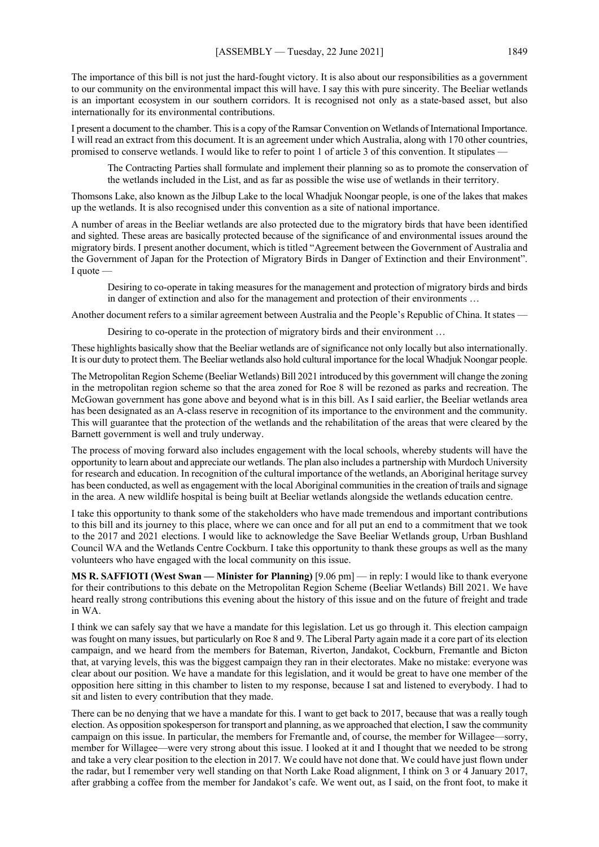The importance of this bill is not just the hard-fought victory. It is also about our responsibilities as a government to our community on the environmental impact this will have. I say this with pure sincerity. The Beeliar wetlands is an important ecosystem in our southern corridors. It is recognised not only as a state-based asset, but also internationally for its environmental contributions.

I present a document to the chamber. This is a copy of the Ramsar Convention on Wetlands of International Importance. I will read an extract from this document. It is an agreement under which Australia, along with 170 other countries, promised to conserve wetlands. I would like to refer to point 1 of article 3 of this convention. It stipulates —

The Contracting Parties shall formulate and implement their planning so as to promote the conservation of the wetlands included in the List, and as far as possible the wise use of wetlands in their territory.

Thomsons Lake, also known as the Jilbup Lake to the local Whadjuk Noongar people, is one of the lakes that makes up the wetlands. It is also recognised under this convention as a site of national importance.

A number of areas in the Beeliar wetlands are also protected due to the migratory birds that have been identified and sighted. These areas are basically protected because of the significance of and environmental issues around the migratory birds. I present another document, which is titled "Agreement between the Government of Australia and the Government of Japan for the Protection of Migratory Birds in Danger of Extinction and their Environment". I quote —

Desiring to co-operate in taking measures for the management and protection of migratory birds and birds in danger of extinction and also for the management and protection of their environments …

Another document refers to a similar agreement between Australia and the People's Republic of China. It states —

Desiring to co-operate in the protection of migratory birds and their environment …

These highlights basically show that the Beeliar wetlands are of significance not only locally but also internationally. It is our duty to protect them. The Beeliar wetlands also hold cultural importance for the local Whadjuk Noongar people.

The Metropolitan Region Scheme (Beeliar Wetlands) Bill 2021 introduced by this government will change the zoning in the metropolitan region scheme so that the area zoned for Roe 8 will be rezoned as parks and recreation. The McGowan government has gone above and beyond what is in this bill. As I said earlier, the Beeliar wetlands area has been designated as an A-class reserve in recognition of its importance to the environment and the community. This will guarantee that the protection of the wetlands and the rehabilitation of the areas that were cleared by the Barnett government is well and truly underway.

The process of moving forward also includes engagement with the local schools, whereby students will have the opportunity to learn about and appreciate our wetlands. The plan also includes a partnership with Murdoch University for research and education. In recognition of the cultural importance of the wetlands, an Aboriginal heritage survey has been conducted, as well as engagement with the local Aboriginal communities in the creation of trails and signage in the area. A new wildlife hospital is being built at Beeliar wetlands alongside the wetlands education centre.

I take this opportunity to thank some of the stakeholders who have made tremendous and important contributions to this bill and its journey to this place, where we can once and for all put an end to a commitment that we took to the 2017 and 2021 elections. I would like to acknowledge the Save Beeliar Wetlands group, Urban Bushland Council WA and the Wetlands Centre Cockburn. I take this opportunity to thank these groups as well as the many volunteers who have engaged with the local community on this issue.

**MS R. SAFFIOTI (West Swan — Minister for Planning)** [9.06 pm] — in reply: I would like to thank everyone for their contributions to this debate on the Metropolitan Region Scheme (Beeliar Wetlands) Bill 2021. We have heard really strong contributions this evening about the history of this issue and on the future of freight and trade in WA.

I think we can safely say that we have a mandate for this legislation. Let us go through it. This election campaign was fought on many issues, but particularly on Roe 8 and 9. The Liberal Party again made it a core part of its election campaign, and we heard from the members for Bateman, Riverton, Jandakot, Cockburn, Fremantle and Bicton that, at varying levels, this was the biggest campaign they ran in their electorates. Make no mistake: everyone was clear about our position. We have a mandate for this legislation, and it would be great to have one member of the opposition here sitting in this chamber to listen to my response, because I sat and listened to everybody. I had to sit and listen to every contribution that they made.

There can be no denying that we have a mandate for this. I want to get back to 2017, because that was a really tough election. As opposition spokesperson for transport and planning, as we approached that election, I saw the community campaign on this issue. In particular, the members for Fremantle and, of course, the member for Willagee—sorry, member for Willagee—were very strong about this issue. I looked at it and I thought that we needed to be strong and take a very clear position to the election in 2017. We could have not done that. We could have just flown under the radar, but I remember very well standing on that North Lake Road alignment, I think on 3 or 4 January 2017, after grabbing a coffee from the member for Jandakot's cafe. We went out, as I said, on the front foot, to make it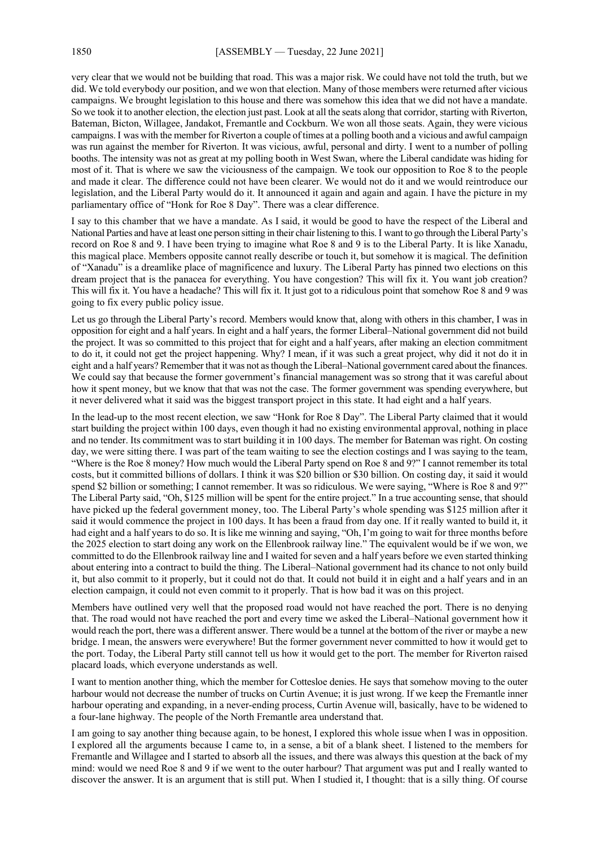very clear that we would not be building that road. This was a major risk. We could have not told the truth, but we did. We told everybody our position, and we won that election. Many of those members were returned after vicious campaigns. We brought legislation to this house and there was somehow this idea that we did not have a mandate. So we took it to another election, the election just past. Look at all the seats along that corridor, starting with Riverton, Bateman, Bicton, Willagee, Jandakot, Fremantle and Cockburn. We won all those seats. Again, they were vicious campaigns. I was with the member for Riverton a couple of times at a polling booth and a vicious and awful campaign was run against the member for Riverton. It was vicious, awful, personal and dirty. I went to a number of polling booths. The intensity was not as great at my polling booth in West Swan, where the Liberal candidate was hiding for most of it. That is where we saw the viciousness of the campaign. We took our opposition to Roe 8 to the people and made it clear. The difference could not have been clearer. We would not do it and we would reintroduce our legislation, and the Liberal Party would do it. It announced it again and again and again. I have the picture in my parliamentary office of "Honk for Roe 8 Day". There was a clear difference.

I say to this chamber that we have a mandate. As I said, it would be good to have the respect of the Liberal and National Parties and have at least one person sitting in their chair listening to this.I want to go through the Liberal Party's record on Roe 8 and 9. I have been trying to imagine what Roe 8 and 9 is to the Liberal Party. It is like Xanadu, this magical place. Members opposite cannot really describe or touch it, but somehow it is magical. The definition of "Xanadu" is a dreamlike place of magnificence and luxury. The Liberal Party has pinned two elections on this dream project that is the panacea for everything. You have congestion? This will fix it. You want job creation? This will fix it. You have a headache? This will fix it. It just got to a ridiculous point that somehow Roe 8 and 9 was going to fix every public policy issue.

Let us go through the Liberal Party's record. Members would know that, along with others in this chamber, I was in opposition for eight and a half years. In eight and a half years, the former Liberal–National government did not build the project. It was so committed to this project that for eight and a half years, after making an election commitment to do it, it could not get the project happening. Why? I mean, if it was such a great project, why did it not do it in eight and a half years? Remember that it was not as though the Liberal–National government cared about the finances. We could say that because the former government's financial management was so strong that it was careful about how it spent money, but we know that that was not the case. The former government was spending everywhere, but it never delivered what it said was the biggest transport project in this state. It had eight and a half years.

In the lead-up to the most recent election, we saw "Honk for Roe 8 Day". The Liberal Party claimed that it would start building the project within 100 days, even though it had no existing environmental approval, nothing in place and no tender. Its commitment was to start building it in 100 days. The member for Bateman was right. On costing day, we were sitting there. I was part of the team waiting to see the election costings and I was saying to the team, "Where is the Roe 8 money? How much would the Liberal Party spend on Roe 8 and 9?" I cannot remember its total costs, but it committed billions of dollars. I think it was \$20 billion or \$30 billion. On costing day, it said it would spend \$2 billion or something; I cannot remember. It was so ridiculous. We were saying, "Where is Roe 8 and 9?" The Liberal Party said, "Oh, \$125 million will be spent for the entire project." In a true accounting sense, that should have picked up the federal government money, too. The Liberal Party's whole spending was \$125 million after it said it would commence the project in 100 days. It has been a fraud from day one. If it really wanted to build it, it had eight and a half years to do so. It is like me winning and saying, "Oh, I'm going to wait for three months before the 2025 election to start doing any work on the Ellenbrook railway line." The equivalent would be if we won, we committed to do the Ellenbrook railway line and I waited for seven and a half years before we even started thinking about entering into a contract to build the thing. The Liberal–National government had its chance to not only build it, but also commit to it properly, but it could not do that. It could not build it in eight and a half years and in an election campaign, it could not even commit to it properly. That is how bad it was on this project.

Members have outlined very well that the proposed road would not have reached the port. There is no denying that. The road would not have reached the port and every time we asked the Liberal–National government how it would reach the port, there was a different answer. There would be a tunnel at the bottom of the river or maybe a new bridge. I mean, the answers were everywhere! But the former government never committed to how it would get to the port. Today, the Liberal Party still cannot tell us how it would get to the port. The member for Riverton raised placard loads, which everyone understands as well.

I want to mention another thing, which the member for Cottesloe denies. He says that somehow moving to the outer harbour would not decrease the number of trucks on Curtin Avenue; it is just wrong. If we keep the Fremantle inner harbour operating and expanding, in a never-ending process, Curtin Avenue will, basically, have to be widened to a four-lane highway. The people of the North Fremantle area understand that.

I am going to say another thing because again, to be honest, I explored this whole issue when I was in opposition. I explored all the arguments because I came to, in a sense, a bit of a blank sheet. I listened to the members for Fremantle and Willagee and I started to absorb all the issues, and there was always this question at the back of my mind: would we need Roe 8 and 9 if we went to the outer harbour? That argument was put and I really wanted to discover the answer. It is an argument that is still put. When I studied it, I thought: that is a silly thing. Of course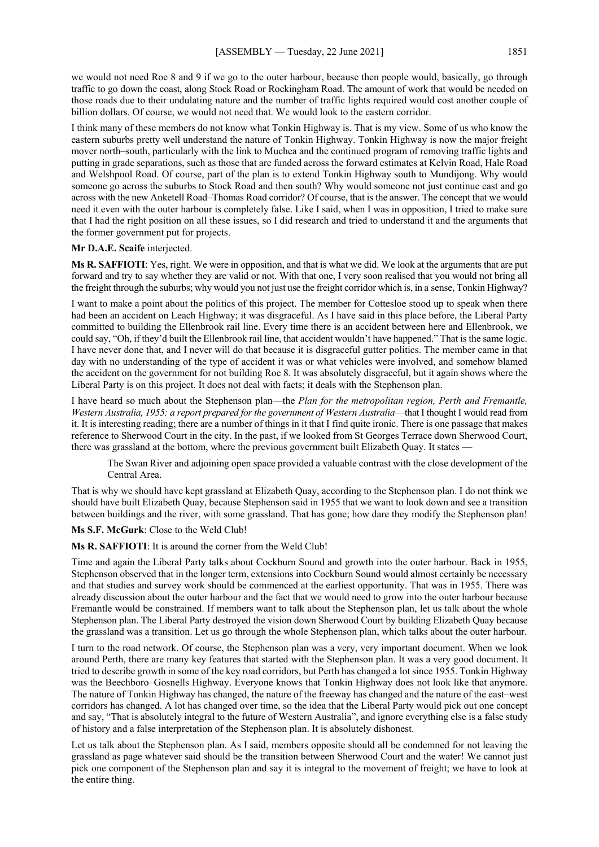we would not need Roe 8 and 9 if we go to the outer harbour, because then people would, basically, go through traffic to go down the coast, along Stock Road or Rockingham Road. The amount of work that would be needed on those roads due to their undulating nature and the number of traffic lights required would cost another couple of billion dollars. Of course, we would not need that. We would look to the eastern corridor.

I think many of these members do not know what Tonkin Highway is. That is my view. Some of us who know the eastern suburbs pretty well understand the nature of Tonkin Highway. Tonkin Highway is now the major freight mover north–south, particularly with the link to Muchea and the continued program of removing traffic lights and putting in grade separations, such as those that are funded across the forward estimates at Kelvin Road, Hale Road and Welshpool Road. Of course, part of the plan is to extend Tonkin Highway south to Mundijong. Why would someone go across the suburbs to Stock Road and then south? Why would someone not just continue east and go across with the new Anketell Road–Thomas Road corridor? Of course, that is the answer. The concept that we would need it even with the outer harbour is completely false. Like I said, when I was in opposition, I tried to make sure that I had the right position on all these issues, so I did research and tried to understand it and the arguments that the former government put for projects.

#### **Mr D.A.E. Scaife** interjected.

**Ms R. SAFFIOTI**: Yes, right. We were in opposition, and that is what we did. We look at the arguments that are put forward and try to say whether they are valid or not. With that one, I very soon realised that you would not bring all the freight through the suburbs; why would you not just use the freight corridor which is, in a sense, Tonkin Highway?

I want to make a point about the politics of this project. The member for Cottesloe stood up to speak when there had been an accident on Leach Highway; it was disgraceful. As I have said in this place before, the Liberal Party committed to building the Ellenbrook rail line. Every time there is an accident between here and Ellenbrook, we could say, "Oh, if they'd built the Ellenbrook rail line, that accident wouldn't have happened." That is the same logic. I have never done that, and I never will do that because it is disgraceful gutter politics. The member came in that day with no understanding of the type of accident it was or what vehicles were involved, and somehow blamed the accident on the government for not building Roe 8. It was absolutely disgraceful, but it again shows where the Liberal Party is on this project. It does not deal with facts; it deals with the Stephenson plan.

I have heard so much about the Stephenson plan—the *Plan for the metropolitan region, Perth and Fremantle, Western Australia, 1955: a report prepared for the government of Western Australia*—that I thought I would read from it. It is interesting reading; there are a number of things in it that I find quite ironic. There is one passage that makes reference to Sherwood Court in the city. In the past, if we looked from St Georges Terrace down Sherwood Court, there was grassland at the bottom, where the previous government built Elizabeth Quay. It states -

The Swan River and adjoining open space provided a valuable contrast with the close development of the Central Area.

That is why we should have kept grassland at Elizabeth Quay, according to the Stephenson plan. I do not think we should have built Elizabeth Quay, because Stephenson said in 1955 that we want to look down and see a transition between buildings and the river, with some grassland. That has gone; how dare they modify the Stephenson plan!

#### **Ms S.F. McGurk**: Close to the Weld Club!

#### **Ms R. SAFFIOTI**: It is around the corner from the Weld Club!

Time and again the Liberal Party talks about Cockburn Sound and growth into the outer harbour. Back in 1955, Stephenson observed that in the longer term, extensions into Cockburn Sound would almost certainly be necessary and that studies and survey work should be commenced at the earliest opportunity. That was in 1955. There was already discussion about the outer harbour and the fact that we would need to grow into the outer harbour because Fremantle would be constrained. If members want to talk about the Stephenson plan, let us talk about the whole Stephenson plan. The Liberal Party destroyed the vision down Sherwood Court by building Elizabeth Quay because the grassland was a transition. Let us go through the whole Stephenson plan, which talks about the outer harbour.

I turn to the road network. Of course, the Stephenson plan was a very, very important document. When we look around Perth, there are many key features that started with the Stephenson plan. It was a very good document. It tried to describe growth in some of the key road corridors, but Perth has changed a lot since 1955. Tonkin Highway was the Beechboro–Gosnells Highway. Everyone knows that Tonkin Highway does not look like that anymore. The nature of Tonkin Highway has changed, the nature of the freeway has changed and the nature of the east–west corridors has changed. A lot has changed over time, so the idea that the Liberal Party would pick out one concept and say, "That is absolutely integral to the future of Western Australia", and ignore everything else is a false study of history and a false interpretation of the Stephenson plan. It is absolutely dishonest.

Let us talk about the Stephenson plan. As I said, members opposite should all be condemned for not leaving the grassland as page whatever said should be the transition between Sherwood Court and the water! We cannot just pick one component of the Stephenson plan and say it is integral to the movement of freight; we have to look at the entire thing.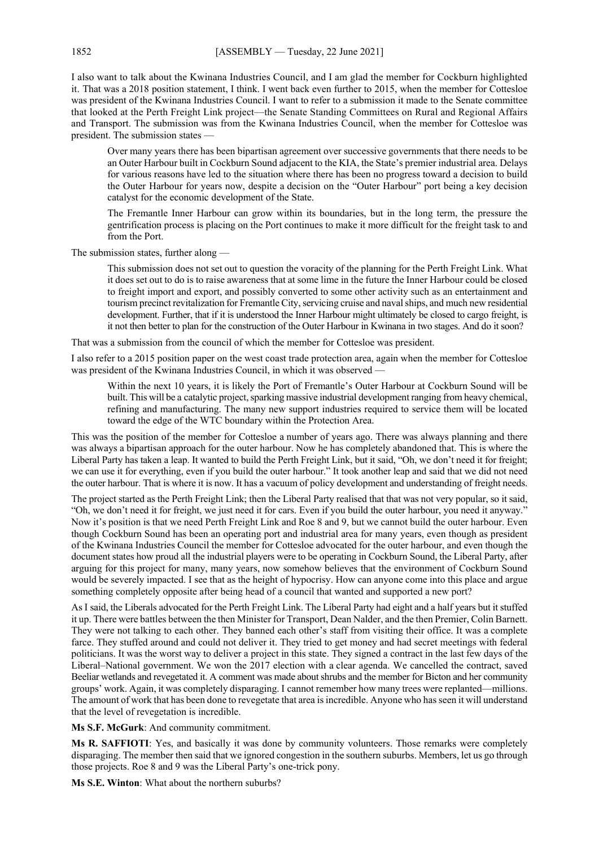I also want to talk about the Kwinana Industries Council, and I am glad the member for Cockburn highlighted it. That was a 2018 position statement, I think. I went back even further to 2015, when the member for Cottesloe was president of the Kwinana Industries Council. I want to refer to a submission it made to the Senate committee that looked at the Perth Freight Link project—the Senate Standing Committees on Rural and Regional Affairs and Transport. The submission was from the Kwinana Industries Council, when the member for Cottesloe was president. The submission states —

Over many years there has been bipartisan agreement over successive governments that there needs to be an Outer Harbour built in Cockburn Sound adjacent to the KIA, the State's premier industrial area. Delays for various reasons have led to the situation where there has been no progress toward a decision to build the Outer Harbour for years now, despite a decision on the "Outer Harbour" port being a key decision catalyst for the economic development of the State.

The Fremantle Inner Harbour can grow within its boundaries, but in the long term, the pressure the gentrification process is placing on the Port continues to make it more difficult for the freight task to and from the Port.

The submission states, further along —

This submission does not set out to question the voracity of the planning for the Perth Freight Link. What it does set out to do is to raise awareness that at some lime in the future the Inner Harbour could be closed to freight import and export, and possibly converted to some other activity such as an entertainment and tourism precinct revitalization for Fremantle City, servicing cruise and naval ships, and much new residential development. Further, that if it is understood the Inner Harbour might ultimately be closed to cargo freight, is it not then better to plan for the construction of the Outer Harbour in Kwinana in two stages. And do it soon?

That was a submission from the council of which the member for Cottesloe was president.

I also refer to a 2015 position paper on the west coast trade protection area, again when the member for Cottesloe was president of the Kwinana Industries Council, in which it was observed -

Within the next 10 years, it is likely the Port of Fremantle's Outer Harbour at Cockburn Sound will be built. This will be a catalytic project, sparking massive industrial development ranging from heavy chemical, refining and manufacturing. The many new support industries required to service them will be located toward the edge of the WTC boundary within the Protection Area.

This was the position of the member for Cottesloe a number of years ago. There was always planning and there was always a bipartisan approach for the outer harbour. Now he has completely abandoned that. This is where the Liberal Party has taken a leap. It wanted to build the Perth Freight Link, but it said, "Oh, we don't need it for freight; we can use it for everything, even if you build the outer harbour." It took another leap and said that we did not need the outer harbour. That is where it is now. It has a vacuum of policy development and understanding of freight needs.

The project started as the Perth Freight Link; then the Liberal Party realised that that was not very popular, so it said, "Oh, we don't need it for freight, we just need it for cars. Even if you build the outer harbour, you need it anyway." Now it's position is that we need Perth Freight Link and Roe 8 and 9, but we cannot build the outer harbour. Even though Cockburn Sound has been an operating port and industrial area for many years, even though as president of the Kwinana Industries Council the member for Cottesloe advocated for the outer harbour, and even though the document states how proud all the industrial players were to be operating in Cockburn Sound, the Liberal Party, after arguing for this project for many, many years, now somehow believes that the environment of Cockburn Sound would be severely impacted. I see that as the height of hypocrisy. How can anyone come into this place and argue something completely opposite after being head of a council that wanted and supported a new port?

As I said, the Liberals advocated for the Perth Freight Link. The Liberal Party had eight and a half years but it stuffed it up. There were battles between the then Minister for Transport, Dean Nalder, and the then Premier, Colin Barnett. They were not talking to each other. They banned each other's staff from visiting their office. It was a complete farce. They stuffed around and could not deliver it. They tried to get money and had secret meetings with federal politicians. It was the worst way to deliver a project in this state. They signed a contract in the last few days of the Liberal–National government. We won the 2017 election with a clear agenda. We cancelled the contract, saved Beeliar wetlands and revegetated it. A comment was made about shrubs and the member for Bicton and her community groups' work. Again, it was completely disparaging. I cannot remember how many trees were replanted—millions. The amount of work that has been done to revegetate that area is incredible. Anyone who has seen it will understand that the level of revegetation is incredible.

**Ms S.F. McGurk**: And community commitment.

**Ms R. SAFFIOTI**: Yes, and basically it was done by community volunteers. Those remarks were completely disparaging. The member then said that we ignored congestion in the southern suburbs. Members, let us go through those projects. Roe 8 and 9 was the Liberal Party's one-trick pony.

**Ms S.E. Winton**: What about the northern suburbs?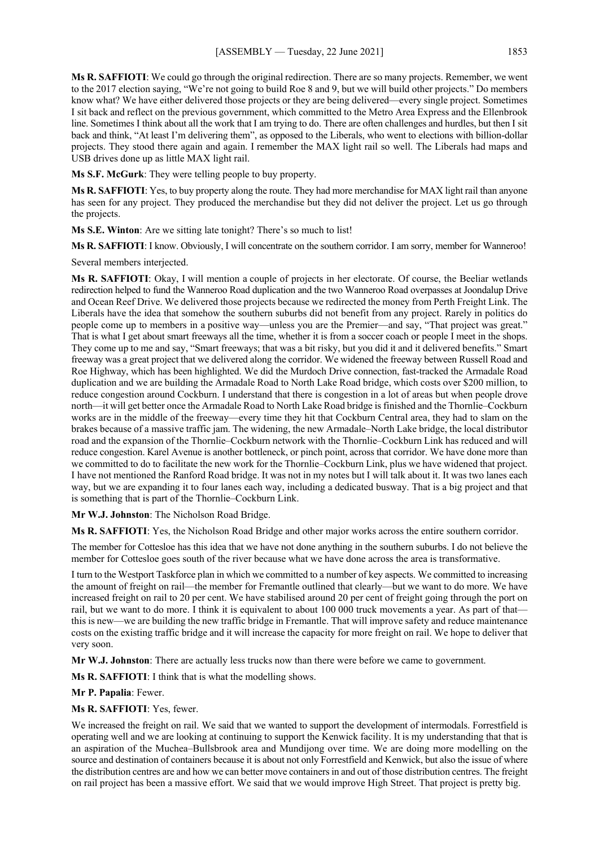**Ms R. SAFFIOTI**: We could go through the original redirection. There are so many projects. Remember, we went to the 2017 election saying, "We're not going to build Roe 8 and 9, but we will build other projects." Do members know what? We have either delivered those projects or they are being delivered—every single project. Sometimes I sit back and reflect on the previous government, which committed to the Metro Area Express and the Ellenbrook line. Sometimes I think about all the work that I am trying to do. There are often challenges and hurdles, but then I sit back and think, "At least I'm delivering them", as opposed to the Liberals, who went to elections with billion-dollar projects. They stood there again and again. I remember the MAX light rail so well. The Liberals had maps and USB drives done up as little MAX light rail.

**Ms S.F. McGurk**: They were telling people to buy property.

**Ms R. SAFFIOTI**: Yes, to buy property along the route. They had more merchandise for MAX light rail than anyone has seen for any project. They produced the merchandise but they did not deliver the project. Let us go through the projects.

**Ms S.E. Winton**: Are we sitting late tonight? There's so much to list!

**Ms R. SAFFIOTI**: I know. Obviously, I will concentrate on the southern corridor. I am sorry, member for Wanneroo!

Several members interjected.

**Ms R. SAFFIOTI**: Okay, I will mention a couple of projects in her electorate. Of course, the Beeliar wetlands redirection helped to fund the Wanneroo Road duplication and the two Wanneroo Road overpasses at Joondalup Drive and Ocean Reef Drive. We delivered those projects because we redirected the money from Perth Freight Link. The Liberals have the idea that somehow the southern suburbs did not benefit from any project. Rarely in politics do people come up to members in a positive way—unless you are the Premier—and say, "That project was great." That is what I get about smart freeways all the time, whether it is from a soccer coach or people I meet in the shops. They come up to me and say, "Smart freeways; that was a bit risky, but you did it and it delivered benefits." Smart freeway was a great project that we delivered along the corridor. We widened the freeway between Russell Road and Roe Highway, which has been highlighted. We did the Murdoch Drive connection, fast-tracked the Armadale Road duplication and we are building the Armadale Road to North Lake Road bridge, which costs over \$200 million, to reduce congestion around Cockburn. I understand that there is congestion in a lot of areas but when people drove north—it will get better once the Armadale Road to North Lake Road bridge is finished and the Thornlie–Cockburn works are in the middle of the freeway—every time they hit that Cockburn Central area, they had to slam on the brakes because of a massive traffic jam. The widening, the new Armadale–North Lake bridge, the local distributor road and the expansion of the Thornlie–Cockburn network with the Thornlie–Cockburn Link has reduced and will reduce congestion. Karel Avenue is another bottleneck, or pinch point, across that corridor. We have done more than we committed to do to facilitate the new work for the Thornlie–Cockburn Link, plus we have widened that project. I have not mentioned the Ranford Road bridge. It was not in my notes but I will talk about it. It was two lanes each way, but we are expanding it to four lanes each way, including a dedicated busway. That is a big project and that is something that is part of the Thornlie–Cockburn Link.

## **Mr W.J. Johnston**: The Nicholson Road Bridge.

**Ms R. SAFFIOTI**: Yes, the Nicholson Road Bridge and other major works across the entire southern corridor.

The member for Cottesloe has this idea that we have not done anything in the southern suburbs. I do not believe the member for Cottesloe goes south of the river because what we have done across the area is transformative.

I turn to the Westport Taskforce plan in which we committed to a number of key aspects. We committed to increasing the amount of freight on rail—the member for Fremantle outlined that clearly—but we want to do more. We have increased freight on rail to 20 per cent. We have stabilised around 20 per cent of freight going through the port on rail, but we want to do more. I think it is equivalent to about 100 000 truck movements a year. As part of that this is new—we are building the new traffic bridge in Fremantle. That will improve safety and reduce maintenance costs on the existing traffic bridge and it will increase the capacity for more freight on rail. We hope to deliver that very soon.

**Mr W.J. Johnston**: There are actually less trucks now than there were before we came to government.

**Ms R. SAFFIOTI**: I think that is what the modelling shows.

## **Mr P. Papalia**: Fewer.

**Ms R. SAFFIOTI**: Yes, fewer.

We increased the freight on rail. We said that we wanted to support the development of intermodals. Forrestfield is operating well and we are looking at continuing to support the Kenwick facility. It is my understanding that that is an aspiration of the Muchea–Bullsbrook area and Mundijong over time. We are doing more modelling on the source and destination of containers because it is about not only Forrestfield and Kenwick, but also the issue of where the distribution centres are and how we can better move containers in and out of those distribution centres. The freight on rail project has been a massive effort. We said that we would improve High Street. That project is pretty big.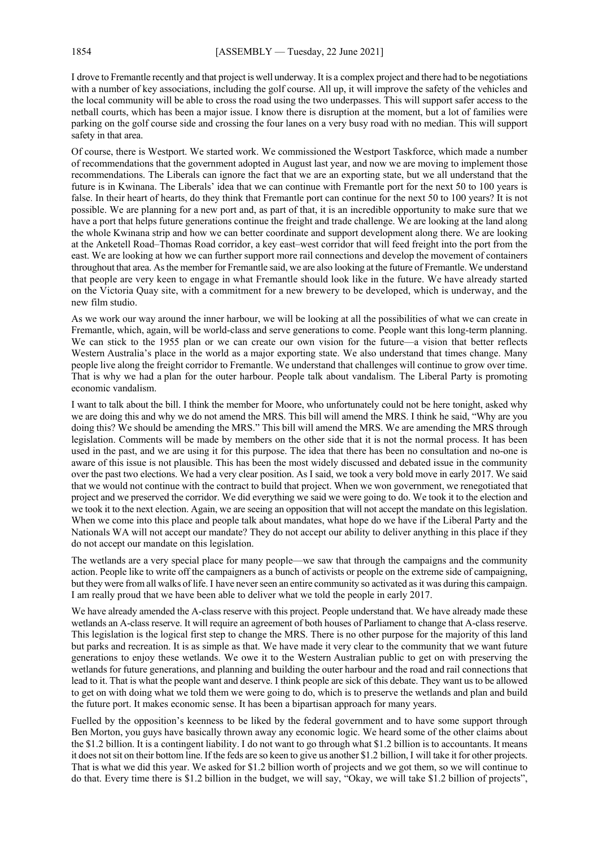I drove to Fremantle recently and that project is well underway. It is a complex project and there had to be negotiations with a number of key associations, including the golf course. All up, it will improve the safety of the vehicles and the local community will be able to cross the road using the two underpasses. This will support safer access to the netball courts, which has been a major issue. I know there is disruption at the moment, but a lot of families were parking on the golf course side and crossing the four lanes on a very busy road with no median. This will support safety in that area.

Of course, there is Westport. We started work. We commissioned the Westport Taskforce, which made a number of recommendations that the government adopted in August last year, and now we are moving to implement those recommendations. The Liberals can ignore the fact that we are an exporting state, but we all understand that the future is in Kwinana. The Liberals' idea that we can continue with Fremantle port for the next 50 to 100 years is false. In their heart of hearts, do they think that Fremantle port can continue for the next 50 to 100 years? It is not possible. We are planning for a new port and, as part of that, it is an incredible opportunity to make sure that we have a port that helps future generations continue the freight and trade challenge. We are looking at the land along the whole Kwinana strip and how we can better coordinate and support development along there. We are looking at the Anketell Road–Thomas Road corridor, a key east–west corridor that will feed freight into the port from the east. We are looking at how we can further support more rail connections and develop the movement of containers throughout that area. As the member for Fremantle said, we are also looking at the future of Fremantle. We understand that people are very keen to engage in what Fremantle should look like in the future. We have already started on the Victoria Quay site, with a commitment for a new brewery to be developed, which is underway, and the new film studio.

As we work our way around the inner harbour, we will be looking at all the possibilities of what we can create in Fremantle, which, again, will be world-class and serve generations to come. People want this long-term planning. We can stick to the 1955 plan or we can create our own vision for the future—a vision that better reflects Western Australia's place in the world as a major exporting state. We also understand that times change. Many people live along the freight corridor to Fremantle. We understand that challenges will continue to grow over time. That is why we had a plan for the outer harbour. People talk about vandalism. The Liberal Party is promoting economic vandalism.

I want to talk about the bill. I think the member for Moore, who unfortunately could not be here tonight, asked why we are doing this and why we do not amend the MRS. This bill will amend the MRS. I think he said, "Why are you doing this? We should be amending the MRS." This bill will amend the MRS. We are amending the MRS through legislation. Comments will be made by members on the other side that it is not the normal process. It has been used in the past, and we are using it for this purpose. The idea that there has been no consultation and no-one is aware of this issue is not plausible. This has been the most widely discussed and debated issue in the community over the past two elections. We had a very clear position. As I said, we took a very bold move in early 2017. We said that we would not continue with the contract to build that project. When we won government, we renegotiated that project and we preserved the corridor. We did everything we said we were going to do. We took it to the election and we took it to the next election. Again, we are seeing an opposition that will not accept the mandate on this legislation. When we come into this place and people talk about mandates, what hope do we have if the Liberal Party and the Nationals WA will not accept our mandate? They do not accept our ability to deliver anything in this place if they do not accept our mandate on this legislation.

The wetlands are a very special place for many people—we saw that through the campaigns and the community action. People like to write off the campaigners as a bunch of activists or people on the extreme side of campaigning, but they were from all walks of life. I have never seen an entire community so activated as it was during this campaign. I am really proud that we have been able to deliver what we told the people in early 2017.

We have already amended the A-class reserve with this project. People understand that. We have already made these wetlands an A-class reserve. It will require an agreement of both houses of Parliament to change that A-class reserve. This legislation is the logical first step to change the MRS. There is no other purpose for the majority of this land but parks and recreation. It is as simple as that. We have made it very clear to the community that we want future generations to enjoy these wetlands. We owe it to the Western Australian public to get on with preserving the wetlands for future generations, and planning and building the outer harbour and the road and rail connections that lead to it. That is what the people want and deserve. I think people are sick of this debate. They want us to be allowed to get on with doing what we told them we were going to do, which is to preserve the wetlands and plan and build the future port. It makes economic sense. It has been a bipartisan approach for many years.

Fuelled by the opposition's keenness to be liked by the federal government and to have some support through Ben Morton, you guys have basically thrown away any economic logic. We heard some of the other claims about the \$1.2 billion. It is a contingent liability. I do not want to go through what \$1.2 billion is to accountants. It means it does not sit on their bottom line. If the feds are so keen to give us another \$1.2 billion, I will take it for other projects. That is what we did this year. We asked for \$1.2 billion worth of projects and we got them, so we will continue to do that. Every time there is \$1.2 billion in the budget, we will say, "Okay, we will take \$1.2 billion of projects",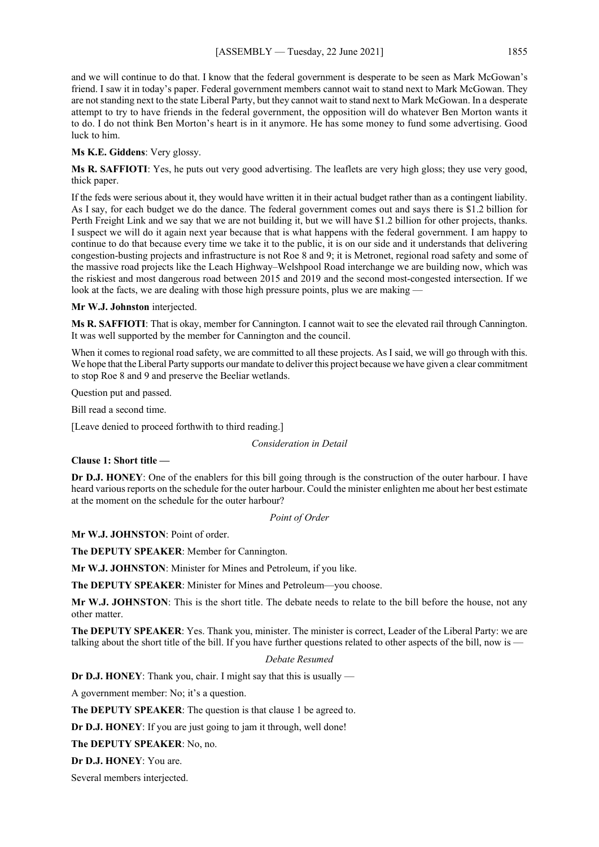and we will continue to do that. I know that the federal government is desperate to be seen as Mark McGowan's friend. I saw it in today's paper. Federal government members cannot wait to stand next to Mark McGowan. They are not standing next to the state Liberal Party, but they cannot wait to stand next to Mark McGowan. In a desperate attempt to try to have friends in the federal government, the opposition will do whatever Ben Morton wants it to do. I do not think Ben Morton's heart is in it anymore. He has some money to fund some advertising. Good luck to him.

**Ms K.E. Giddens**: Very glossy.

**Ms R. SAFFIOTI**: Yes, he puts out very good advertising. The leaflets are very high gloss; they use very good, thick paper.

If the feds were serious about it, they would have written it in their actual budget rather than as a contingent liability. As I say, for each budget we do the dance. The federal government comes out and says there is \$1.2 billion for Perth Freight Link and we say that we are not building it, but we will have \$1.2 billion for other projects, thanks. I suspect we will do it again next year because that is what happens with the federal government. I am happy to continue to do that because every time we take it to the public, it is on our side and it understands that delivering congestion-busting projects and infrastructure is not Roe 8 and 9; it is Metronet, regional road safety and some of the massive road projects like the Leach Highway–Welshpool Road interchange we are building now, which was the riskiest and most dangerous road between 2015 and 2019 and the second most-congested intersection. If we look at the facts, we are dealing with those high pressure points, plus we are making -

## **Mr W.J. Johnston** interjected.

**Ms R. SAFFIOTI**: That is okay, member for Cannington. I cannot wait to see the elevated rail through Cannington. It was well supported by the member for Cannington and the council.

When it comes to regional road safety, we are committed to all these projects. As I said, we will go through with this. We hope that the Liberal Party supports our mandate to deliver this project because we have given a clear commitment to stop Roe 8 and 9 and preserve the Beeliar wetlands.

Question put and passed.

Bill read a second time.

[Leave denied to proceed forthwith to third reading.]

#### *Consideration in Detail*

**Clause 1: Short title —**

**Dr D.J. HONEY**: One of the enablers for this bill going through is the construction of the outer harbour. I have heard various reports on the schedule for the outer harbour. Could the minister enlighten me about her best estimate at the moment on the schedule for the outer harbour?

*Point of Order*

**Mr W.J. JOHNSTON**: Point of order.

**The DEPUTY SPEAKER**: Member for Cannington.

**Mr W.J. JOHNSTON**: Minister for Mines and Petroleum, if you like.

**The DEPUTY SPEAKER**: Minister for Mines and Petroleum—you choose.

**Mr W.J. JOHNSTON**: This is the short title. The debate needs to relate to the bill before the house, not any other matter.

**The DEPUTY SPEAKER**: Yes. Thank you, minister. The minister is correct, Leader of the Liberal Party: we are talking about the short title of the bill. If you have further questions related to other aspects of the bill, now is -

## *Debate Resumed*

**Dr D.J. HONEY**: Thank you, chair. I might say that this is usually —

A government member: No; it's a question.

**The DEPUTY SPEAKER**: The question is that clause 1 be agreed to.

**Dr D.J. HONEY**: If you are just going to jam it through, well done!

**The DEPUTY SPEAKER**: No, no.

**Dr D.J. HONEY**: You are.

Several members interjected.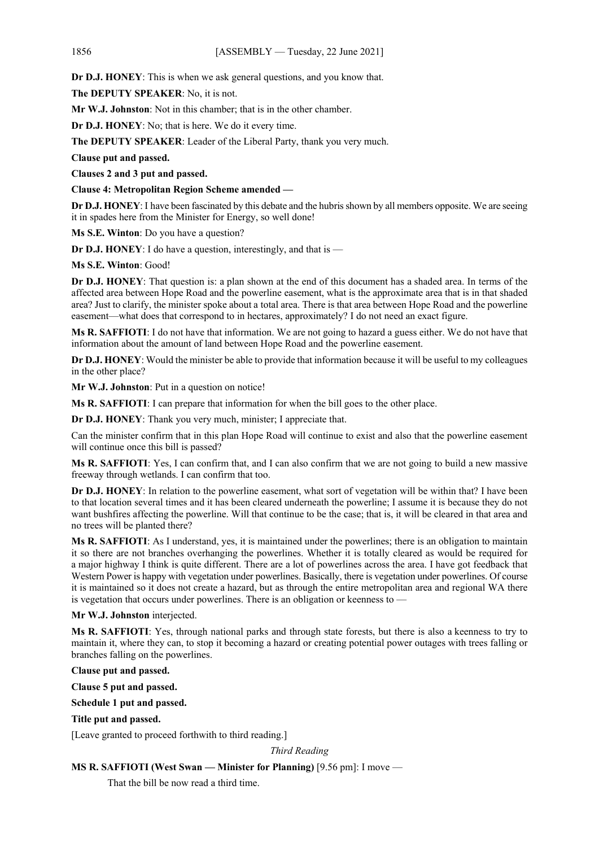**Dr D.J. HONEY**: This is when we ask general questions, and you know that.

**The DEPUTY SPEAKER**: No, it is not.

**Mr W.J. Johnston**: Not in this chamber; that is in the other chamber.

**Dr D.J. HONEY**: No; that is here. We do it every time.

**The DEPUTY SPEAKER**: Leader of the Liberal Party, thank you very much.

**Clause put and passed.**

**Clauses 2 and 3 put and passed.**

**Clause 4: Metropolitan Region Scheme amended —**

**Dr D.J. HONEY**: I have been fascinated by this debate and the hubris shown by all members opposite. We are seeing it in spades here from the Minister for Energy, so well done!

**Ms S.E. Winton**: Do you have a question?

**Dr D.J. HONEY**: I do have a question, interestingly, and that is —

**Ms S.E. Winton**: Good!

**Dr D.J. HONEY**: That question is: a plan shown at the end of this document has a shaded area. In terms of the affected area between Hope Road and the powerline easement, what is the approximate area that is in that shaded area? Just to clarify, the minister spoke about a total area. There is that area between Hope Road and the powerline easement—what does that correspond to in hectares, approximately? I do not need an exact figure.

**Ms R. SAFFIOTI**: I do not have that information. We are not going to hazard a guess either. We do not have that information about the amount of land between Hope Road and the powerline easement.

**Dr D.J. HONEY**: Would the minister be able to provide that information because it will be useful to my colleagues in the other place?

**Mr W.J. Johnston**: Put in a question on notice!

**Ms R. SAFFIOTI**: I can prepare that information for when the bill goes to the other place.

**Dr D.J. HONEY**: Thank you very much, minister; I appreciate that.

Can the minister confirm that in this plan Hope Road will continue to exist and also that the powerline easement will continue once this bill is passed?

**Ms R. SAFFIOTI**: Yes, I can confirm that, and I can also confirm that we are not going to build a new massive freeway through wetlands. I can confirm that too.

**Dr D.J. HONEY**: In relation to the powerline easement, what sort of vegetation will be within that? I have been to that location several times and it has been cleared underneath the powerline; I assume it is because they do not want bushfires affecting the powerline. Will that continue to be the case; that is, it will be cleared in that area and no trees will be planted there?

**Ms R. SAFFIOTI**: As I understand, yes, it is maintained under the powerlines; there is an obligation to maintain it so there are not branches overhanging the powerlines. Whether it is totally cleared as would be required for a major highway I think is quite different. There are a lot of powerlines across the area. I have got feedback that Western Power is happy with vegetation under powerlines. Basically, there is vegetation under powerlines. Of course it is maintained so it does not create a hazard, but as through the entire metropolitan area and regional WA there is vegetation that occurs under powerlines. There is an obligation or keenness to —

## **Mr W.J. Johnston** interjected.

**Ms R. SAFFIOTI**: Yes, through national parks and through state forests, but there is also a keenness to try to maintain it, where they can, to stop it becoming a hazard or creating potential power outages with trees falling or branches falling on the powerlines.

## **Clause put and passed.**

**Clause 5 put and passed.**

**Schedule 1 put and passed.**

#### **Title put and passed.**

[Leave granted to proceed forthwith to third reading.]

#### *Third Reading*

# **MS R. SAFFIOTI (West Swan — Minister for Planning)** [9.56 pm]: I move —

That the bill be now read a third time.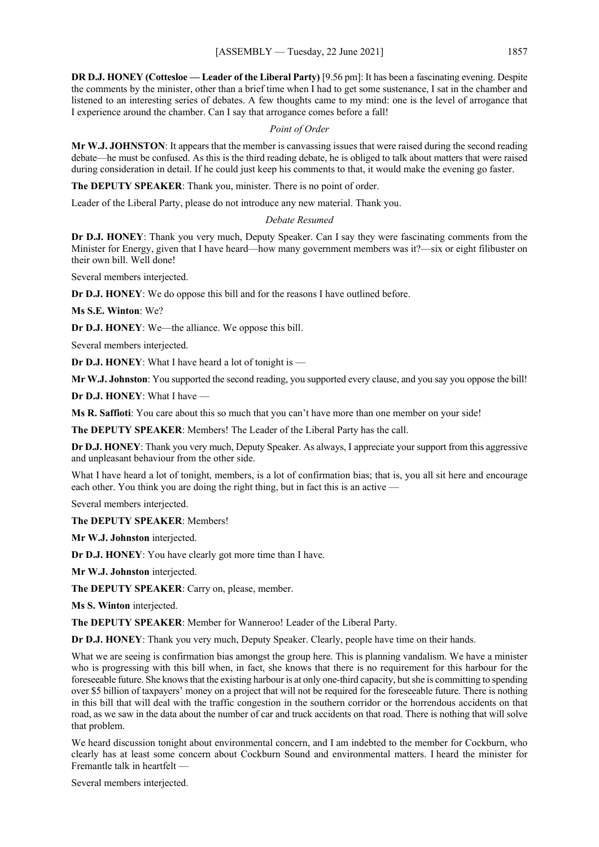**DR D.J. HONEY (Cottesloe — Leader of the Liberal Party)** [9.56 pm]: It has been a fascinating evening. Despite the comments by the minister, other than a brief time when I had to get some sustenance, I sat in the chamber and listened to an interesting series of debates. A few thoughts came to my mind: one is the level of arrogance that I experience around the chamber. Can I say that arrogance comes before a fall!

# *Point of Order*

**Mr W.J. JOHNSTON**: It appears that the member is canvassing issues that were raised during the second reading debate—he must be confused. As this is the third reading debate, he is obliged to talk about matters that were raised during consideration in detail. If he could just keep his comments to that, it would make the evening go faster.

**The DEPUTY SPEAKER**: Thank you, minister. There is no point of order.

Leader of the Liberal Party, please do not introduce any new material. Thank you.

# *Debate Resumed*

**Dr D.J. HONEY**: Thank you very much, Deputy Speaker. Can I say they were fascinating comments from the Minister for Energy, given that I have heard—how many government members was it?—six or eight filibuster on their own bill. Well done!

Several members interjected.

**Dr D.J. HONEY**: We do oppose this bill and for the reasons I have outlined before.

**Ms S.E. Winton**: We?

**Dr D.J. HONEY**: We—the alliance. We oppose this bill.

Several members interjected.

**Dr D.J. HONEY**: What I have heard a lot of tonight is —

**Mr W.J. Johnston**: You supported the second reading, you supported every clause, and you say you oppose the bill!

**Dr D.J. HONEY**: What I have —

**Ms R. Saffioti**: You care about this so much that you can't have more than one member on your side!

**The DEPUTY SPEAKER**: Members! The Leader of the Liberal Party has the call.

**Dr D.J. HONEY**: Thank you very much, Deputy Speaker. As always, I appreciate your support from this aggressive and unpleasant behaviour from the other side.

What I have heard a lot of tonight, members, is a lot of confirmation bias; that is, you all sit here and encourage each other. You think you are doing the right thing, but in fact this is an active —

Several members interjected.

**The DEPUTY SPEAKER**: Members!

**Mr W.J. Johnston** interjected.

**Dr D.J. HONEY**: You have clearly got more time than I have.

**Mr W.J. Johnston** interjected.

**The DEPUTY SPEAKER**: Carry on, please, member.

**Ms S. Winton** interjected.

**The DEPUTY SPEAKER**: Member for Wanneroo! Leader of the Liberal Party.

**Dr D.J. HONEY**: Thank you very much, Deputy Speaker. Clearly, people have time on their hands.

What we are seeing is confirmation bias amongst the group here. This is planning vandalism. We have a minister who is progressing with this bill when, in fact, she knows that there is no requirement for this harbour for the foreseeable future. She knows that the existing harbour is at only one-third capacity, butshe is committing to spending over \$5 billion of taxpayers' money on a project that will not be required for the foreseeable future. There is nothing in this bill that will deal with the traffic congestion in the southern corridor or the horrendous accidents on that road, as we saw in the data about the number of car and truck accidents on that road. There is nothing that will solve that problem.

We heard discussion tonight about environmental concern, and I am indebted to the member for Cockburn, who clearly has at least some concern about Cockburn Sound and environmental matters. I heard the minister for Fremantle talk in heartfelt —

Several members interjected.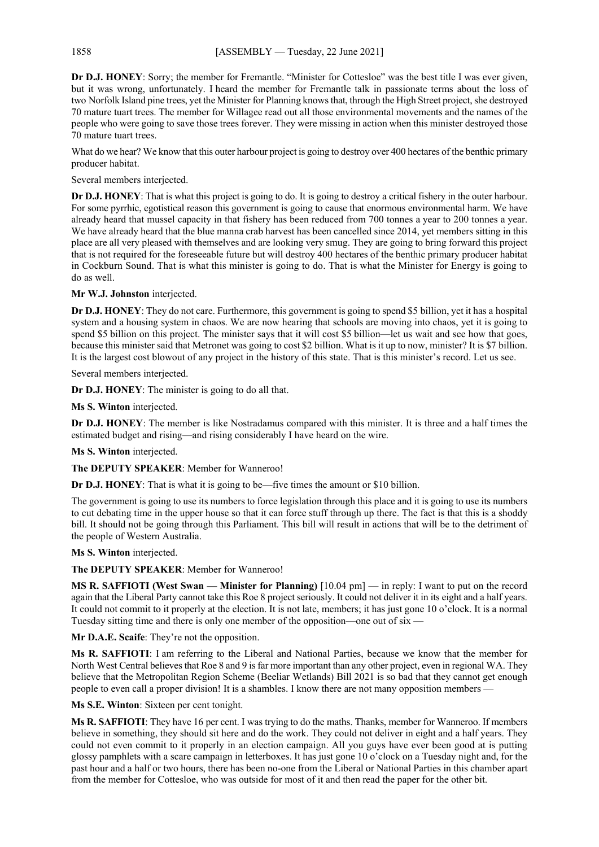**Dr D.J. HONEY**: Sorry; the member for Fremantle. "Minister for Cottesloe" was the best title I was ever given, but it was wrong, unfortunately. I heard the member for Fremantle talk in passionate terms about the loss of two Norfolk Island pine trees, yet the Minister for Planning knows that, through the High Street project, she destroyed 70 mature tuart trees. The member for Willagee read out all those environmental movements and the names of the people who were going to save those trees forever. They were missing in action when this minister destroyed those 70 mature tuart trees.

What do we hear? We know that this outer harbour project is going to destroy over 400 hectares of the benthic primary producer habitat.

Several members interjected.

**Dr D.J. HONEY**: That is what this project is going to do. It is going to destroy a critical fishery in the outer harbour. For some pyrrhic, egotistical reason this government is going to cause that enormous environmental harm. We have already heard that mussel capacity in that fishery has been reduced from 700 tonnes a year to 200 tonnes a year. We have already heard that the blue manna crab harvest has been cancelled since 2014, yet members sitting in this place are all very pleased with themselves and are looking very smug. They are going to bring forward this project that is not required for the foreseeable future but will destroy 400 hectares of the benthic primary producer habitat in Cockburn Sound. That is what this minister is going to do. That is what the Minister for Energy is going to do as well.

**Mr W.J. Johnston** interjected.

**Dr D.J. HONEY**: They do not care. Furthermore, this government is going to spend \$5 billion, yet it has a hospital system and a housing system in chaos. We are now hearing that schools are moving into chaos, yet it is going to spend \$5 billion on this project. The minister says that it will cost \$5 billion—let us wait and see how that goes, because this minister said that Metronet was going to cost \$2 billion. What is it up to now, minister? It is \$7 billion. It is the largest cost blowout of any project in the history of this state. That is this minister's record. Let us see.

Several members interjected.

**Dr D.J. HONEY**: The minister is going to do all that.

**Ms S. Winton** interjected.

**Dr D.J. HONEY**: The member is like Nostradamus compared with this minister. It is three and a half times the estimated budget and rising—and rising considerably I have heard on the wire.

**Ms S. Winton** interjected.

**The DEPUTY SPEAKER**: Member for Wanneroo!

**Dr D.J. HONEY**: That is what it is going to be—five times the amount or \$10 billion.

The government is going to use its numbers to force legislation through this place and it is going to use its numbers to cut debating time in the upper house so that it can force stuff through up there. The fact is that this is a shoddy bill. It should not be going through this Parliament. This bill will result in actions that will be to the detriment of the people of Western Australia.

**Ms S. Winton** interjected.

**The DEPUTY SPEAKER**: Member for Wanneroo!

**MS R. SAFFIOTI (West Swan — Minister for Planning)** [10.04 pm] — in reply: I want to put on the record again that the Liberal Party cannot take this Roe 8 project seriously. It could not deliver it in its eight and a half years. It could not commit to it properly at the election. It is not late, members; it has just gone 10 o'clock. It is a normal Tuesday sitting time and there is only one member of the opposition—one out of six —

**Mr D.A.E. Scaife**: They're not the opposition.

**Ms R. SAFFIOTI**: I am referring to the Liberal and National Parties, because we know that the member for North West Central believes that Roe 8 and 9 is far more important than any other project, even in regional WA. They believe that the Metropolitan Region Scheme (Beeliar Wetlands) Bill 2021 is so bad that they cannot get enough people to even call a proper division! It is a shambles. I know there are not many opposition members —

**Ms S.E. Winton**: Sixteen per cent tonight.

**Ms R. SAFFIOTI**: They have 16 per cent. I was trying to do the maths. Thanks, member for Wanneroo. If members believe in something, they should sit here and do the work. They could not deliver in eight and a half years. They could not even commit to it properly in an election campaign. All you guys have ever been good at is putting glossy pamphlets with a scare campaign in letterboxes. It has just gone 10 o'clock on a Tuesday night and, for the past hour and a half or two hours, there has been no-one from the Liberal or National Parties in this chamber apart from the member for Cottesloe, who was outside for most of it and then read the paper for the other bit.